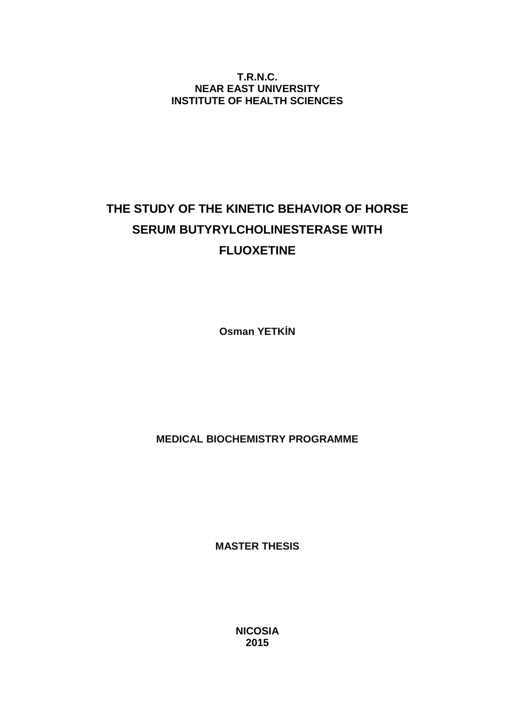**T.R.N.C. NEAR EAST UNIVERSITY INSTITUTE OF HEALTH SCIENCES**

# **THE STUDY OF THE KINETIC BEHAVIOR OF HORSE SERUM BUTYRYLCHOLINESTERASE WITH FLUOXETINE**

**Osman YETK N** 

**MEDICAL BIOCHEMISTRY PROGRAMME**

**MASTER THESIS**

**NICOSIA 2015**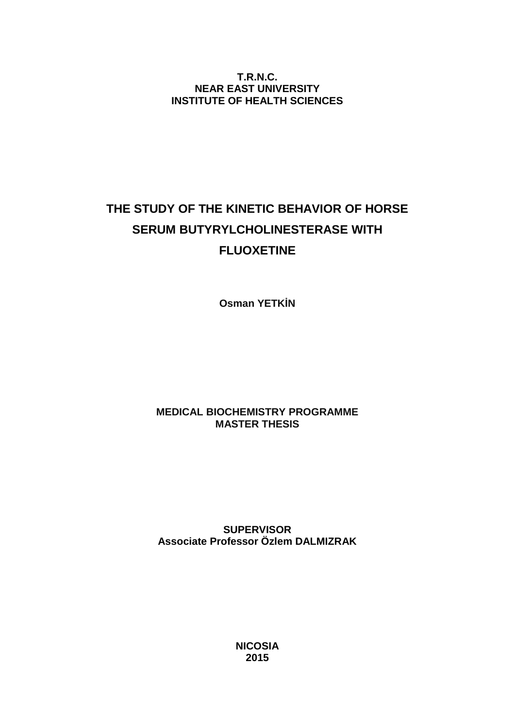**T.R.N.C. NEAR EAST UNIVERSITY INSTITUTE OF HEALTH SCIENCES**

# **THE STUDY OF THE KINETIC BEHAVIOR OF HORSE SERUM BUTYRYLCHOLINESTERASE WITH FLUOXETINE**

**Osman YETK N** 

## **MEDICAL BIOCHEMISTRY PROGRAMME MASTER THESIS**

**SUPERVISOR Associate Professor Özlem DALMIZRAK**

> **NICOSIA 2015**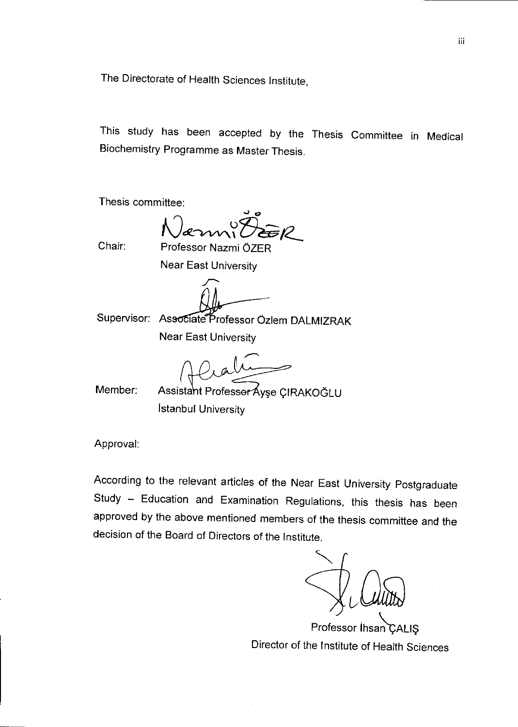The Directorate of Health Sciences Institute,

This study has been accepted by the Thesis Committee in Medical Biochemistry Programme as Master Thesis.

Thesis committee:

Chair:

Professor Nazmi ÖZER

**Near East University** 

Supervisor: Associate Professor Özlem DALMIZRAK

**Near East University** 

Member:

Assistant Professor Áyşe ÇIRAKOĞLU **İstanbul University** 

Approval:

According to the relevant articles of the Near East University Postgraduate Study - Education and Examination Regulations, this thesis has been approved by the above mentioned members of the thesis committee and the decision of the Board of Directors of the Institute.

Professor Ihsan CALIS Director of the Institute of Health Sciences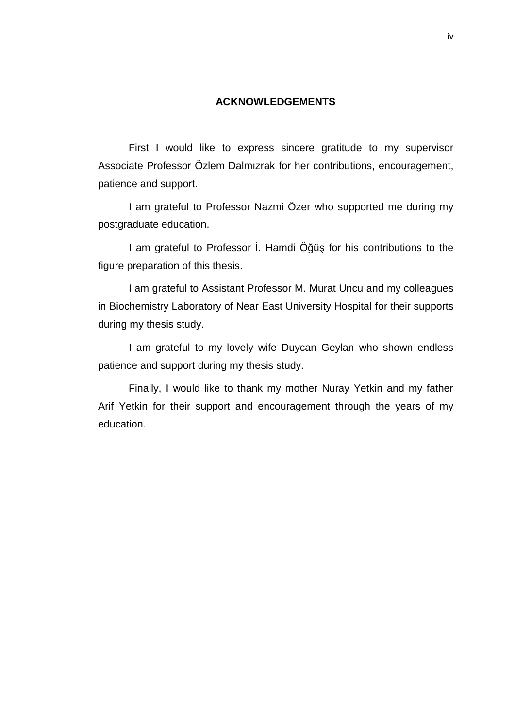## **ACKNOWLEDGEMENTS**

First I would like to express sincere gratitude to my supervisor Associate Professor Özlem Dalmızrak for her contributions, encouragement, patience and support.

I am grateful to Professor Nazmi Özer who supported me during my postgraduate education.

I am grateful to Professor. Hamdi  $\ddot{O}$   $\ddot{u}$  for his contributions to the figure preparation of this thesis.

I am grateful to Assistant Professor M. Murat Uncu and my colleagues in Biochemistry Laboratory of Near East University Hospital for their supports during my thesis study.

I am grateful to my lovely wife Duycan Geylan who shown endless patience and support during my thesis study.

Finally, I would like to thank my mother Nuray Yetkin and my father Arif Yetkin for their support and encouragement through the years of my education.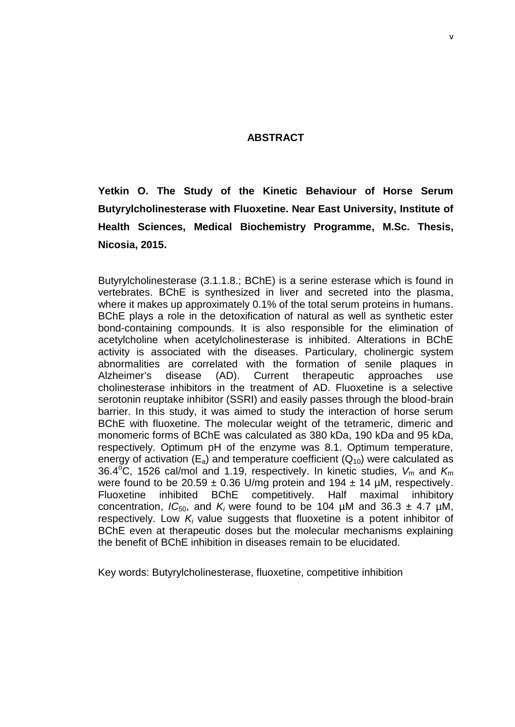## **ABSTRACT**

**Yetkin O. The Study of the Kinetic Behaviour of Horse Serum Butyrylcholinesterase with Fluoxetine. Near East University, Institute of Health Sciences, Medical Biochemistry Programme, M.Sc. Thesis, Nicosia, 2015.**

Butyrylcholinesterase (3.1.1.8.; BChE) is a serine esterase which is found in vertebrates. BChE is synthesized in liver and secreted into the plasma, where it makes up approximately 0.1% of the total serum proteins in humans. BChE plays a role in the detoxification of natural as well as synthetic ester bond-containing compounds. It is also responsible for the elimination of acetylcholine when acetylcholinesterase is inhibited. Alterations in BChE activity is associated with the diseases. Particulary, cholinergic system abnormalities are correlated with the formation of senile plaques in Alzheimer's disease (AD). Current therapeutic approaches use cholinesterase inhibitors in the treatment of AD. Fluoxetine is a selective serotonin reuptake inhibitor (SSRI) and easily passes through the blood-brain barrier. In this study, it was aimed to study the interaction of horse serum BChE with fluoxetine. The molecular weight of the tetrameric, dimeric and monomeric forms of BChE was calculated as 380 kDa, 190 kDa and 95 kDa, respectively. Optimum pH of the enzyme was 8.1. Optimum temperature, energy of activation  $(E_a)$  and temperature coefficient  $(Q_{10})$  were calculated as 36.4<sup>o</sup>C, 1526 cal/mol and 1.19, respectively. In kinetic studies,  $V_m$  and  $K_m$ were found to be 20.59  $\pm$  0.36 U/mg protein and 194  $\pm$  14 µM, respectively. Fluoxetine inhibited BChE competitively. Half maximal inhibitory concentration,  $IC_{50}$ , and  $K_i$  were found to be 104 uM and 36.3  $\pm$  4.7 uM. respectively. Low  $K_i$  value suggests that fluoxetine is a potent inhibitor of BChE even at therapeutic doses but the molecular mechanisms explaining the benefit of BChE inhibition in diseases remain to be elucidated.

Key words: Butyrylcholinesterase, fluoxetine, competitive inhibition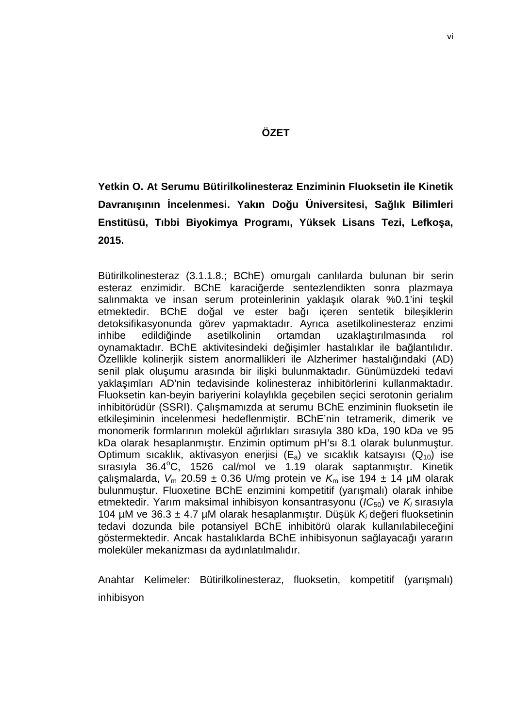## **ÖZET**

## **Yetkin O. At Serumu Bütirilkolinesteraz Enziminin Fluoksetin ile Kinetik Davranışının İncelenmesi. Yakın Doğu Üniversitesi, Sağlık Bilimleri Enstitüsü, Tıbbi Biyokimya Programı, Yüksek Lisans Tezi, Lefkoşa, 2015.**

Bütirilkolinesteraz (3.1.1.8.; BChE) omurgalı canlılarda bulunan bir serin esteraz enzimidir. BChE karaci erde sentezlendikten sonra plazmaya salınmakta ve insan serum proteinlerinin yakla ık olarak %0.1'ini te kil etmektedir. BChE do al ve ester balı içeren sentetik bile iklerin detoksifikasyonunda görev yapmaktadır. Ayrıca asetilkolinesteraz enzimi inhibe edildi inde asetilkolinin ortamdan uzakla-tırılmasında rol oynamaktadır. BChE aktivitesindeki de i imler hastalıklar ile ba lantılıdır. Özellikle kolinerjik sistem anormallikleri ile Alzherimer hastalığındaki (AD) senil plak olu umu arasında bir ili ki bulunmaktadır. Günümüzdeki tedavi yaklaşımları AD'nin tedavisinde kolinesteraz inhibitörlerini kullanmaktadır. Fluoksetin kan-beyin bariyerini kolaylıkla geçebilen seçici serotonin gerialım inhibitörüdür (SSRI). Çalı mamızda at serumu BChE enziminin fluoksetin ile etkile iminin incelenmesi hedeflenmi tir. BChE'nin tetramerik, dimerik ve monomerik formlarının molekül a ırlıkları sırasıyla 380 kDa, 190 kDa ve 95 kDa olarak hesaplanmı tır. Enzimin optimum pH'sı 8.1 olarak bulunmu tur. Optimum sıcaklık, aktivasyon enerjisi  $(E_a)$  ve sıcaklık katsayısı  $(Q_{10})$  ise sırasıyla  $36.4^{\circ}$ C, 1526 cal/mol ve 1.19 olarak saptanmıtır. Kinetik calı malarda,  $V_m$  20.59 ± 0.36 U/mg protein ve  $K_m$  ise 194 ± 14 µM olarak bulunmu tur. Fluoxetine BChE enzimini kompetitif (yarı malı) olarak inhibe etmektedir. Yarım maksimal inhibisyon konsantrasyonu (*IC*50) ve *K<sup>i</sup>* sırasıyla 104 µM ve 36.3 ± 4.7 µM olarak hesaplanmı tır. Dü ük  $K_i$ de eri fluoksetinin tedavi dozunda bile potansiyel BChE inhibitörü olarak kullanılabilece ini göstermektedir. Ancak hastalıklarda BChE inhibisyonun sağlayacağı yararın moleküler mekanizması da aydınlatılmalıdır.

Anahtar Kelimeler: Bütirilkolinesteraz, fluoksetin, kompetitif (yarı malı) inhibisyon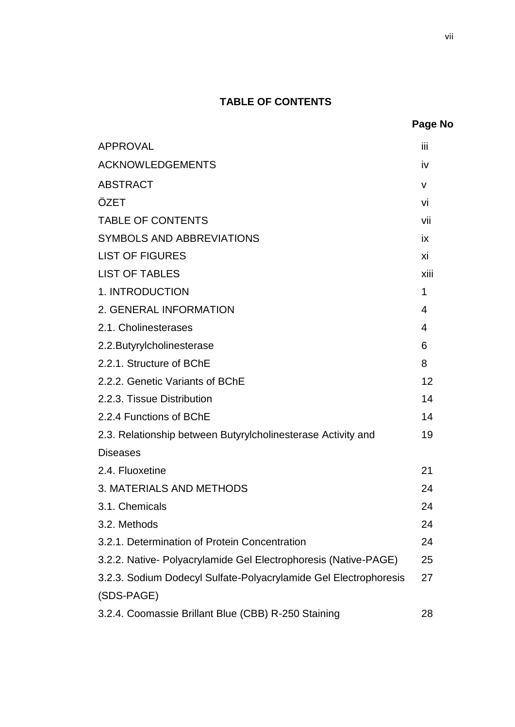## **TABLE OF CONTENTS**

| <b>APPROVAL</b>                                                  | iii          |
|------------------------------------------------------------------|--------------|
| <b>ACKNOWLEDGEMENTS</b>                                          | iv           |
| <b>ABSTRACT</b>                                                  | $\mathsf{V}$ |
| ÖZET                                                             | vi           |
| <b>TABLE OF CONTENTS</b>                                         | vii          |
| SYMBOLS AND ABBREVIATIONS                                        | ix           |
| <b>LIST OF FIGURES</b>                                           | хi           |
| <b>LIST OF TABLES</b>                                            | xiii         |
| 1. INTRODUCTION                                                  | 1            |
| 2. GENERAL INFORMATION                                           | 4            |
| 2.1. Cholinesterases                                             | 4            |
| 2.2. Butyrylcholinesterase                                       | 6            |
| 2.2.1. Structure of BChE                                         | 8            |
| 2.2.2. Genetic Variants of BChE                                  | 12           |
| 2.2.3. Tissue Distribution                                       | 14           |
| 2.2.4 Functions of BChE                                          | 14           |
| 2.3. Relationship between Butyrylcholinesterase Activity and     | 19           |
| <b>Diseases</b>                                                  |              |
| 2.4. Fluoxetine                                                  | 21           |
| 3. MATERIALS AND METHODS                                         | 24           |
| 3.1. Chemicals                                                   | 24           |
| 3.2. Methods                                                     | 24           |
| 3.2.1. Determination of Protein Concentration                    | 24           |
| 3.2.2. Native- Polyacrylamide Gel Electrophoresis (Native-PAGE)  | 25           |
| 3.2.3. Sodium Dodecyl Sulfate-Polyacrylamide Gel Electrophoresis | 27           |
| (SDS-PAGE)                                                       |              |
| 3.2.4. Coomassie Brillant Blue (CBB) R-250 Staining              | 28           |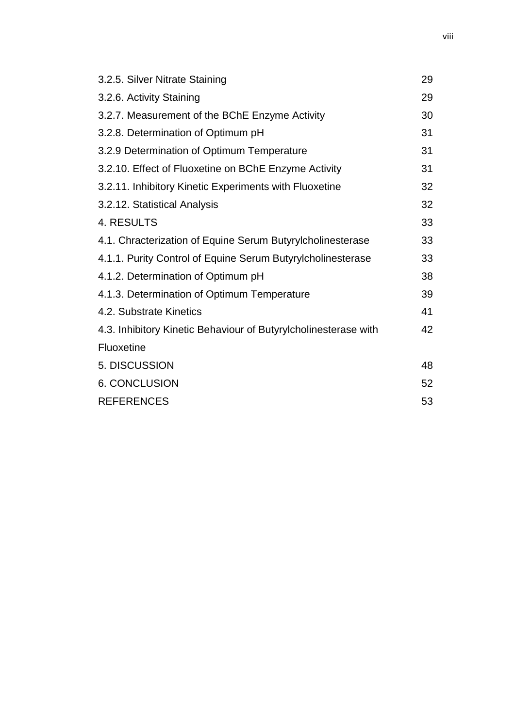| 3.2.5. Silver Nitrate Staining                                  | 29 |
|-----------------------------------------------------------------|----|
| 3.2.6. Activity Staining                                        | 29 |
| 3.2.7. Measurement of the BChE Enzyme Activity                  | 30 |
| 3.2.8. Determination of Optimum pH                              | 31 |
| 3.2.9 Determination of Optimum Temperature                      | 31 |
| 3.2.10. Effect of Fluoxetine on BChE Enzyme Activity            | 31 |
| 3.2.11. Inhibitory Kinetic Experiments with Fluoxetine          | 32 |
| 3.2.12. Statistical Analysis                                    | 32 |
| 4. RESULTS                                                      | 33 |
| 4.1. Chracterization of Equine Serum Butyrylcholinesterase      | 33 |
| 4.1.1. Purity Control of Equine Serum Butyrylcholinesterase     | 33 |
| 4.1.2. Determination of Optimum pH                              | 38 |
| 4.1.3. Determination of Optimum Temperature                     | 39 |
| 4.2. Substrate Kinetics                                         | 41 |
| 4.3. Inhibitory Kinetic Behaviour of Butyrylcholinesterase with | 42 |
| Fluoxetine                                                      |    |
| 5. DISCUSSION                                                   | 48 |
| <b>6. CONCLUSION</b>                                            | 52 |
| <b>REFERENCES</b>                                               | 53 |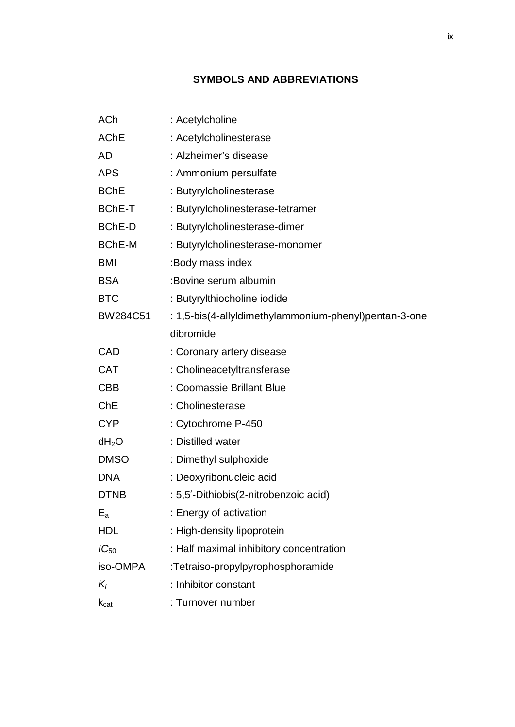## **SYMBOLS AND ABBREVIATIONS**

| <b>ACh</b>      | : Acetylcholine                                       |
|-----------------|-------------------------------------------------------|
| <b>AChE</b>     | : Acetylcholinesterase                                |
| <b>AD</b>       | : Alzheimer's disease                                 |
| <b>APS</b>      | : Ammonium persulfate                                 |
| <b>BChE</b>     | : Butyrylcholinesterase                               |
| <b>BChE-T</b>   | : Butyrylcholinesterase-tetramer                      |
| <b>BChE-D</b>   | : Butyrylcholinesterase-dimer                         |
| <b>BChE-M</b>   | : Butyrylcholinesterase-monomer                       |
| <b>BMI</b>      | :Body mass index                                      |
| <b>BSA</b>      | :Bovine serum albumin                                 |
| <b>BTC</b>      | : Butyrylthiocholine iodide                           |
| <b>BW284C51</b> | : 1,5-bis(4-allyldimethylammonium-phenyl)pentan-3-one |
|                 | dibromide                                             |
| CAD             | : Coronary artery disease                             |
| <b>CAT</b>      | : Cholineacetyltransferase                            |
| <b>CBB</b>      | : Coomassie Brillant Blue                             |
| ChE             | : Cholinesterase                                      |
| <b>CYP</b>      | : Cytochrome P-450                                    |
| $dH_2O$         | : Distilled water                                     |
| <b>DMSO</b>     | : Dimethyl sulphoxide                                 |
| <b>DNA</b>      | : Deoxyribonucleic acid                               |
| <b>DTNB</b>     | : 5,5 - Dithiobis (2-nitrobenzoic acid)               |
| $E_{a}$         | : Energy of activation                                |
| <b>HDL</b>      | : High-density lipoprotein                            |
| $IC_{50}$       | : Half maximal inhibitory concentration               |
| iso-OMPA        | :Tetraiso-propylpyrophosphoramide                     |
| $K_i$           | : Inhibitor constant                                  |
| $k_{cat}$       | : Turnover number                                     |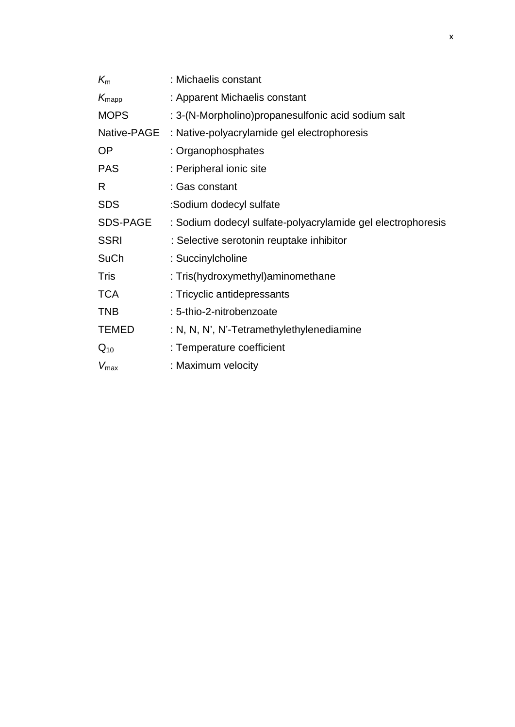| $K_{m}$           | : Michaelis constant                                        |
|-------------------|-------------------------------------------------------------|
| $K_{\text{mapp}}$ | : Apparent Michaelis constant                               |
| <b>MOPS</b>       | : 3-(N-Morpholino)propanesulfonic acid sodium salt          |
| Native-PAGE       | : Native-polyacrylamide gel electrophoresis                 |
| <b>OP</b>         | : Organophosphates                                          |
| <b>PAS</b>        | : Peripheral ionic site                                     |
| R                 | : Gas constant                                              |
| <b>SDS</b>        | :Sodium dodecyl sulfate                                     |
| <b>SDS-PAGE</b>   | : Sodium dodecyl sulfate-polyacrylamide gel electrophoresis |
| <b>SSRI</b>       | : Selective serotonin reuptake inhibitor                    |
| <b>SuCh</b>       | : Succinylcholine                                           |
| Tris              | : Tris(hydroxymethyl) aminomethane                          |
| <b>TCA</b>        | : Tricyclic antidepressants                                 |
| <b>TNB</b>        | : 5-thio-2-nitrobenzoate                                    |
| <b>TEMED</b>      | : N, N, N', N'-Tetramethylethylenediamine                   |
| $Q_{10}$          | : Temperature coefficient                                   |
| $V_{\text{max}}$  | : Maximum velocity                                          |
|                   |                                                             |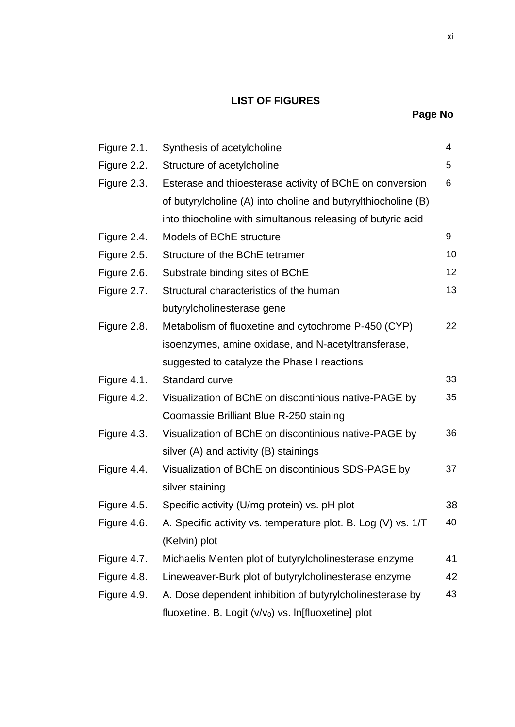## **LIST OF FIGURES**

| Figure 2.1. | Synthesis of acetylcholine                                    | 4  |
|-------------|---------------------------------------------------------------|----|
| Figure 2.2. | Structure of acetylcholine                                    | 5  |
| Figure 2.3. | Esterase and thioesterase activity of BChE on conversion      | 6  |
|             | of butyrylcholine (A) into choline and butyrylthiocholine (B) |    |
|             | into thiocholine with simultanous releasing of butyric acid   |    |
| Figure 2.4. | Models of BChE structure                                      | 9  |
| Figure 2.5. | Structure of the BChE tetramer                                | 10 |
| Figure 2.6. | Substrate binding sites of BChE                               | 12 |
| Figure 2.7. | Structural characteristics of the human                       | 13 |
|             | butyrylcholinesterase gene                                    |    |
| Figure 2.8. | Metabolism of fluoxetine and cytochrome P-450 (CYP)           | 22 |
|             | isoenzymes, amine oxidase, and N-acetyltransferase,           |    |
|             | suggested to catalyze the Phase I reactions                   |    |
| Figure 4.1. | Standard curve                                                | 33 |
| Figure 4.2. | Visualization of BChE on discontinious native-PAGE by         | 35 |
|             | Coomassie Brilliant Blue R-250 staining                       |    |
| Figure 4.3. | Visualization of BChE on discontinious native-PAGE by         | 36 |
|             | silver (A) and activity (B) stainings                         |    |
| Figure 4.4. | Visualization of BChE on discontinious SDS-PAGE by            | 37 |
|             | silver staining                                               |    |
| Figure 4.5. | Specific activity (U/mg protein) vs. pH plot                  | 38 |
| Figure 4.6. | A. Specific activity vs. temperature plot. B. Log (V) vs. 1/T | 40 |
|             | (Kelvin) plot                                                 |    |
| Figure 4.7. | Michaelis Menten plot of butyrylcholinesterase enzyme         | 41 |
| Figure 4.8. | Lineweaver-Burk plot of butyrylcholinesterase enzyme          | 42 |
| Figure 4.9. | A. Dose dependent inhibition of butyrylcholinesterase by      | 43 |
|             | fluoxetine. B. Logit $(v/v_0)$ vs. In[fluoxetine] plot        |    |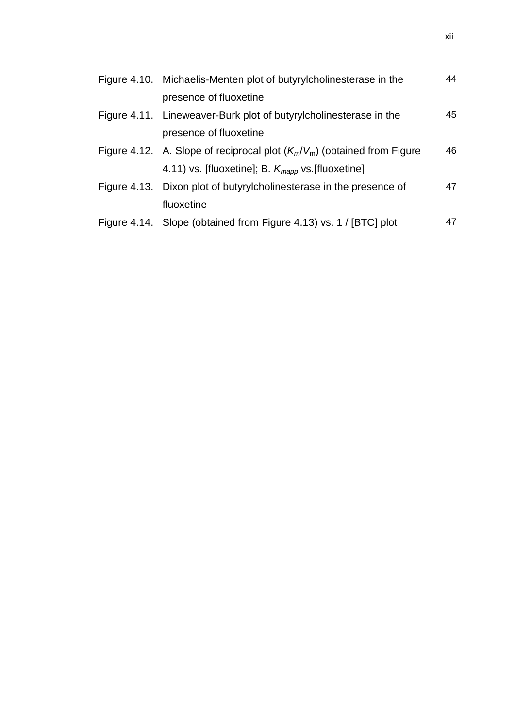| Figure 4.10. Michaelis-Menten plot of butyrylcholinesterase in the         | 44 |
|----------------------------------------------------------------------------|----|
| presence of fluoxetine                                                     |    |
| Figure 4.11. Lineweaver-Burk plot of butyrylcholinesterase in the          | 45 |
| presence of fluoxetine                                                     |    |
| Figure 4.12. A. Slope of reciprocal plot $(K_m/V_m)$ (obtained from Figure | 46 |
| 4.11) vs. [fluoxetine]; B. $K_{\text{map}}$ vs. [fluoxetine]               |    |
| Figure 4.13. Dixon plot of butyrylcholinesterase in the presence of        | 47 |
| fluoxetine                                                                 |    |
| Figure 4.14. Slope (obtained from Figure 4.13) vs. 1 / [BTC] plot          | 47 |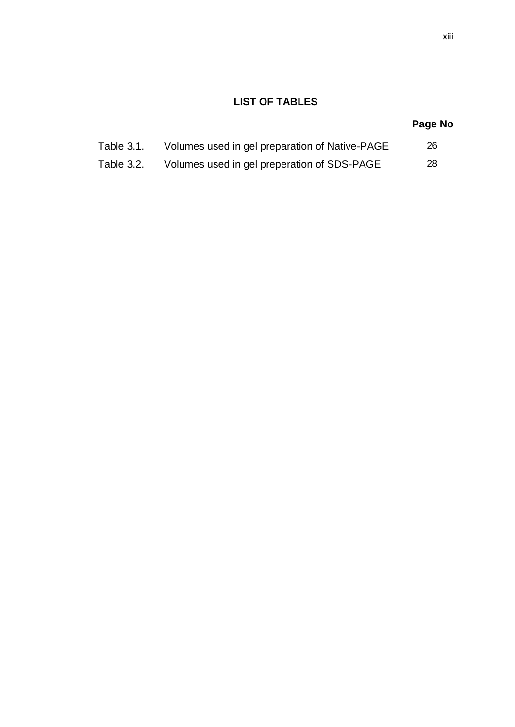## **LIST OF TABLES**

## **Page No**

| Table 3.1. | Volumes used in gel preparation of Native-PAGE |  |
|------------|------------------------------------------------|--|
|            |                                                |  |

Table 3.2. Volumes used in gel preperation of SDS-PAGE 28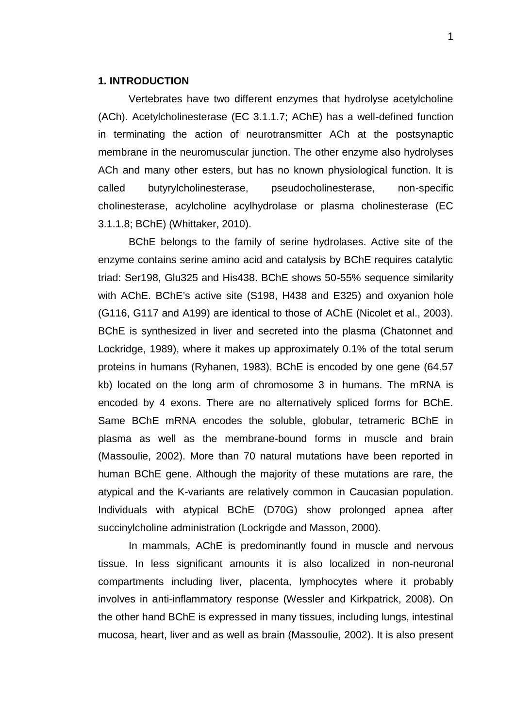## **1. INTRODUCTION**

Vertebrates have two different enzymes that hydrolyse acetylcholine (ACh). Acetylcholinesterase (EC 3.1.1.7; AChE) has a well-defined function in terminating the action of neurotransmitter ACh at the postsynaptic membrane in the neuromuscular junction. The other enzyme also hydrolyses ACh and many other esters, but has no known physiological function. It is called butyrylcholinesterase, pseudocholinesterase, non-specific cholinesterase, acylcholine acylhydrolase or plasma cholinesterase (EC 3.1.1.8; BChE) (Whittaker, 2010).

BChE belongs to the family of serine hydrolases. Active site of the enzyme contains serine amino acid and catalysis by BChE requires catalytic triad: Ser198, Glu325 and His438. BChE shows 50-55% sequence similarity with AChE. BChE's active site (S198, H438 and E325) and oxyanion hole (G116, G117 and A199) are identical to those of AChE (Nicolet et al., 2003). BChE is synthesized in liver and secreted into the plasma (Chatonnet and Lockridge, 1989), where it makes up approximately 0.1% of the total serum proteins in humans (Ryhanen, 1983). BChE is encoded by one gene (64.57 kb) located on the long arm of chromosome 3 in humans. The mRNA is encoded by 4 exons. There are no alternatively spliced forms for BChE. Same BChE mRNA encodes the soluble, globular, tetrameric BChE in plasma as well as the membrane-bound forms in muscle and brain (Massoulie, 2002). More than 70 natural mutations have been reported in human BChE gene. Although the majority of these mutations are rare, the atypical and the K-variants are relatively common in Caucasian population. Individuals with atypical BChE (D70G) show prolonged apnea after succinylcholine administration (Lockrigde and Masson, 2000).

In mammals, AChE is predominantly found in muscle and nervous tissue. In less significant amounts it is also localized in non-neuronal compartments including liver, placenta, lymphocytes where it probably involves in anti-inflammatory response (Wessler and Kirkpatrick, 2008). On the other hand BChE is expressed in many tissues, including lungs, intestinal mucosa, heart, liver and as well as brain (Massoulie, 2002). It is also present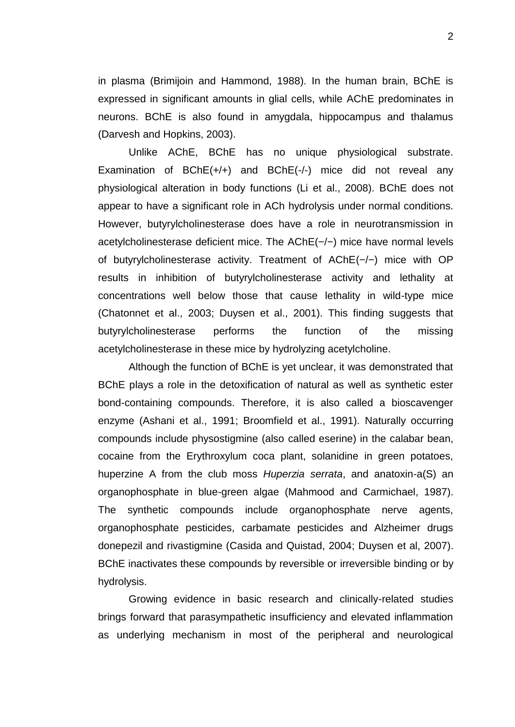in plasma (Brimijoin and Hammond, 1988). In the human brain, BChE is expressed in significant amounts in glial cells, while AChE predominates in neurons. BChE is also found in amygdala, hippocampus and thalamus (Darvesh and Hopkins, 2003).

Unlike AChE, BChE has no unique physiological substrate. Examination of BChE(+/+) and BChE(-/-) mice did not reveal any physiological alteration in body functions (Li et al., 2008). BChE does not appear to have a significant role in ACh hydrolysis under normal conditions. However, butyrylcholinesterase does have a role in neurotransmission in acetylcholinesterase deficient mice. The AChE(−/−) mice have normal levels of butyrylcholinesterase activity. Treatment of AChE(−/−) mice with OP results in inhibition of butyrylcholinesterase activity and lethality at concentrations well below those that cause lethality in wild-type mice (Chatonnet et al., 2003; Duysen et al., 2001). This finding suggests that butyrylcholinesterase performs the function of the missing acetylcholinesterase in these mice by hydrolyzing acetylcholine.

Although the function of BChE is yet unclear, it was demonstrated that BChE plays a role in the detoxification of natural as well as synthetic ester bond-containing compounds. Therefore, it is also called a bioscavenger enzyme (Ashani et al., 1991; Broomfield et al., 1991). Naturally occurring compounds include physostigmine (also called eserine) in the calabar bean, cocaine from the Erythroxylum coca plant, solanidine in green potatoes, huperzine A from the club moss *Huperzia serrata*, and anatoxin-a(S) an organophosphate in blue-green algae (Mahmood and Carmichael, 1987). The synthetic compounds include organophosphate nerve agents, organophosphate pesticides, carbamate pesticides and Alzheimer drugs donepezil and rivastigmine (Casida and Quistad, 2004; Duysen et al, 2007). BChE inactivates these compounds by reversible or irreversible binding or by hydrolysis.

Growing evidence in basic research and clinically-related studies brings forward that parasympathetic insufficiency and elevated inflammation as underlying mechanism in most of the peripheral and neurological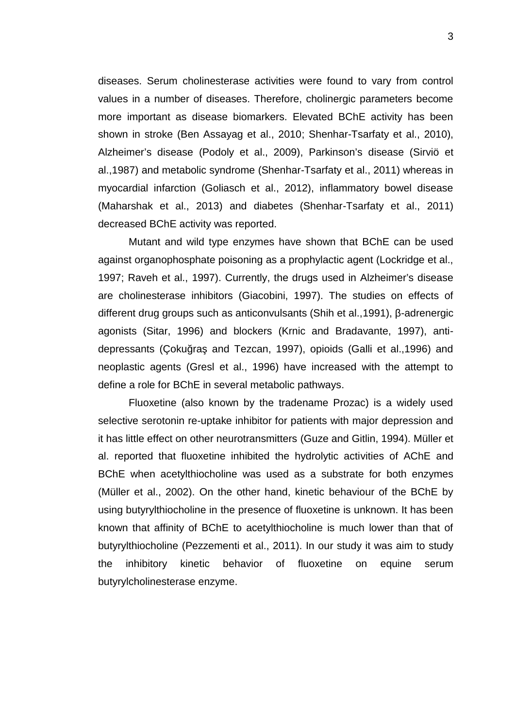diseases. Serum cholinesterase activities were found to vary from control values in a number of diseases. Therefore, cholinergic parameters become more important as disease biomarkers. Elevated BChE activity has been shown in stroke (Ben Assayag et al., 2010; Shenhar-Tsarfaty et al., 2010), Alzheimer's disease (Podoly et al., 2009), Parkinson's disease (Sirviö et al.,1987) and metabolic syndrome (Shenhar-Tsarfaty et al., 2011) whereas in myocardial infarction (Goliasch et al., 2012), inflammatory bowel disease (Maharshak et al., 2013) and diabetes (Shenhar-Tsarfaty et al., 2011) decreased BChE activity was reported.

Mutant and wild type enzymes have shown that BChE can be used against organophosphate poisoning as a prophylactic agent (Lockridge et al., 1997; Raveh et al., 1997). Currently, the drugs used in Alzheimer's disease are cholinesterase inhibitors (Giacobini, 1997). The studies on effects of different drug groups such as anticonvulsants (Shih et al., 1991), -adrenergic agonists (Sitar, 1996) and blockers (Krnic and Bradavante, 1997), anti depressants (Çoku ra and Tezcan, 1997), opioids (Galli et al.,1996) and neoplastic agents (Gresl et al., 1996) have increased with the attempt to define a role for BChE in several metabolic pathways.

Fluoxetine (also known by the tradename Prozac) is a widely used selective serotonin re-uptake inhibitor for patients with major depression and it has little effect on other neurotransmitters (Guze and Gitlin, 1994). Müller et al. reported that fluoxetine inhibited the hydrolytic activities of AChE and BChE when acetylthiocholine was used as a substrate for both enzymes (Müller et al., 2002). On the other hand, kinetic behaviour of the BChE by using butyrylthiocholine in the presence of fluoxetine is unknown. It has been known that affinity of BChE to acetylthiocholine is much lower than that of butyrylthiocholine (Pezzementi et al., 2011). In our study it was aim to study the inhibitory kinetic behavior of fluoxetine on equine serum butyrylcholinesterase enzyme.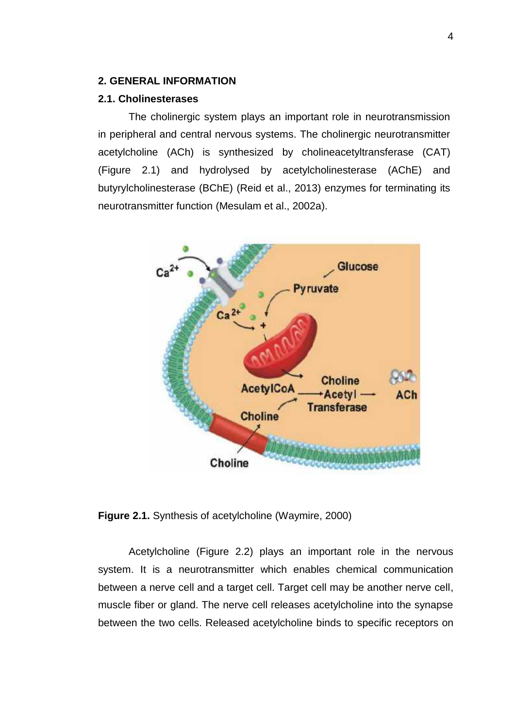## **2. GENERAL INFORMATION**

## **2.1. Cholinesterases**

The cholinergic system plays an important role in neurotransmission in peripheral and central nervous systems. The cholinergic neurotransmitter acetylcholine (ACh) is synthesized by cholineacetyltransferase (CAT) (Figure 2.1) and hydrolysed by acetylcholinesterase (AChE) and butyrylcholinesterase (BChE) (Reid et al., 2013) enzymes for terminating its neurotransmitter function (Mesulam et al., 2002a).



**Figure 2.1.** Synthesis of acetylcholine (Waymire, 2000)

Acetylcholine (Figure 2.2) plays an important role in the nervous system. It is a neurotransmitter which enables chemical communication between a nerve cell and a target cell. Target cell may be another nerve cell, muscle fiber or gland. The nerve cell releases acetylcholine into the synapse between the two cells. Released acetylcholine binds to specific receptors on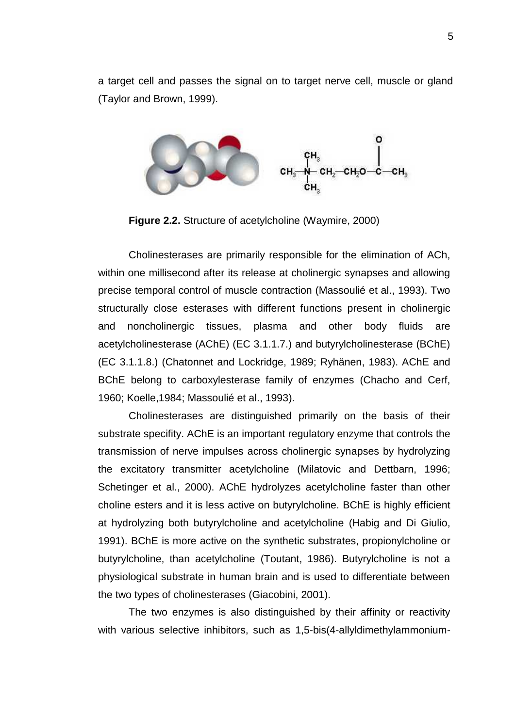a target cell and passes the signal on to target nerve cell, muscle or gland (Taylor and Brown, 1999).



**Figure 2.2.** Structure of acetylcholine (Waymire, 2000)

Cholinesterases are primarily responsible for the elimination of ACh, within one millisecond after its release at cholinergic synapses and allowing precise temporal control of muscle contraction (Massoulié et al., 1993). Two structurally close esterases with different functions present in cholinergic and noncholinergic tissues, plasma and other body fluids are acetylcholinesterase (AChE) (EC 3.1.1.7.) and butyrylcholinesterase (BChE) (EC 3.1.1.8.) (Chatonnet and Lockridge, 1989; Ryhänen, 1983). AChE and BChE belong to carboxylesterase family of enzymes (Chacho and Cerf, 1960; Koelle,1984; Massoulié et al., 1993).

Cholinesterases are distinguished primarily on the basis of their substrate specifity. AChE is an important regulatory enzyme that controls the transmission of nerve impulses across cholinergic synapses by hydrolyzing the excitatory transmitter acetylcholine (Milatovic and Dettbarn, 1996; Schetinger et al., 2000). AChE hydrolyzes acetylcholine faster than other choline esters and it is less active on butyrylcholine. BChE is highly efficient at hydrolyzing both butyrylcholine and acetylcholine (Habig and Di Giulio, 1991). BChE is more active on the synthetic substrates, propionylcholine or butyrylcholine, than acetylcholine (Toutant, 1986). Butyrylcholine is not a physiological substrate in human brain and is used to differentiate between the two types of cholinesterases (Giacobini, 2001).

The two enzymes is also distinguished by their affinity or reactivity with various selective inhibitors, such as 1,5-bis(4-allyldimethylammonium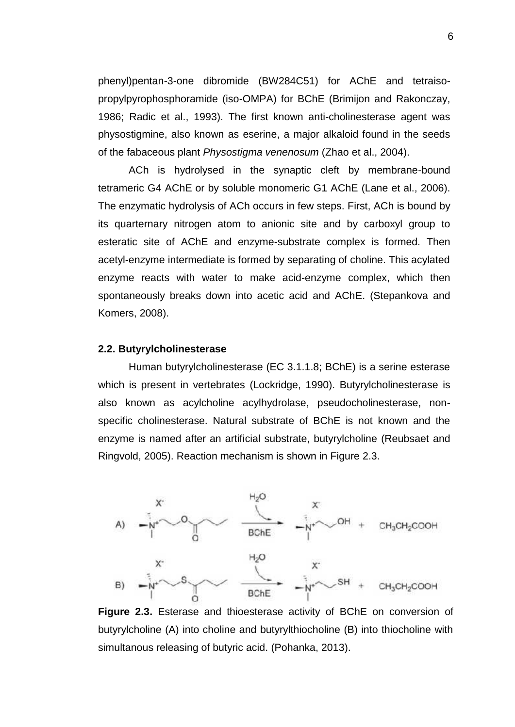phenyl)pentan-3-one dibromide (BW284C51) for AChE and tetraiso propylpyrophosphoramide (iso-OMPA) for BChE (Brimijon and Rakonczay, 1986; Radic et al., 1993). The first known anti-cholinesterase agent was physostigmine, also known as eserine, a major alkaloid found in the seeds of the fabaceous plant *Physostigma venenosum* (Zhao et al., 2004).

ACh is hydrolysed in the synaptic cleft by membrane-bound tetrameric G4 AChE or by soluble monomeric G1 AChE (Lane et al., 2006). The enzymatic hydrolysis of ACh occurs in few steps. First, ACh is bound by its quarternary nitrogen atom to anionic site and by carboxyl group to esteratic site of AChE and enzyme-substrate complex is formed. Then acetyl-enzyme intermediate is formed by separating of choline. This acylated enzyme reacts with water to make acid-enzyme complex, which then spontaneously breaks down into acetic acid and AChE. (Stepankova and Komers, 2008).

### **2.2. Butyrylcholinesterase**

Human butyrylcholinesterase (EC 3.1.1.8; BChE) is a serine esterase which is present in vertebrates (Lockridge, 1990). Butyrylcholinesterase is also known as acylcholine acylhydrolase, pseudocholinesterase, non specific cholinesterase. Natural substrate of BChE is not known and the enzyme is named after an artificial substrate, butyrylcholine (Reubsaet and Ringvold, 2005). Reaction mechanism is shown in Figure 2.3.



**Figure 2.3.** Esterase and thioesterase activity of BChE on conversion of butyrylcholine (A) into choline and butyrylthiocholine (B) into thiocholine with simultanous releasing of butyric acid. (Pohanka, 2013).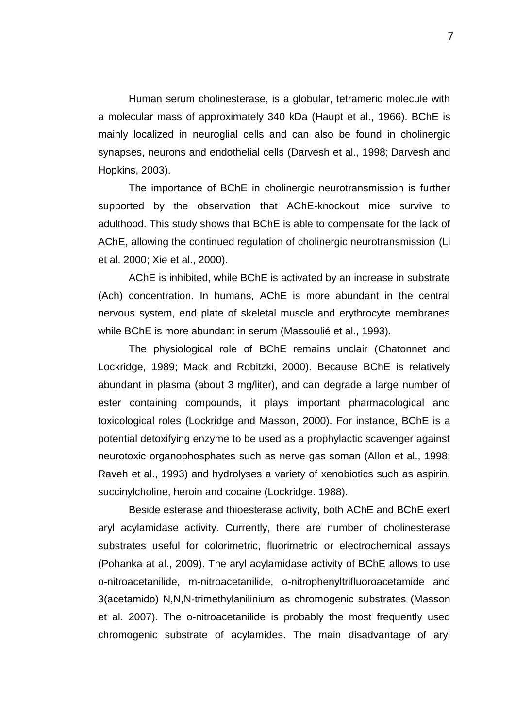Human serum cholinesterase, is a globular, tetrameric molecule with a molecular mass of approximately 340 kDa (Haupt et al., 1966). BChE is mainly localized in neuroglial cells and can also be found in cholinergic synapses, neurons and endothelial cells (Darvesh et al., 1998; Darvesh and Hopkins, 2003).

The importance of BChE in cholinergic neurotransmission is further supported by the observation that AChE-knockout mice survive to adulthood. This study shows that BChE is able to compensate for the lack of AChE, allowing the continued regulation of cholinergic neurotransmission (Li et al. 2000; Xie et al., 2000).

AChE is inhibited, while BChE is activated by an increase in substrate (Ach) concentration. In humans, AChE is more abundant in the central nervous system, end plate of skeletal muscle and erythrocyte membranes while BChE is more abundant in serum (Massoulié et al., 1993).

The physiological role of BChE remains unclair (Chatonnet and Lockridge, 1989; Mack and Robitzki, 2000). Because BChE is relatively abundant in plasma (about 3 mg/liter), and can degrade a large number of ester containing compounds, it plays important pharmacological and toxicological roles (Lockridge and Masson, 2000). For instance, BChE is a potential detoxifying enzyme to be used as a prophylactic scavenger against neurotoxic organophosphates such as nerve gas soman (Allon et al., 1998; Raveh et al., 1993) and hydrolyses a variety of xenobiotics such as aspirin, succinylcholine, heroin and cocaine (Lockridge. 1988).

Beside esterase and thioesterase activity, both AChE and BChE exert aryl acylamidase activity. Currently, there are number of cholinesterase substrates useful for colorimetric, fluorimetric or electrochemical assays (Pohanka at al., 2009). The aryl acylamidase activity of BChE allows to use o-nitroacetanilide, m-nitroacetanilide, o-nitrophenyltrifluoroacetamide and 3(acetamido) N,N,N-trimethylanilinium as chromogenic substrates (Masson et al. 2007). The o-nitroacetanilide is probably the most frequently used chromogenic substrate of acylamides. The main disadvantage of aryl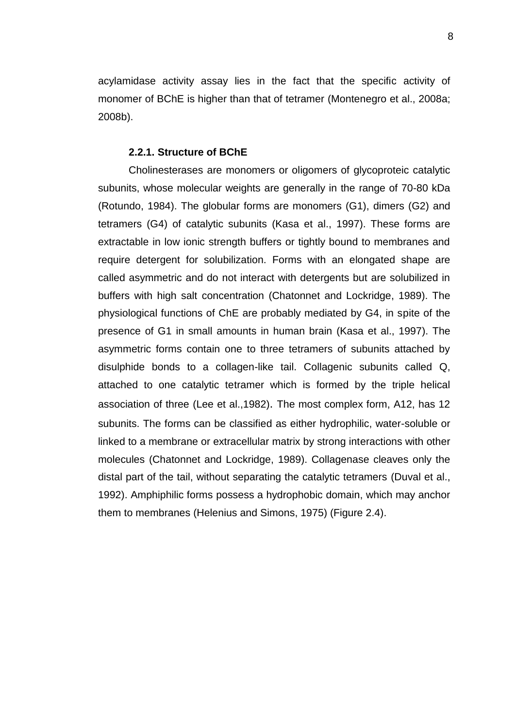acylamidase activity assay lies in the fact that the specific activity of monomer of BChE is higher than that of tetramer (Montenegro et al., 2008a; 2008b).

#### **2.2.1. Structure of BChE**

Cholinesterases are monomers or oligomers of glycoproteic catalytic subunits, whose molecular weights are generally in the range of 70-80 kDa (Rotundo, 1984). The globular forms are monomers (G1), dimers (G2) and tetramers (G4) of catalytic subunits (Kasa et al., 1997). These forms are extractable in low ionic strength buffers or tightly bound to membranes and require detergent for solubilization. Forms with an elongated shape are called asymmetric and do not interact with detergents but are solubilized in buffers with high salt concentration (Chatonnet and Lockridge, 1989). The physiological functions of ChE are probably mediated by G4, in spite of the presence of G1 in small amounts in human brain (Kasa et al., 1997). The asymmetric forms contain one to three tetramers of subunits attached by disulphide bonds to a collagen-like tail. Collagenic subunits called Q, attached to one catalytic tetramer which is formed by the triple helical association of three (Lee et al.,1982). The most complex form, A12, has 12 subunits. The forms can be classified as either hydrophilic, water-soluble or linked to a membrane or extracellular matrix by strong interactions with other molecules (Chatonnet and Lockridge, 1989). Collagenase cleaves only the distal part of the tail, without separating the catalytic tetramers (Duval et al., 1992). Amphiphilic forms possess a hydrophobic domain, which may anchor them to membranes (Helenius and Simons, 1975) (Figure 2.4).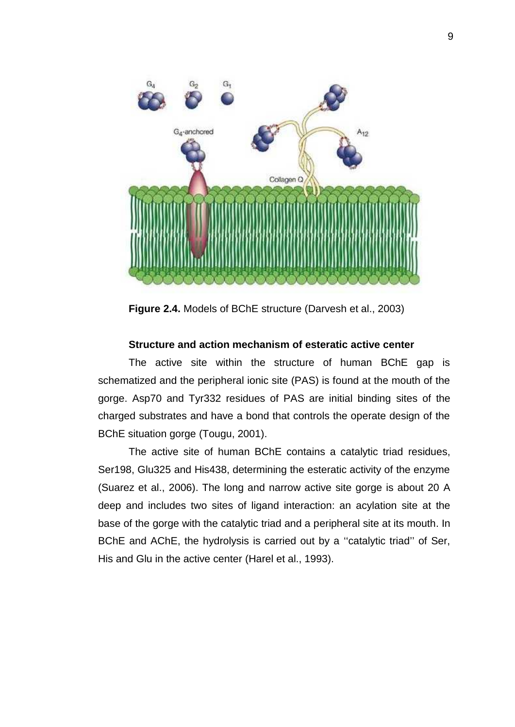

**Figure 2.4.** Models of BChE structure (Darvesh et al., 2003)

## **Structure and action mechanism of esteratic active center**

The active site within the structure of human BChE gap is schematized and the peripheral ionic site (PAS) is found at the mouth of the gorge. Asp70 and Tyr332 residues of PAS are initial binding sites of the charged substrates and have a bond that controls the operate design of the BChE situation gorge (Tougu, 2001).

The active site of human BChE contains a catalytic triad residues, Ser198, Glu325 and His438, determining the esteratic activity of the enzyme (Suarez et al., 2006). The long and narrow active site gorge is about 20 A deep and includes two sites of ligand interaction: an acylation site at the base of the gorge with the catalytic triad and a peripheral site at its mouth. In BChE and AChE, the hydrolysis is carried out by a ''catalytic triad'' of Ser, His and Glu in the active center (Harel et al., 1993).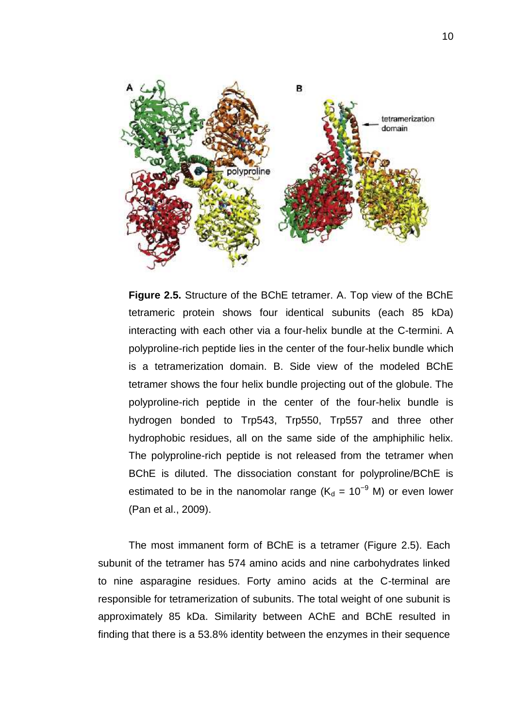

**Figure 2.5.** Structure of the BChE tetramer. A. Top view of the BChE tetrameric protein shows four identical subunits (each 85 kDa) interacting with each other via a four-helix bundle at the C-termini. A polyproline-rich peptide lies in the center of the four-helix bundle which is a tetramerization domain. B. Side view of the modeled BChE tetramer shows the four helix bundle projecting out of the globule. The polyproline-rich peptide in the center of the four-helix bundle is hydrogen bonded to Trp543, Trp550, Trp557 and three other hydrophobic residues, all on the same side of the amphiphilic helix. The polyproline-rich peptide is not released from the tetramer when BChE is diluted. The dissociation constant for polyproline/BChE is estimated to be in the nanomolar range ( $K_d = 10^{-9}$  M) or even lower (Pan et al., 2009).

The most immanent form of BChE is a tetramer (Figure 2.5). Each subunit of the tetramer has 574 amino acids and nine carbohydrates linked to nine asparagine residues. Forty amino acids at the C-terminal are responsible for tetramerization of subunits. The total weight of one subunit is approximately 85 kDa. Similarity between AChE and BChE resulted in finding that there is a 53.8% identity between the enzymes in their sequence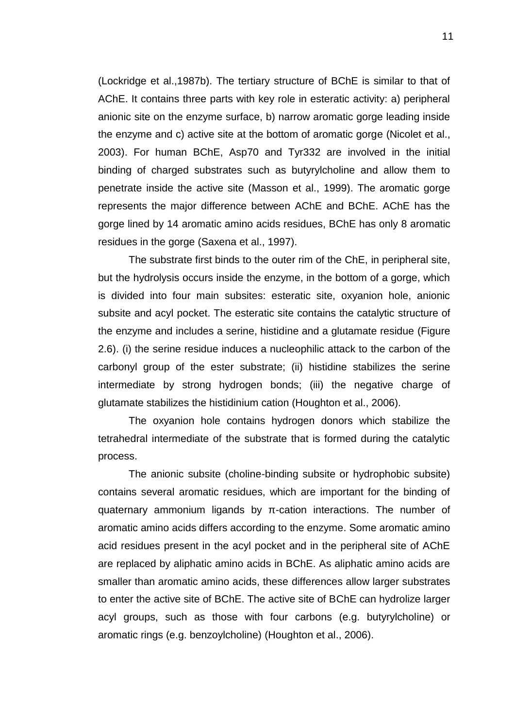(Lockridge et al.,1987b). The tertiary structure of BChE is similar to that of AChE. It contains three parts with key role in esteratic activity: a) peripheral anionic site on the enzyme surface, b) narrow aromatic gorge leading inside the enzyme and c) active site at the bottom of aromatic gorge (Nicolet et al., 2003). For human BChE, Asp70 and Tyr332 are involved in the initial binding of charged substrates such as butyrylcholine and allow them to penetrate inside the active site (Masson et al., 1999). The aromatic gorge represents the major difference between AChE and BChE. AChE has the gorge lined by 14 aromatic amino acids residues, BChE has only 8 aromatic residues in the gorge (Saxena et al., 1997).

The substrate first binds to the outer rim of the ChE, in peripheral site, but the hydrolysis occurs inside the enzyme, in the bottom of a gorge, which is divided into four main subsites: esteratic site, oxyanion hole, anionic subsite and acyl pocket. The esteratic site contains the catalytic structure of the enzyme and includes a serine, histidine and a glutamate residue (Figure 2.6). (i) the serine residue induces a nucleophilic attack to the carbon of the carbonyl group of the ester substrate; (ii) histidine stabilizes the serine intermediate by strong hydrogen bonds; (iii) the negative charge of glutamate stabilizes the histidinium cation (Houghton et al., 2006).

The oxyanion hole contains hydrogen donors which stabilize the tetrahedral intermediate of the substrate that is formed during the catalytic process.

The anionic subsite (choline-binding subsite or hydrophobic subsite) contains several aromatic residues, which are important for the binding of quaternary ammonium ligands by -cation interactions. The number of aromatic amino acids differs according to the enzyme. Some aromatic amino acid residues present in the acyl pocket and in the peripheral site of AChE are replaced by aliphatic amino acids in BChE. As aliphatic amino acids are smaller than aromatic amino acids, these differences allow larger substrates to enter the active site of BChE. The active site of BChE can hydrolize larger acyl groups, such as those with four carbons (e.g. butyrylcholine) or aromatic rings (e.g. benzoylcholine) (Houghton et al., 2006).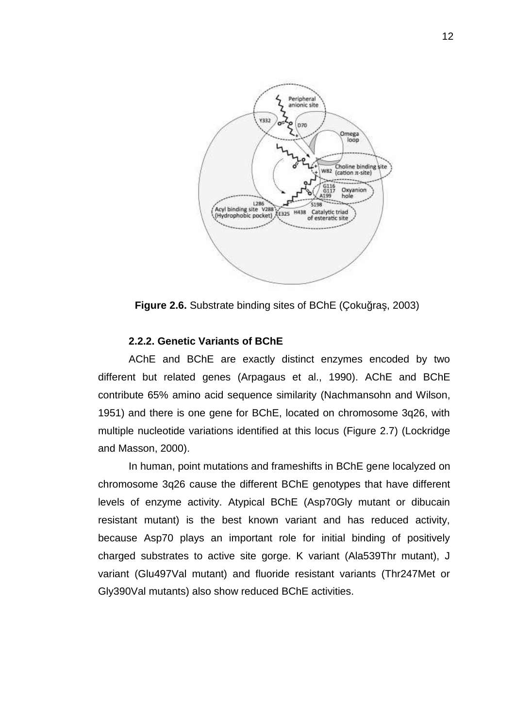

**Figure 2.6.** Substrate binding sites of BChE (Coku ra, 2003)

## **2.2.2. Genetic Variants of BChE**

AChE and BChE are exactly distinct enzymes encoded by two different but related genes (Arpagaus et al., 1990). AChE and BChE contribute 65% amino acid sequence similarity (Nachmansohn and Wilson, 1951) and there is one gene for BChE, located on chromosome 3q26, with multiple nucleotide variations identified at this locus (Figure 2.7) (Lockridge and Masson, 2000).

In human, point mutations and frameshifts in BChE gene localyzed on chromosome 3q26 cause the different BChE genotypes that have different levels of enzyme activity. Atypical BChE (Asp70Gly mutant or dibucain resistant mutant) is the best known variant and has reduced activity, because Asp70 plays an important role for initial binding of positively charged substrates to active site gorge. K variant (Ala539Thr mutant), J variant (Glu497Val mutant) and fluoride resistant variants (Thr247Met or Gly390Val mutants) also show reduced BChE activities.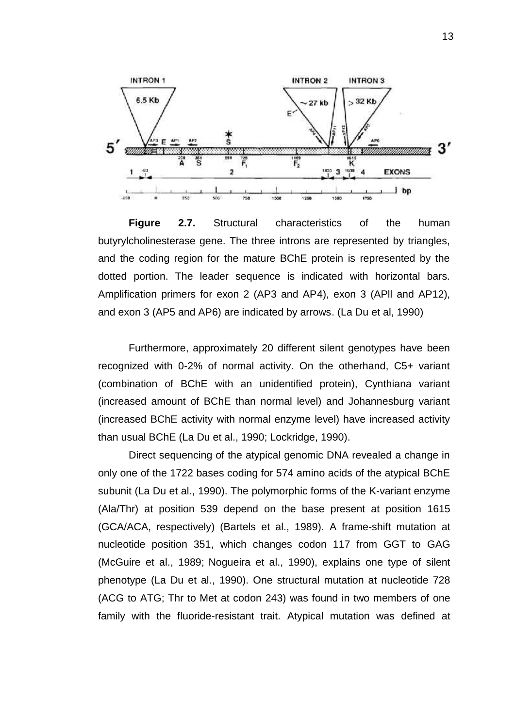

**Figure 2.7.** Structural characteristics of the human butyrylcholinesterase gene. The three introns are represented by triangles, and the coding region for the mature BChE protein is represented by the dotted portion. The leader sequence is indicated with horizontal bars. Amplification primers for exon 2 (AP3 and AP4), exon 3 (APll and AP12), and exon 3 (AP5 and AP6) are indicated by arrows. (La Du et al, 1990)

Furthermore, approximately 20 different silent genotypes have been recognized with 0-2% of normal activity. On the otherhand, C5+ variant (combination of BChE with an unidentified protein), Cynthiana variant (increased amount of BChE than normal level) and Johannesburg variant (increased BChE activity with normal enzyme level) have increased activity than usual BChE (La Du et al., 1990; Lockridge, 1990).

Direct sequencing of the atypical genomic DNA revealed a change in only one of the 1722 bases coding for 574 amino acids of the atypical BChE subunit (La Du et al., 1990). The polymorphic forms of the K-variant enzyme (Ala/Thr) at position 539 depend on the base present at position 1615 (GCA/ACA, respectively) (Bartels et al., 1989). A frame-shift mutation at nucleotide position 351, which changes codon 117 from GGT to GAG (McGuire et al., 1989; Nogueira et al., 1990), explains one type of silent phenotype (La Du et al., 1990). One structural mutation at nucleotide 728 (ACG to ATG; Thr to Met at codon 243) was found in two members of one family with the fluoride-resistant trait. Atypical mutation was defined at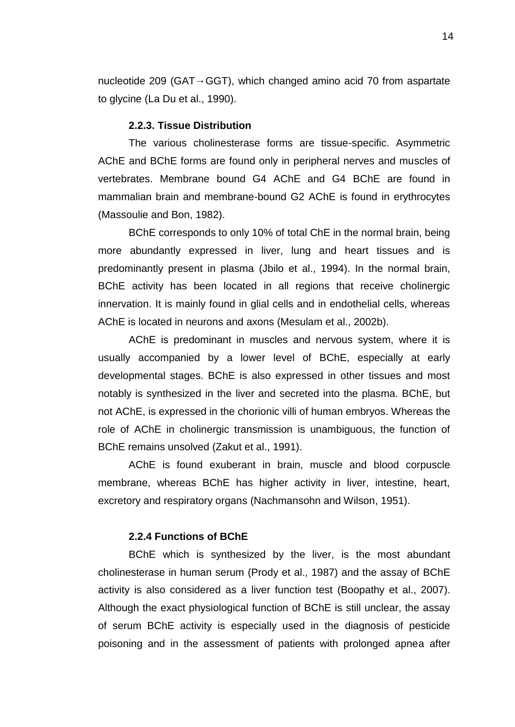nucleotide 209 (GAT GGT), which changed amino acid 70 from aspartate to glycine (La Du et al., 1990).

#### **2.2.3. Tissue Distribution**

The various cholinesterase forms are tissue-specific. Asymmetric AChE and BChE forms are found only in peripheral nerves and muscles of vertebrates. Membrane bound G4 AChE and G4 BChE are found in mammalian brain and membrane-bound G2 AChE is found in erythrocytes (Massoulie and Bon, 1982).

BChE corresponds to only 10% of total ChE in the normal brain, being more abundantly expressed in liver, lung and heart tissues and is predominantly present in plasma (Jbilo et al., 1994). In the normal brain, BChE activity has been located in all regions that receive cholinergic innervation. It is mainly found in glial cells and in endothelial cells, whereas AChE is located in neurons and axons (Mesulam et al., 2002b).

AChE is predominant in muscles and nervous system, where it is usually accompanied by a lower level of BChE, especially at early developmental stages. BChE is also expressed in other tissues and most notably is synthesized in the liver and secreted into the plasma. BChE, but not AChE, is expressed in the chorionic villi of human embryos. Whereas the role of AChE in cholinergic transmission is unambiguous, the function of BChE remains unsolved (Zakut et al., 1991).

AChE is found exuberant in brain, muscle and blood corpuscle membrane, whereas BChE has higher activity in liver, intestine, heart, excretory and respiratory organs (Nachmansohn and Wilson, 1951).

## **2.2.4 Functions of BChE**

BChE which is synthesized by the liver, is the most abundant cholinesterase in human serum (Prody et al., 1987) and the assay of BChE activity is also considered as a liver function test (Boopathy et al., 2007). Although the exact physiological function of BChE is still unclear, the assay of serum BChE activity is especially used in the diagnosis of pesticide poisoning and in the assessment of patients with prolonged apnea after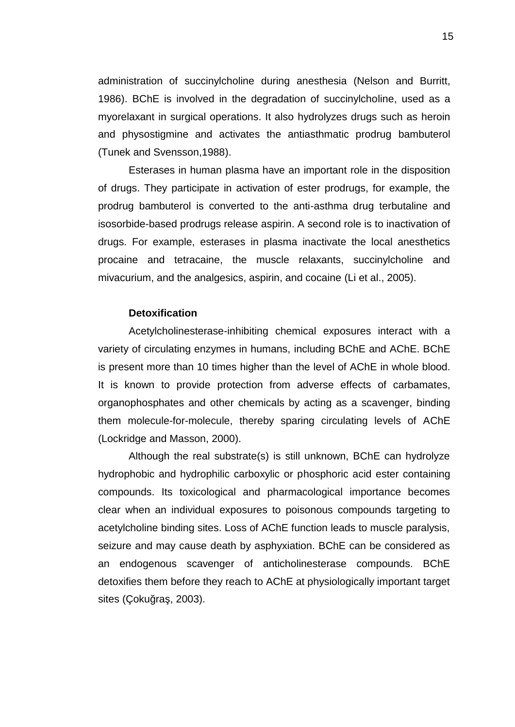administration of succinylcholine during anesthesia (Nelson and Burritt, 1986). BChE is involved in the degradation of succinylcholine, used as a myorelaxant in surgical operations. It also hydrolyzes drugs such as heroin and physostigmine and activates the antiasthmatic prodrug bambuterol (Tunek and Svensson,1988).

Esterases in human plasma have an important role in the disposition of drugs. They participate in activation of ester prodrugs, for example, the prodrug bambuterol is converted to the anti-asthma drug terbutaline and isosorbide-based prodrugs release aspirin. A second role is to inactivation of drugs. For example, esterases in plasma inactivate the local anesthetics procaine and tetracaine, the muscle relaxants, succinylcholine and mivacurium, and the analgesics, aspirin, and cocaine (Li et al., 2005).

#### **Detoxification**

Acetylcholinesterase-inhibiting chemical exposures interact with a variety of circulating enzymes in humans, including BChE and AChE. BChE is present more than 10 times higher than the level of AChE in whole blood. It is known to provide protection from adverse effects of carbamates, organophosphates and other chemicals by acting as a scavenger, binding them molecule-for-molecule, thereby sparing circulating levels of AChE (Lockridge and Masson, 2000).

Although the real substrate(s) is still unknown, BChE can hydrolyze hydrophobic and hydrophilic carboxylic or phosphoric acid ester containing compounds. Its toxicological and pharmacological importance becomes clear when an individual exposures to poisonous compounds targeting to acetylcholine binding sites. Loss of AChE function leads to muscle paralysis, seizure and may cause death by asphyxiation. BChE can be considered as an endogenous scavenger of anticholinesterase compounds. BChE detoxifies them before they reach to AChE at physiologically important target sites (Çoku ra, 2003).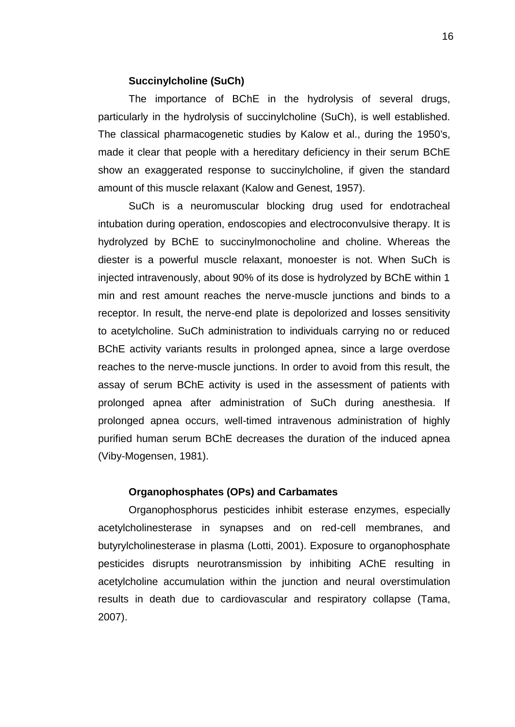## **Succinylcholine (SuCh)**

The importance of BChE in the hydrolysis of several drugs, particularly in the hydrolysis of succinylcholine (SuCh), is well established. The classical pharmacogenetic studies by Kalow et al., during the 1950's, made it clear that people with a hereditary deficiency in their serum BChE show an exaggerated response to succinylcholine, if given the standard amount of this muscle relaxant (Kalow and Genest, 1957).

SuCh is a neuromuscular blocking drug used for endotracheal intubation during operation, endoscopies and electroconvulsive therapy. It is hydrolyzed by BChE to succinylmonocholine and choline. Whereas the diester is a powerful muscle relaxant, monoester is not. When SuCh is injected intravenously, about 90% of its dose is hydrolyzed by BChE within 1 min and rest amount reaches the nerve-muscle junctions and binds to a receptor. In result, the nerve-end plate is depolorized and losses sensitivity to acetylcholine. SuCh administration to individuals carrying no or reduced BChE activity variants results in prolonged apnea, since a large overdose reaches to the nerve-muscle junctions. In order to avoid from this result, the assay of serum BChE activity is used in the assessment of patients with prolonged apnea after administration of SuCh during anesthesia. If prolonged apnea occurs, well-timed intravenous administration of highly purified human serum BChE decreases the duration of the induced apnea (Viby-Mogensen, 1981).

## **Organophosphates (OPs) and Carbamates**

Organophosphorus pesticides inhibit esterase enzymes, especially acetylcholinesterase in synapses and on red-cell membranes, and butyrylcholinesterase in plasma (Lotti, 2001). Exposure to organophosphate pesticides disrupts neurotransmission by inhibiting AChE resulting in acetylcholine accumulation within the junction and neural overstimulation results in death due to cardiovascular and respiratory collapse (Tama, 2007).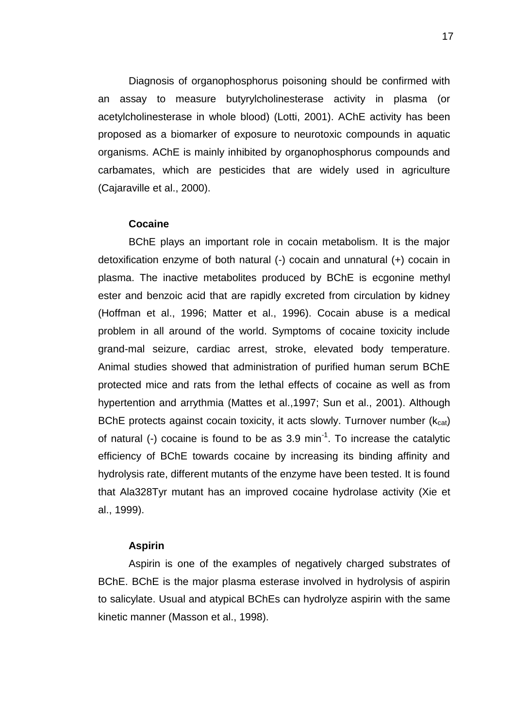Diagnosis of organophosphorus poisoning should be confirmed with an assay to measure butyrylcholinesterase activity in plasma (or acetylcholinesterase in whole blood) (Lotti, 2001). AChE activity has been proposed as a biomarker of exposure to neurotoxic compounds in aquatic organisms. AChE is mainly inhibited by organophosphorus compounds and carbamates, which are pesticides that are widely used in agriculture (Cajaraville et al., 2000).

## **Cocaine**

BChE plays an important role in cocain metabolism. It is the major detoxification enzyme of both natural (-) cocain and unnatural (+) cocain in plasma. The inactive metabolites produced by BChE is ecgonine methyl ester and benzoic acid that are rapidly excreted from circulation by kidney (Hoffman et al., 1996; Matter et al., 1996). Cocain abuse is a medical problem in all around of the world. Symptoms of cocaine toxicity include grand-mal seizure, cardiac arrest, stroke, elevated body temperature. Animal studies showed that administration of purified human serum BChE protected mice and rats from the lethal effects of cocaine as well as from hypertention and arrythmia (Mattes et al.,1997; Sun et al., 2001). Although BChE protects against cocain toxicity, it acts slowly. Turnover number  $(k_{cat})$ of natural (-) cocaine is found to be as 3.9 min<sup>-1</sup>. To increase the catalytic efficiency of BChE towards cocaine by increasing its binding affinity and hydrolysis rate, different mutants of the enzyme have been tested. It is found that Ala328Tyr mutant has an improved cocaine hydrolase activity (Xie et al., 1999).

## **Aspirin**

Aspirin is one of the examples of negatively charged substrates of BChE. BChE is the major plasma esterase involved in hydrolysis of aspirin to salicylate. Usual and atypical BChEs can hydrolyze aspirin with the same kinetic manner (Masson et al., 1998).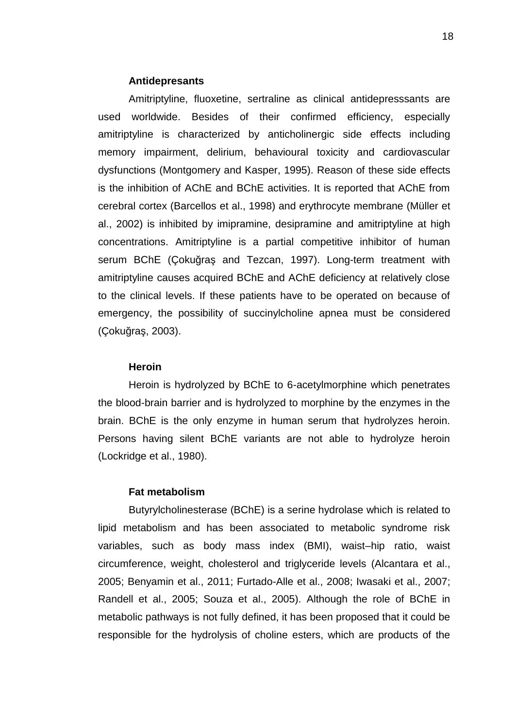## **Antidepresants**

Amitriptyline, fluoxetine, sertraline as clinical antidepresssants are used worldwide. Besides of their confirmed efficiency, especially amitriptyline is characterized by anticholinergic side effects including memory impairment, delirium, behavioural toxicity and cardiovascular dysfunctions (Montgomery and Kasper, 1995). Reason of these side effects is the inhibition of AChE and BChE activities. It is reported that AChE from cerebral cortex (Barcellos et al., 1998) and erythrocyte membrane (Müller et al., 2002) is inhibited by imipramine, desipramine and amitriptyline at high concentrations. Amitriptyline is a partial competitive inhibitor of human serum BChE (Coku ra and Tezcan, 1997). Long-term treatment with amitriptyline causes acquired BChE and AChE deficiency at relatively close to the clinical levels. If these patients have to be operated on because of emergency, the possibility of succinylcholine apnea must be considered (Çoku ra, 2003).

### **Heroin**

Heroin is hydrolyzed by BChE to 6-acetylmorphine which penetrates the blood-brain barrier and is hydrolyzed to morphine by the enzymes in the brain. BChE is the only enzyme in human serum that hydrolyzes heroin. Persons having silent BChE variants are not able to hydrolyze heroin (Lockridge et al., 1980).

## **Fat metabolism**

Butyrylcholinesterase (BChE) is a serine hydrolase which is related to lipid metabolism and has been associated to metabolic syndrome risk variables, such as body mass index (BMI), waist–hip ratio, waist circumference, weight, cholesterol and triglyceride levels (Alcantara et al., 2005; Benyamin et al., 2011; Furtado-Alle et al., 2008; Iwasaki et al., 2007; Randell et al., 2005; Souza et al., 2005). Although the role of BChE in metabolic pathways is not fully defined, it has been proposed that it could be responsible for the hydrolysis of choline esters, which are products of the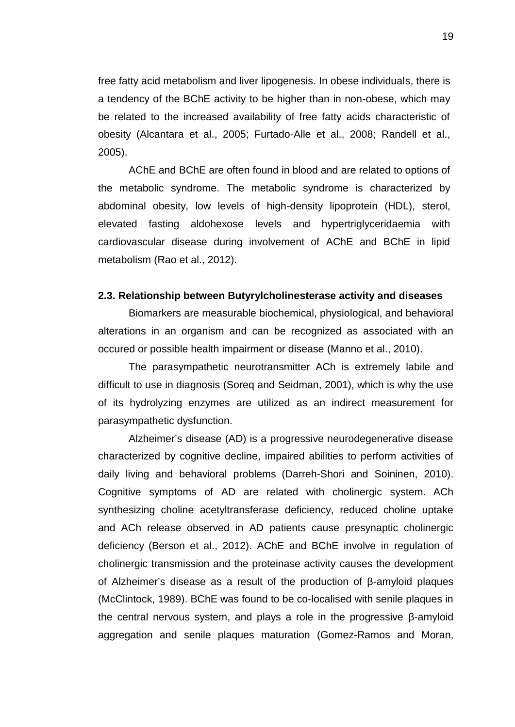free fatty acid metabolism and liver lipogenesis. In obese individuals, there is a tendency of the BChE activity to be higher than in non-obese, which may be related to the increased availability of free fatty acids characteristic of obesity (Alcantara et al., 2005; Furtado-Alle et al., 2008; Randell et al., 2005).<br>AChE and BChE are often found in blood and are related to options of

the metabolic syndrome. The metabolic syndrome is characterized by abdominal obesity, low levels of high-density lipoprotein (HDL), sterol, elevated fasting aldohexose levels and hypertriglyceridaemia with cardiovascular disease during involvement of AChE and BChE in lipid metabolism (Rao et al., 2012).

#### **2.3. Relationship between Butyrylcholinesterase activity and diseases**

Biomarkers are measurable biochemical, physiological, and behavioral alterations in an organism and can be recognized as associated with an occured or possible health impairment or disease (Manno et al., 2010).

The parasympathetic neurotransmitter ACh is extremely labile and difficult to use in diagnosis (Soreq and Seidman, 2001), which is why the use of its hydrolyzing enzymes are utilized as an indirect measurement for parasympathetic dysfunction.

Alzheimer's disease (AD) is a progressive neurodegenerative disease characterized by cognitive decline, impaired abilities to perform activities of daily living and behavioral problems (Darreh-Shori and Soininen, 2010). Cognitive symptoms of AD are related with cholinergic system. ACh synthesizing choline acetyltransferase deficiency, reduced choline uptake and ACh release observed in AD patients cause presynaptic cholinergic deficiency (Berson et al., 2012). AChE and BChE involve in regulation of cholinergic transmission and the proteinase activity causes the development of Alzheimer's disease as a result of the production of -amyloid plaques (McClintock, 1989). BChE was found to be co-localised with senile plaques in the central nervous system, and plays a role in the progressive -amyloid aggregation and senile plaques maturation (Gomez-Ramos and Moran,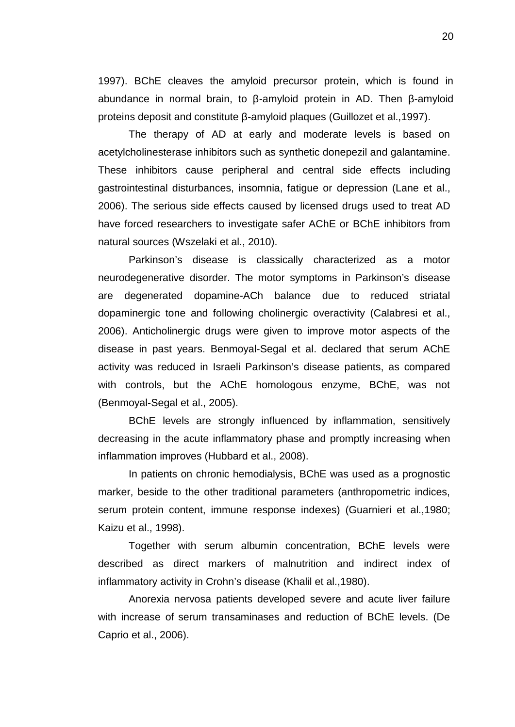1997). BChE cleaves the amyloid precursor protein, which is found in abundance in normal brain, to -amyloid protein in AD. Then -amyloid proteins deposit and constitute -amyloid plaques (Guillozet et al.,1997).

The therapy of AD at early and moderate levels is based on acetylcholinesterase inhibitors such as synthetic donepezil and galantamine. These inhibitors cause peripheral and central side effects including gastrointestinal disturbances, insomnia, fatigue or depression (Lane et al., 2006). The serious side effects caused by licensed drugs used to treat AD have forced researchers to investigate safer AChE or BChE inhibitors from natural sources (Wszelaki et al., 2010).

Parkinson's disease is classically characterized as a motor neurodegenerative disorder. The motor symptoms in Parkinson's disease are degenerated dopamine-ACh balance due to reduced striatal dopaminergic tone and following cholinergic overactivity (Calabresi et al., 2006). Anticholinergic drugs were given to improve motor aspects of the disease in past years. Benmoyal-Segal et al. declared that serum AChE activity was reduced in Israeli Parkinson's disease patients, as compared with controls, but the AChE homologous enzyme, BChE, was not (Benmoyal-Segal et al., 2005).

BChE levels are strongly influenced by inflammation, sensitively decreasing in the acute inflammatory phase and promptly increasing when inflammation improves (Hubbard et al., 2008).

In patients on chronic hemodialysis, BChE was used as a prognostic marker, beside to the other traditional parameters (anthropometric indices, serum protein content, immune response indexes) (Guarnieri et al.,1980; Kaizu et al., 1998).

Together with serum albumin concentration, BChE levels were described as direct markers of malnutrition and indirect index of inflammatory activity in Crohn's disease (Khalil et al.,1980).

Anorexia nervosa patients developed severe and acute liver failure with increase of serum transaminases and reduction of BChE levels. (De Caprio et al., 2006).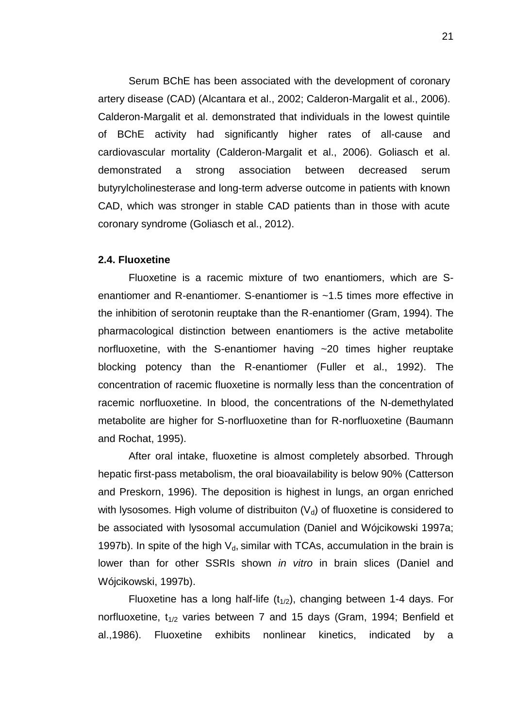Serum BChE has been associated with the development of coronary artery disease (CAD) (Alcantara et al., 2002; Calderon-Margalit et al., 2006). Calderon-Margalit et al. demonstrated that individuals in the lowest quintile of BChE activity had significantly higher rates of all-cause and cardiovascular mortality (Calderon-Margalit et al., 2006). Goliasch et al. demonstrated a strong association between decreased serum butyrylcholinesterase and long-term adverse outcome in patients with known CAD, which was stronger in stable CAD patients than in those with acute coronary syndrome (Goliasch et al., 2012).

## **2.4. Fluoxetine**

Fluoxetine is a racemic mixture of two enantiomers, which are S enantiomer and R-enantiomer. S-enantiomer is ~1.5 times more effective in the inhibition of serotonin reuptake than the R-enantiomer (Gram, 1994). The pharmacological distinction between enantiomers is the active metabolite norfluoxetine, with the S-enantiomer having ~20 times higher reuptake blocking potency than the R-enantiomer (Fuller et al., 1992). The concentration of racemic fluoxetine is normally less than the concentration of racemic norfluoxetine. In blood, the concentrations of the N-demethylated metabolite are higher for S-norfluoxetine than for R-norfluoxetine (Baumann and Rochat, 1995).

After oral intake, fluoxetine is almost completely absorbed. Through hepatic first-pass metabolism, the oral bioavailability is below 90% (Catterson and Preskorn, 1996). The deposition is highest in lungs, an organ enriched with lysosomes. High volume of distribuiton  $(V_d)$  of fluoxetine is considered to be associated with lysosomal accumulation (Daniel and Wójcikowski 1997a; 1997b). In spite of the high  $V<sub>d</sub>$ , similar with TCAs, accumulation in the brain is lower than for other SSRIs shown *in vitro* in brain slices (Daniel and Wójcikowski, 1997b).

Fluoxetine has a long half-life  $(t_{1/2})$ , changing between 1-4 days. For norfluoxetine,  $t_{1/2}$  varies between 7 and 15 days (Gram, 1994; Benfield et al.,1986). Fluoxetine exhibits nonlinear kinetics, indicated by a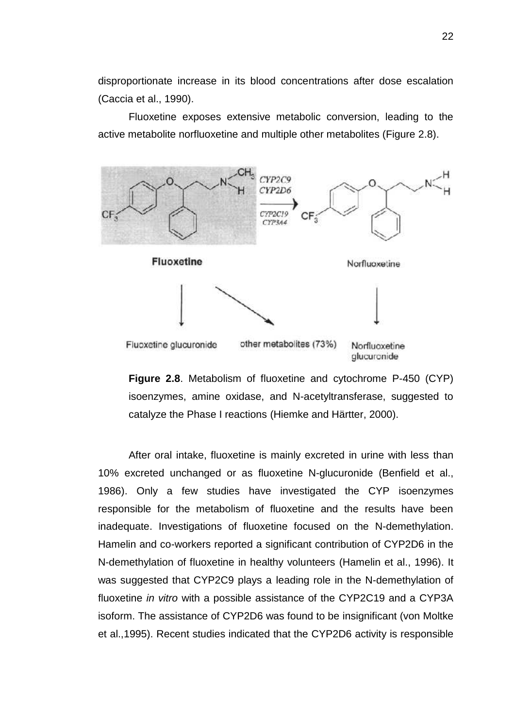disproportionate increase in its blood concentrations after dose escalation (Caccia et al., 1990).

Fluoxetine exposes extensive metabolic conversion, leading to the active metabolite norfluoxetine and multiple other metabolites (Figure 2.8).





After oral intake, fluoxetine is mainly excreted in urine with less than 10% excreted unchanged or as fluoxetine N-glucuronide (Benfield et al., 1986). Only a few studies have investigated the CYP isoenzymes responsible for the metabolism of fluoxetine and the results have been inadequate. Investigations of fluoxetine focused on the N-demethylation. Hamelin and co-workers reported a significant contribution of CYP2D6 in the N-demethylation of fluoxetine in healthy volunteers (Hamelin et al., 1996). It was suggested that CYP2C9 plays a leading role in the N-demethylation of fluoxetine *in vitro* with a possible assistance of the CYP2C19 and a CYP3A isoform. The assistance of CYP2D6 was found to be insignificant (von Moltke et al.,1995). Recent studies indicated that the CYP2D6 activity is responsible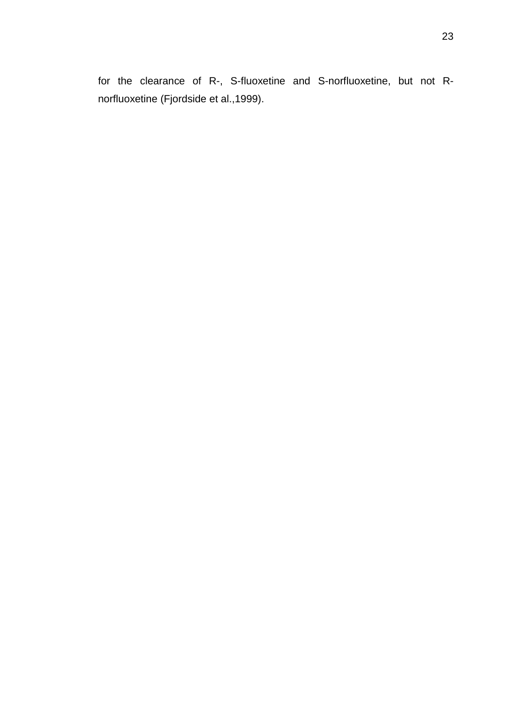for the clearance of R-, S-fluoxetine and S-norfluoxetine, but not R norfluoxetine (Fjordside et al.,1999).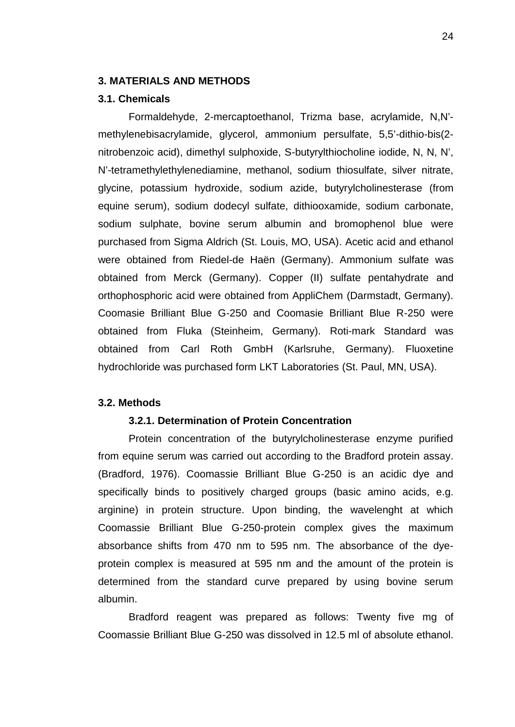# **3. MATERIALS AND METHODS**

# **3.1. Chemicals**

Formaldehyde, 2-mercaptoethanol, Trizma base, acrylamide, N,N' methylenebisacrylamide, glycerol, ammonium persulfate, 5,5'-dithio-bis(2 nitrobenzoic acid), dimethyl sulphoxide, S-butyrylthiocholine iodide, N, N, N', N'-tetramethylethylenediamine, methanol, sodium thiosulfate, silver nitrate, glycine, potassium hydroxide, sodium azide, butyrylcholinesterase (from equine serum), sodium dodecyl sulfate, dithiooxamide, sodium carbonate, sodium sulphate, bovine serum albumin and bromophenol blue were purchased from Sigma Aldrich (St. Louis, MO, USA). Acetic acid and ethanol were obtained from Riedel-de Haën (Germany). Ammonium sulfate was obtained from Merck (Germany). Copper (II) sulfate pentahydrate and orthophosphoric acid were obtained from AppliChem (Darmstadt, Germany). Coomasie Brilliant Blue G-250 and Coomasie Brilliant Blue R-250 were obtained from Fluka (Steinheim, Germany). Roti-mark Standard was obtained from Carl Roth GmbH (Karlsruhe, Germany). Fluoxetine hydrochloride was purchased form LKT Laboratories (St. Paul, MN, USA).

#### **3.2. Methods**

### **3.2.1. Determination of Protein Concentration**

Protein concentration of the butyrylcholinesterase enzyme purified from equine serum was carried out according to the Bradford protein assay. (Bradford, 1976). Coomassie Brilliant Blue G-250 is an acidic dye and specifically binds to positively charged groups (basic amino acids, e.g. arginine) in protein structure. Upon binding, the wavelenght at which Coomassie Brilliant Blue G-250-protein complex gives the maximum absorbance shifts from 470 nm to 595 nm. The absorbance of the dye protein complex is measured at 595 nm and the amount of the protein is determined from the standard curve prepared by using bovine serum albumin.

Bradford reagent was prepared as follows: Twenty five mg of Coomassie Brilliant Blue G-250 was dissolved in 12.5 ml of absolute ethanol.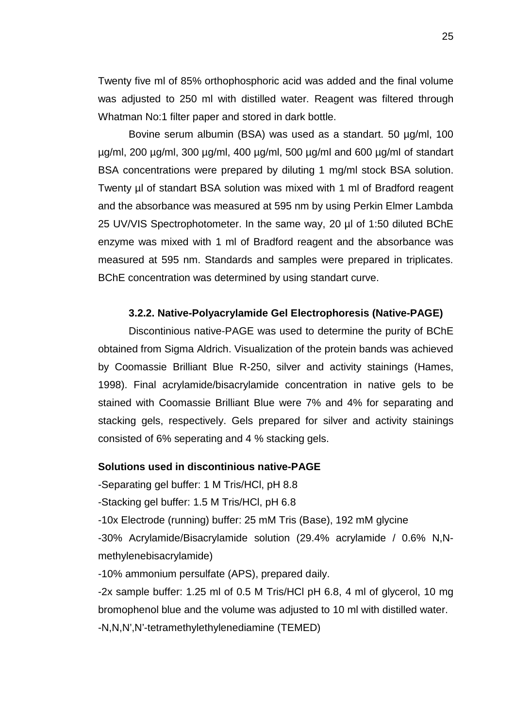Twenty five ml of 85% orthophosphoric acid was added and the final volume was adjusted to 250 ml with distilled water. Reagent was filtered through Whatman No:1 filter paper and stored in dark bottle.

Bovine serum albumin (BSA) was used as a standart. 50 µg/ml, 100 µg/ml, 200 µg/ml, 300 µg/ml, 400 µg/ml, 500 µg/ml and 600 µg/ml of standart BSA concentrations were prepared by diluting 1 mg/ml stock BSA solution. Twenty µl of standart BSA solution was mixed with 1 ml of Bradford reagent and the absorbance was measured at 595 nm by using Perkin Elmer Lambda 25 UV/VIS Spectrophotometer. In the same way, 20 µl of 1:50 diluted BChE enzyme was mixed with 1 ml of Bradford reagent and the absorbance was measured at 595 nm. Standards and samples were prepared in triplicates. BChE concentration was determined by using standart curve.

# **3.2.2. Native-Polyacrylamide Gel Electrophoresis (Native-PAGE)**

Discontinious native-PAGE was used to determine the purity of BChE obtained from Sigma Aldrich. Visualization of the protein bands was achieved by Coomassie Brilliant Blue R-250, silver and activity stainings (Hames, 1998). Final acrylamide/bisacrylamide concentration in native gels to be stained with Coomassie Brilliant Blue were 7% and 4% for separating and stacking gels, respectively. Gels prepared for silver and activity stainings consisted of 6% seperating and 4 % stacking gels.

# **Solutions used in discontinious native-PAGE**

-Separating gel buffer: 1 M Tris/HCl, pH 8.8

-Stacking gel buffer: 1.5 M Tris/HCl, pH 6.8

-10x Electrode (running) buffer: 25 mM Tris (Base), 192 mM glycine

-30% Acrylamide/Bisacrylamide solution (29.4% acrylamide / 0.6% N,N methylenebisacrylamide)

-10% ammonium persulfate (APS), prepared daily.

-2x sample buffer: 1.25 ml of 0.5 M Tris/HCl pH 6.8, 4 ml of glycerol, 10 mg bromophenol blue and the volume was adjusted to 10 ml with distilled water.

-N,N,N',N'-tetramethylethylenediamine (TEMED)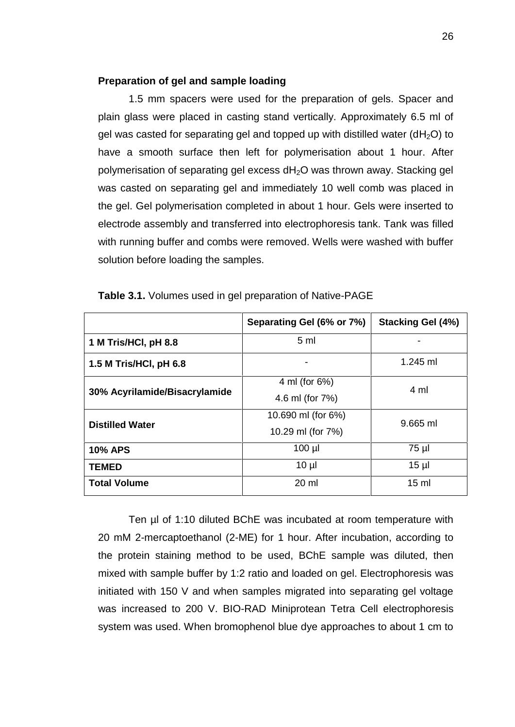# **Preparation of gel and sample loading**

1.5 mm spacers were used for the preparation of gels. Spacer and plain glass were placed in casting stand vertically. Approximately 6.5 ml of gel was casted for separating gel and topped up with distilled water ( $dH<sub>2</sub>O$ ) to have a smooth surface then left for polymerisation about 1 hour. After polymerisation of separating gel excess dH<sub>2</sub>O was thrown away. Stacking gel was casted on separating gel and immediately 10 well comb was placed in the gel. Gel polymerisation completed in about 1 hour. Gels were inserted to electrode assembly and transferred into electrophoresis tank. Tank was filled with running buffer and combs were removed. Wells were washed with buffer solution before loading the samples.

|                               | Separating Gel (6% or 7%) | Stacking Gel (4%) |
|-------------------------------|---------------------------|-------------------|
| 1 M Tris/HCI, pH 8.8          | 5 <sub>m</sub>            |                   |
| 1.5 M Tris/HCI, pH 6.8        |                           | $1.245$ ml        |
| 30% Acyrilamide/Bisacrylamide | 4 ml (for 6%)             | 4 ml              |
|                               | 4.6 ml (for 7%)           |                   |
| <b>Distilled Water</b>        | 10.690 ml (for 6%)        | $9.665$ ml        |
|                               | 10.29 ml (for 7%)         |                   |
| <b>10% APS</b>                | $100$ $\mu$               | 75 µl             |
| <b>TEMED</b>                  | $10 \mu$                  | 15 <sub>µ</sub>   |
| <b>Total Volume</b>           | 20 ml                     | 15 <sub>m</sub>   |

**Table 3.1.** Volumes used in gel preparation of Native-PAGE

Ten µl of 1:10 diluted BChE was incubated at room temperature with 20 mM 2-mercaptoethanol (2-ME) for 1 hour. After incubation, according to the protein staining method to be used, BChE sample was diluted, then mixed with sample buffer by 1:2 ratio and loaded on gel. Electrophoresis was initiated with 150 V and when samples migrated into separating gel voltage was increased to 200 V. BIO-RAD Miniprotean Tetra Cell electrophoresis system was used. When bromophenol blue dye approaches to about 1 cm to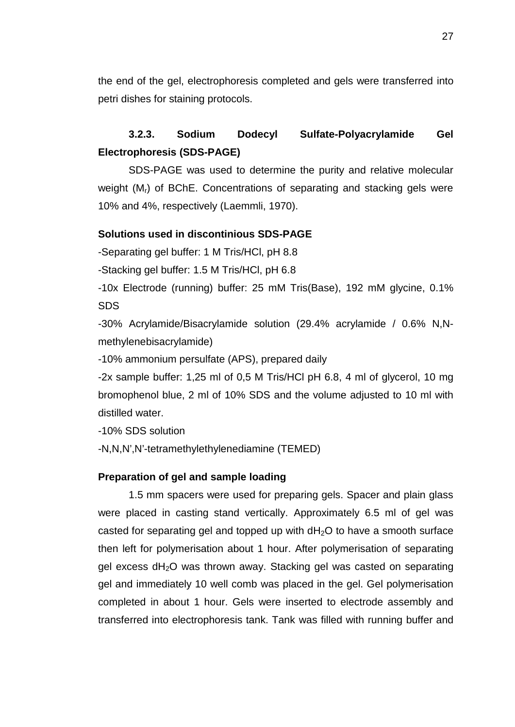the end of the gel, electrophoresis completed and gels were transferred into petri dishes for staining protocols.

# **3.2.3. Sodium Dodecyl Sulfate-Polyacrylamide Gel Electrophoresis (SDS-PAGE)**

SDS-PAGE was used to determine the purity and relative molecular weight (M<sub>r</sub>) of BChE. Concentrations of separating and stacking gels were 10% and 4%, respectively (Laemmli, 1970).

# **Solutions used in discontinious SDS-PAGE**

-Separating gel buffer: 1 M Tris/HCl, pH 8.8

-Stacking gel buffer: 1.5 M Tris/HCl, pH 6.8

-10x Electrode (running) buffer: 25 mM Tris(Base), 192 mM glycine, 0.1% SDS

-30% Acrylamide/Bisacrylamide solution (29.4% acrylamide / 0.6% N,N methylenebisacrylamide)

-10% ammonium persulfate (APS), prepared daily

-2x sample buffer: 1,25 ml of 0,5 M Tris/HCl pH 6.8, 4 ml of glycerol, 10 mg bromophenol blue, 2 ml of 10% SDS and the volume adjusted to 10 ml with distilled water.

-10% SDS solution

-N,N,N',N'-tetramethylethylenediamine (TEMED)

# **Preparation of gel and sample loading**

1.5 mm spacers were used for preparing gels. Spacer and plain glass were placed in casting stand vertically. Approximately 6.5 ml of gel was casted for separating gel and topped up with  $dH_2O$  to have a smooth surface then left for polymerisation about 1 hour. After polymerisation of separating gel excess  $dH_2O$  was thrown away. Stacking gel was casted on separating gel and immediately 10 well comb was placed in the gel. Gel polymerisation completed in about 1 hour. Gels were inserted to electrode assembly and transferred into electrophoresis tank. Tank was filled with running buffer and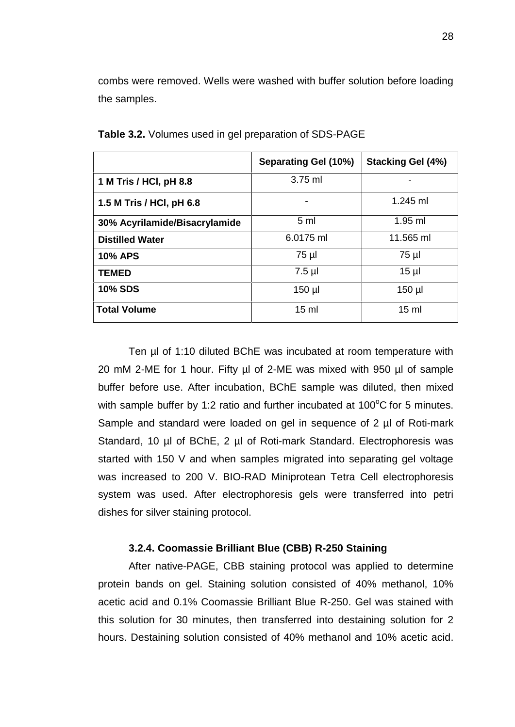combs were removed. Wells were washed with buffer solution before loading the samples.

|                               | Separating Gel (10%)     | <b>Stacking Gel (4%)</b> |
|-------------------------------|--------------------------|--------------------------|
| 1 M Tris / HCI, pH 8.8        | $3.75$ ml                |                          |
| 1.5 M Tris / HCI, pH 6.8      | $\overline{\phantom{a}}$ | $1.245$ ml               |
| 30% Acyrilamide/Bisacrylamide | 5 <sub>m</sub>           | $1.95$ ml                |
| <b>Distilled Water</b>        | 6.0175 ml                | 11.565 ml                |
| <b>10% APS</b>                | 75 µl                    | 75 µl                    |
| <b>TEMED</b>                  | $7.5$ µl                 | 15 <sub>µ</sub>          |
| <b>10% SDS</b>                | $150$ µl                 | $150$ µl                 |
| <b>Total Volume</b>           | $15 \text{ ml}$          | $15 \text{ ml}$          |

**Table 3.2.** Volumes used in gel preparation of SDS-PAGE

Ten µl of 1:10 diluted BChE was incubated at room temperature with 20 mM 2-ME for 1 hour. Fifty µl of 2-ME was mixed with 950 µl of sample buffer before use. After incubation, BChE sample was diluted, then mixed with sample buffer by 1:2 ratio and further incubated at  $100^{\circ}$ C for 5 minutes. Sample and standard were loaded on gel in sequence of 2 µl of Roti-mark Standard, 10 µl of BChE, 2 µl of Roti-mark Standard. Electrophoresis was started with 150 V and when samples migrated into separating gel voltage was increased to 200 V. BIO-RAD Miniprotean Tetra Cell electrophoresis system was used. After electrophoresis gels were transferred into petri dishes for silver staining protocol.

#### **3.2.4. Coomassie Brilliant Blue (CBB) R-250 Staining**

After native-PAGE, CBB staining protocol was applied to determine protein bands on gel. Staining solution consisted of 40% methanol, 10% acetic acid and 0.1% Coomassie Brilliant Blue R-250. Gel was stained with this solution for 30 minutes, then transferred into destaining solution for 2 hours. Destaining solution consisted of 40% methanol and 10% acetic acid.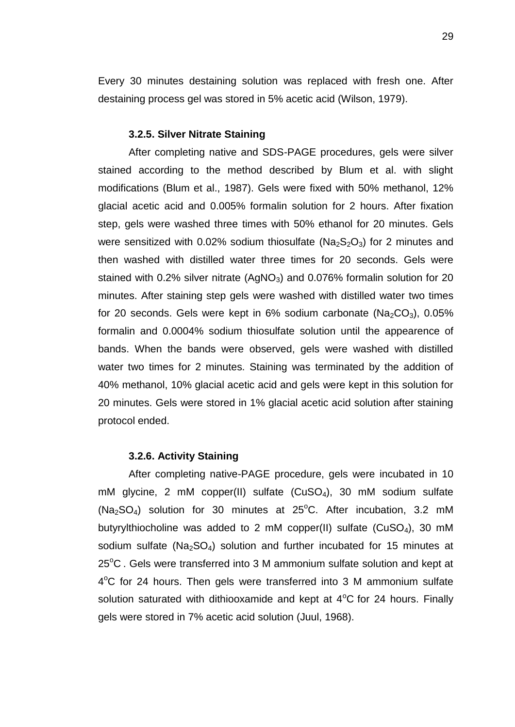Every 30 minutes destaining solution was replaced with fresh one. After destaining process gel was stored in 5% acetic acid (Wilson, 1979).

#### **3.2.5. Silver Nitrate Staining**

After completing native and SDS-PAGE procedures, gels were silver stained according to the method described by Blum et al. with slight modifications (Blum et al., 1987). Gels were fixed with 50% methanol, 12% glacial acetic acid and 0.005% formalin solution for 2 hours. After fixation step, gels were washed three times with 50% ethanol for 20 minutes. Gels were sensitized with 0.02% sodium thiosulfate ( $Na<sub>2</sub>So<sub>3</sub>$ ) for 2 minutes and then washed with distilled water three times for 20 seconds. Gels were stained with  $0.2\%$  silver nitrate (AgNO<sub>3</sub>) and  $0.076\%$  formalin solution for 20 minutes. After staining step gels were washed with distilled water two times for 20 seconds. Gels were kept in 6% sodium carbonate ( $Na<sub>2</sub>CO<sub>3</sub>$ ), 0.05% formalin and 0.0004% sodium thiosulfate solution until the appearence of bands. When the bands were observed, gels were washed with distilled water two times for 2 minutes. Staining was terminated by the addition of 40% methanol, 10% glacial acetic acid and gels were kept in this solution for 20 minutes. Gels were stored in 1% glacial acetic acid solution after staining protocol ended.

#### **3.2.6. Activity Staining**

After completing native-PAGE procedure, gels were incubated in 10 mM glycine, 2 mM copper(II) sulfate (CuSO<sub>4</sub>), 30 mM sodium sulfate (Na<sub>2</sub>SO<sub>4</sub>) solution for 30 minutes at 25<sup>o</sup>C. After incubation, 3.2 mM butyrylthiocholine was added to 2 mM copper(II) sulfate (CuSO<sub>4</sub>), 30 mM sodium sulfate ( $Na<sub>2</sub>SO<sub>4</sub>$ ) solution and further incubated for 15 minutes at  $25^{\circ}$ C. Gels were transferred into 3 M ammonium sulfate solution and kept at 4°C for 24 hours. Then gels were transferred into 3 M ammonium sulfate solution saturated with dithiooxamide and kept at  $4^{\circ}$ C for 24 hours. Finally gels were stored in 7% acetic acid solution (Juul, 1968).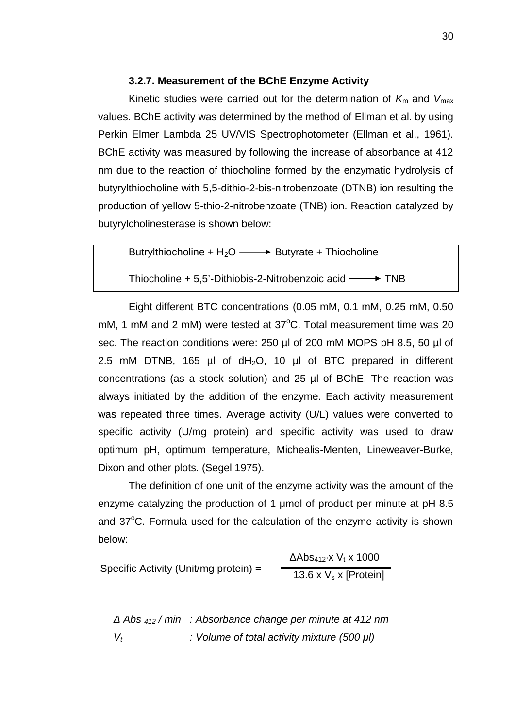# **3.2.7. Measurement of the BChE Enzyme Activity**

Kinetic studies were carried out for the determination of  $K_m$  and  $V_{\text{max}}$ values. BChE activity was determined by the method of Ellman et al. by using Perkin Elmer Lambda 25 UV/VIS Spectrophotometer (Ellman et al., 1961). BChE activity was measured by following the increase of absorbance at 412 nm due to the reaction of thiocholine formed by the enzymatic hydrolysis of butyrylthiocholine with 5,5-dithio-2-bis-nitrobenzoate (DTNB) ion resulting the production of yellow 5-thio-2-nitrobenzoate (TNB) ion. Reaction catalyzed by butyrylcholinesterase is shown below:

Butrylthiocholine +  $H_2O \longrightarrow$  Butyrate + Thiocholine

Thiocholine  $+ 5.5$ '-Dithiobis-2-Nitrobenzoic acid  $\longrightarrow$  TNB

Eight different BTC concentrations (0.05 mM, 0.1 mM, 0.25 mM, 0.50 mM, 1 mM and 2 mM) were tested at  $37^{\circ}$ C. Total measurement time was 20 sec. The reaction conditions were: 250 µl of 200 mM MOPS pH 8.5, 50 µl of 2.5 mM DTNB, 165  $\mu$ I of dH<sub>2</sub>O, 10  $\mu$ I of BTC prepared in different concentrations (as a stock solution) and 25 µl of BChE. The reaction was always initiated by the addition of the enzyme. Each activity measurement was repeated three times. Average activity (U/L) values were converted to specific activity (U/mg protein) and specific activity was used to draw optimum pH, optimum temperature, Michealis-Menten, Lineweaver-Burke, Dixon and other plots. (Segel 1975).

The definition of one unit of the enzyme activity was the amount of the enzyme catalyzing the production of 1 μmol of product per minute at pH 8.5 and  $37^{\circ}$ C. Formula used for the calculation of the enzyme activity is shown below:

Specific Activity (Unit/mg protein) =  $13.6 \times V_s \times$  [Protein]  $Abs_{412} \times V_1 \times 1000$ 

*Δ Abs <sup>412</sup> / min : Absorbance change per minute at 412 nm V<sup>t</sup> : Volume of total activity mixture (500 μl)*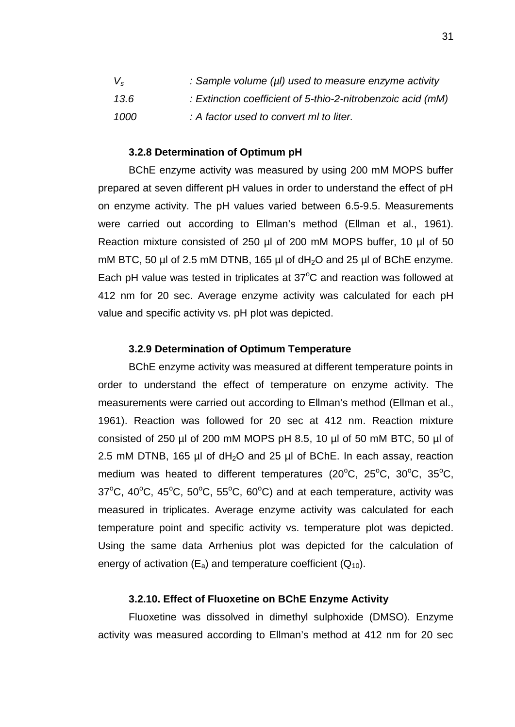| $V_{\rm s}$ | : Sample volume (µl) used to measure enzyme activity        |
|-------------|-------------------------------------------------------------|
| 13.6        | : Extinction coefficient of 5-thio-2-nitrobenzoic acid (mM) |
| 1000        | : A factor used to convert ml to liter.                     |

#### **3.2.8 Determination of Optimum pH**

BChE enzyme activity was measured by using 200 mM MOPS buffer prepared at seven different pH values in order to understand the effect of pH on enzyme activity. The pH values varied between 6.5-9.5. Measurements were carried out according to Ellman's method (Ellman et al., 1961). Reaction mixture consisted of 250 µl of 200 mM MOPS buffer, 10 µl of 50 mM BTC, 50  $\mu$  of 2.5 mM DTNB, 165  $\mu$  of dH<sub>2</sub>O and 25  $\mu$  of BChE enzyme. Each pH value was tested in triplicates at  $37^{\circ}$ C and reaction was followed at 412 nm for 20 sec. Average enzyme activity was calculated for each pH value and specific activity vs. pH plot was depicted.

#### **3.2.9 Determination of Optimum Temperature**

BChE enzyme activity was measured at different temperature points in order to understand the effect of temperature on enzyme activity. The measurements were carried out according to Ellman's method (Ellman et al., 1961). Reaction was followed for 20 sec at 412 nm. Reaction mixture consisted of 250 µl of 200 mM MOPS pH 8.5, 10 µl of 50 mM BTC, 50 µl of 2.5 mM DTNB, 165  $\mu$ l of dH<sub>2</sub>O and 25  $\mu$ l of BChE. In each assay, reaction medium was heated to different temperatures ( $20^{\circ}$ C,  $25^{\circ}$ C,  $30^{\circ}$ C,  $35^{\circ}$ C,  $37^{\circ}$ C,  $40^{\circ}$ C,  $45^{\circ}$ C,  $50^{\circ}$ C,  $55^{\circ}$ C,  $60^{\circ}$ C) and at each temperature, activity was measured in triplicates. Average enzyme activity was calculated for each temperature point and specific activity vs. temperature plot was depicted. Using the same data Arrhenius plot was depicted for the calculation of energy of activation  $(E_a)$  and temperature coefficient  $(Q_{10})$ .

# **3.2.10. Effect of Fluoxetine on BChE Enzyme Activity**

Fluoxetine was dissolved in dimethyl sulphoxide (DMSO). Enzyme activity was measured according to Ellman's method at 412 nm for 20 sec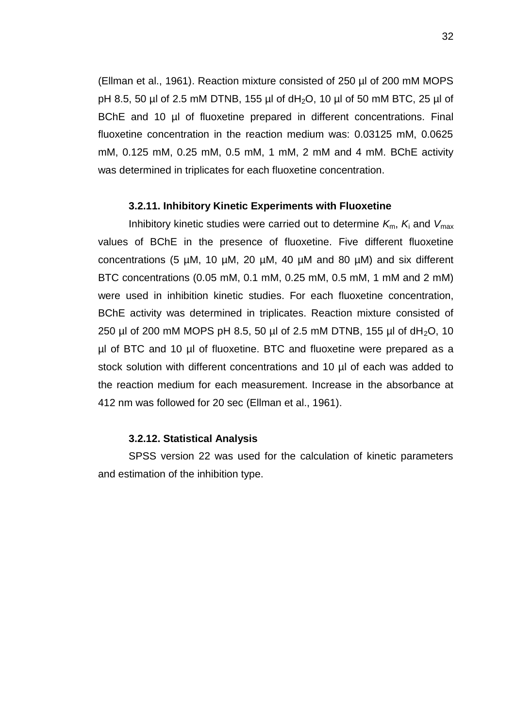(Ellman et al., 1961). Reaction mixture consisted of 250 µl of 200 mM MOPS pH 8.5, 50 µl of 2.5 mM DTNB, 155 µl of dH<sub>2</sub>O, 10 µl of 50 mM BTC, 25 µl of BChE and 10 µl of fluoxetine prepared in different concentrations. Final fluoxetine concentration in the reaction medium was: 0.03125 mM, 0.0625 mM, 0.125 mM, 0.25 mM, 0.5 mM, 1 mM, 2 mM and 4 mM. BChE activity was determined in triplicates for each fluoxetine concentration.

### **3.2.11. Inhibitory Kinetic Experiments with Fluoxetine**

Inhibitory kinetic studies were carried out to determine  $K_m$ ,  $K_i$  and  $V_{\text{max}}$ values of BChE in the presence of fluoxetine. Five different fluoxetine concentrations (5 µM, 10 µM, 20 µM, 40 µM and 80 µM) and six different BTC concentrations (0.05 mM, 0.1 mM, 0.25 mM, 0.5 mM, 1 mM and 2 mM) were used in inhibition kinetic studies. For each fluoxetine concentration, BChE activity was determined in triplicates. Reaction mixture consisted of 250 µl of 200 mM MOPS pH 8.5, 50 µl of 2.5 mM DTNB, 155 µl of  $dH_2O$ , 10 µl of BTC and 10 µl of fluoxetine. BTC and fluoxetine were prepared as a stock solution with different concentrations and 10 µl of each was added to the reaction medium for each measurement. Increase in the absorbance at 412 nm was followed for 20 sec (Ellman et al., 1961).

# **3.2.12. Statistical Analysis**

SPSS version 22 was used for the calculation of kinetic parameters and estimation of the inhibition type.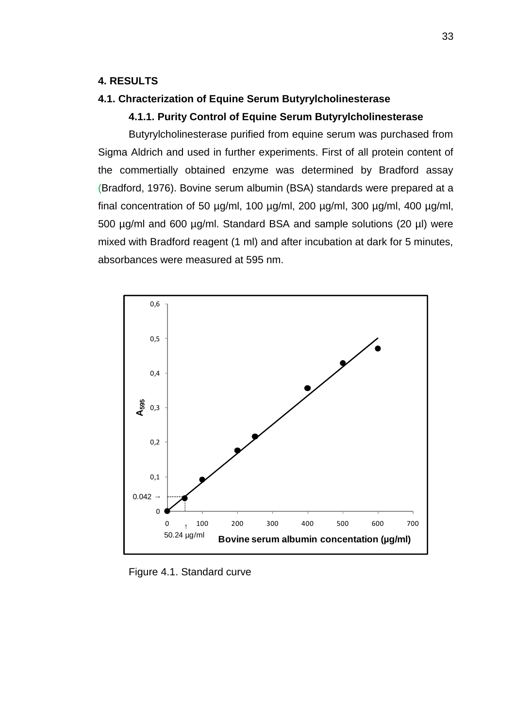# **4. RESULTS**

# **4.1. Chracterization of Equine Serum Butyrylcholinesterase**

### **4.1.1. Purity Control of Equine Serum Butyrylcholinesterase**

Butyrylcholinesterase purified from equine serum was purchased from Sigma Aldrich and used in further experiments. First of all protein content of the commertially obtained enzyme was determined by Bradford assay (Bradford, 1976). Bovine serum albumin (BSA) standards were prepared at a final concentration of 50  $\mu$ g/ml, 100  $\mu$ g/ml, 200  $\mu$ g/ml, 300  $\mu$ g/ml, 400  $\mu$ g/ml, 500 µg/ml and 600 µg/ml. Standard BSA and sample solutions (20 µl) were mixed with Bradford reagent (1 ml) and after incubation at dark for 5 minutes, absorbances were measured at 595 nm.



Figure 4.1. Standard curve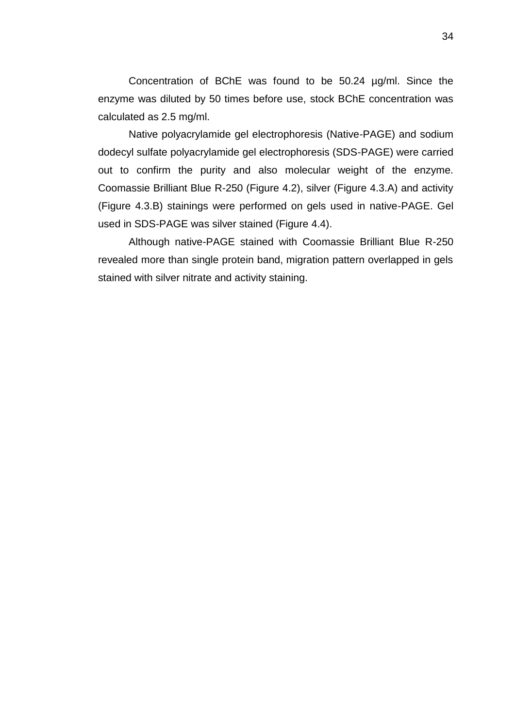Concentration of BChE was found to be 50.24 µg/ml. Since the enzyme was diluted by 50 times before use, stock BChE concentration was calculated as 2.5 mg/ml.

Native polyacrylamide gel electrophoresis (Native-PAGE) and sodium dodecyl sulfate polyacrylamide gel electrophoresis (SDS-PAGE) were carried out to confirm the purity and also molecular weight of the enzyme. Coomassie Brilliant Blue R-250 (Figure 4.2), silver (Figure 4.3.A) and activity (Figure 4.3.B) stainings were performed on gels used in native-PAGE. Gel used in SDS-PAGE was silver stained (Figure 4.4).

Although native-PAGE stained with Coomassie Brilliant Blue R-250 revealed more than single protein band, migration pattern overlapped in gels stained with silver nitrate and activity staining.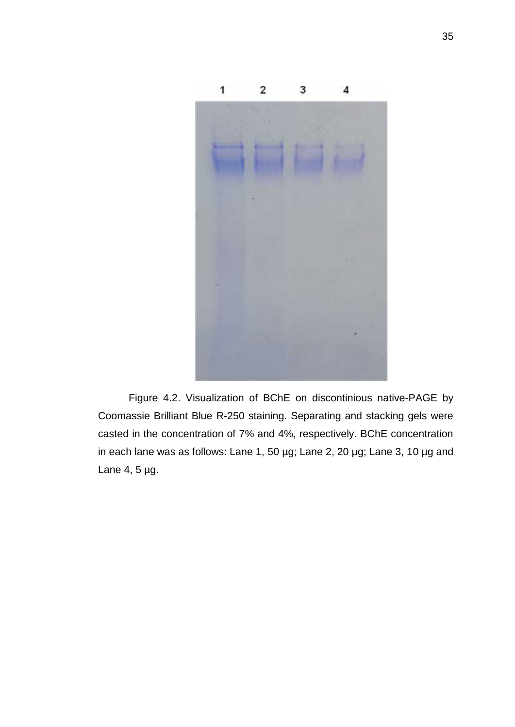

Figure 4.2. Visualization of BChE on discontinious native-PAGE by Coomassie Brilliant Blue R-250 staining. Separating and stacking gels were casted in the concentration of 7% and 4%, respectively. BChE concentration in each lane was as follows: Lane 1, 50 µg; Lane 2, 20 µg; Lane 3, 10 µg and Lane 4, 5 µg.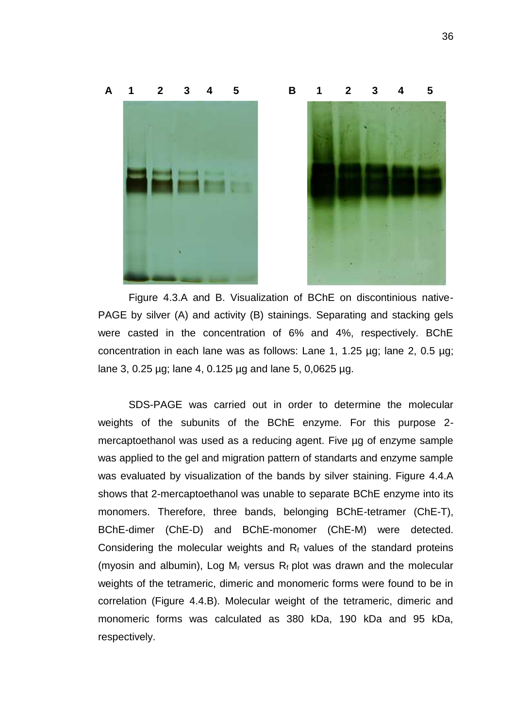

Figure 4.3.A and B. Visualization of BChE on discontinious native- PAGE by silver (A) and activity (B) stainings. Separating and stacking gels were casted in the concentration of 6% and 4%, respectively. BChE concentration in each lane was as follows: Lane 1, 1.25 µg; lane 2, 0.5 µg; lane 3, 0.25 µg; lane 4, 0.125 µg and lane 5, 0,0625 µg.

SDS-PAGE was carried out in order to determine the molecular weights of the subunits of the BChE enzyme. For this purpose 2 mercaptoethanol was used as a reducing agent. Five ug of enzyme sample was applied to the gel and migration pattern of standarts and enzyme sample was evaluated by visualization of the bands by silver staining. Figure 4.4.A shows that 2-mercaptoethanol was unable to separate BChE enzyme into its monomers. Therefore, three bands, belonging BChE-tetramer (ChE-T), BChE-dimer (ChE-D) and BChE-monomer (ChE-M) were detected. Considering the molecular weights and  $R_f$  values of the standard proteins (myosin and albumin), Log  $M_r$  versus  $R_f$  plot was drawn and the molecular weights of the tetrameric, dimeric and monomeric forms were found to be in correlation (Figure 4.4.B). Molecular weight of the tetrameric, dimeric and monomeric forms was calculated as 380 kDa, 190 kDa and 95 kDa, respectively.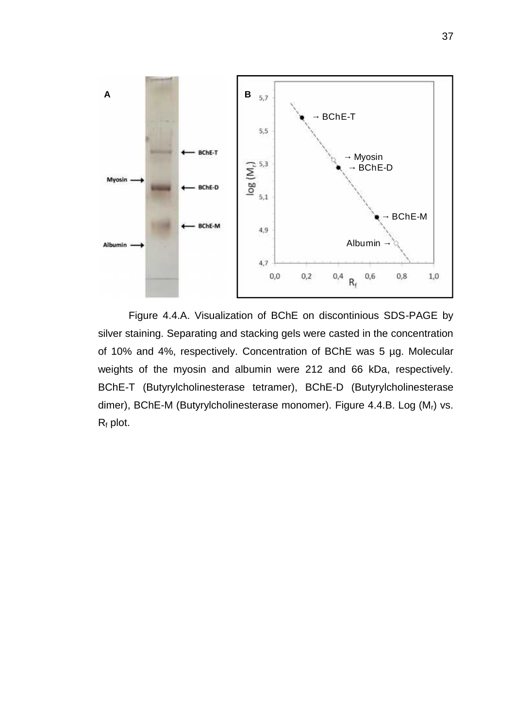

Figure 4.4.A. Visualization of BChE on discontinious SDS-PAGE by silver staining. Separating and stacking gels were casted in the concentration of 10% and 4%, respectively. Concentration of BChE was 5 µg. Molecular weights of the myosin and albumin were 212 and 66 kDa, respectively. BChE-T (Butyrylcholinesterase tetramer), BChE-D (Butyrylcholinesterase dimer), BChE-M (Butyrylcholinesterase monomer). Figure 4.4.B. Log (M<sub>r</sub>) vs.  $R_f$  plot.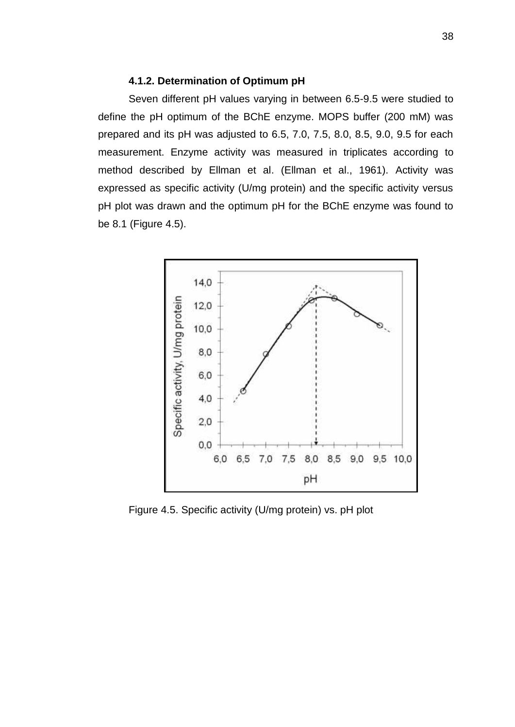# **4.1.2. Determination of Optimum pH**

Seven different pH values varying in between 6.5-9.5 were studied to define the pH optimum of the BChE enzyme. MOPS buffer (200 mM) was prepared and its pH was adjusted to 6.5, 7.0, 7.5, 8.0, 8.5, 9.0, 9.5 for each measurement. Enzyme activity was measured in triplicates according to method described by Ellman et al. (Ellman et al., 1961). Activity was expressed as specific activity (U/mg protein) and the specific activity versus pH plot was drawn and the optimum pH for the BChE enzyme was found to be 8.1 (Figure 4.5).



Figure 4.5. Specific activity (U/mg protein) vs. pH plot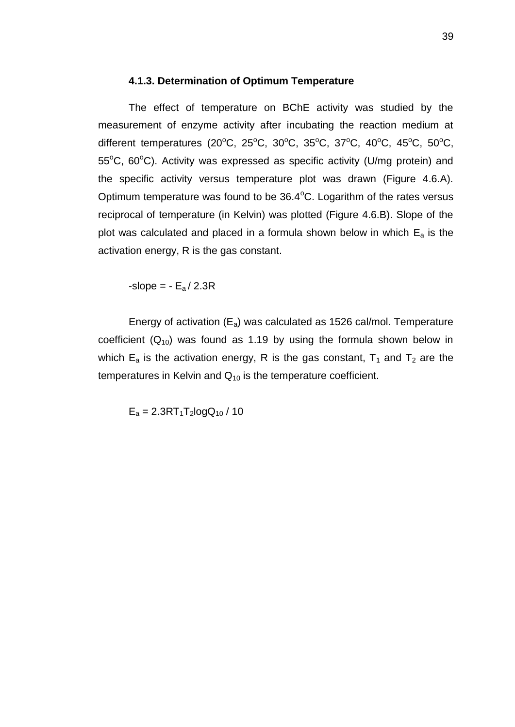# **4.1.3. Determination of Optimum Temperature**

The effect of temperature on BChE activity was studied by the measurement of enzyme activity after incubating the reaction medium at different temperatures (20°C, 25°C, 30°C, 35°C, 37°C, 40°C, 45°C, 50°C,  $55^{\circ}$ C, 60 $^{\circ}$ C). Activity was expressed as specific activity (U/mg protein) and the specific activity versus temperature plot was drawn (Figure 4.6.A). Optimum temperature was found to be  $36.4^{\circ}$ C. Logarithm of the rates versus reciprocal of temperature (in Kelvin) was plotted (Figure 4.6.B). Slope of the plot was calculated and placed in a formula shown below in which  $E_a$  is the activation energy, R is the gas constant.

-slope =  $-E_a/2.3R$ 

Energy of activation  $(E_a)$  was calculated as 1526 cal/mol. Temperature coefficient  $(Q_{10})$  was found as 1.19 by using the formula shown below in which  $E_a$  is the activation energy, R is the gas constant,  $T_1$  and  $T_2$  are the temperatures in Kelvin and  $Q_{10}$  is the temperature coefficient.

 $E_a = 2.3RT_1T_2logQ_{10}$  / 10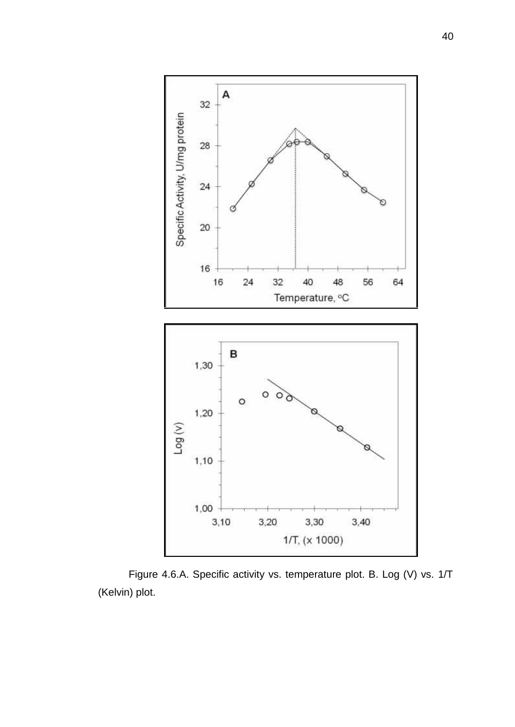

Figure 4.6.A. Specific activity vs. temperature plot. B. Log (V) vs. 1/T (Kelvin) plot.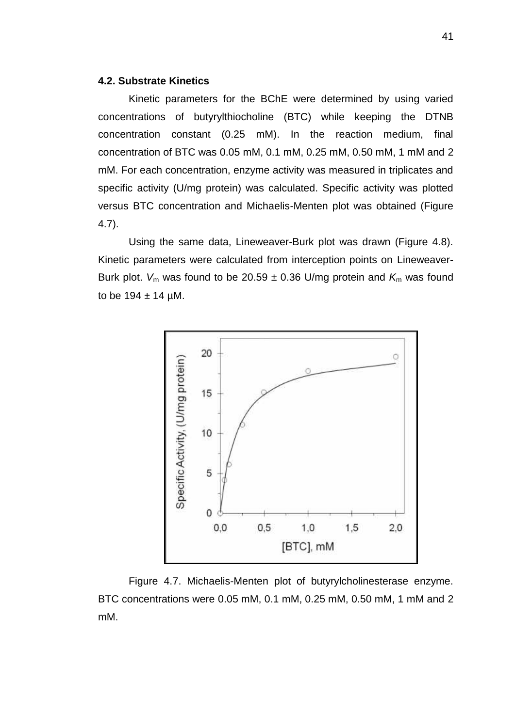# **4.2. Substrate Kinetics**

Kinetic parameters for the BChE were determined by using varied concentrations of butyrylthiocholine (BTC) while keeping the DTNB concentration constant (0.25 mM). In the reaction medium, final concentration of BTC was 0.05 mM, 0.1 mM, 0.25 mM, 0.50 mM, 1 mM and 2 mM. For each concentration, enzyme activity was measured in triplicates and specific activity (U/mg protein) was calculated. Specific activity was plotted versus BTC concentration and Michaelis-Menten plot was obtained (Figure 4.7).

Using the same data, Lineweaver-Burk plot was drawn (Figure 4.8). Kinetic parameters were calculated from interception points on Lineweaver- Burk plot.  $V_m$  was found to be 20.59  $\pm$  0.36 U/mg protein and  $K_m$  was found to be  $194 \pm 14$  µM.



Figure 4.7. Michaelis-Menten plot of butyrylcholinesterase enzyme. BTC concentrations were 0.05 mM, 0.1 mM, 0.25 mM, 0.50 mM, 1 mM and 2 mM.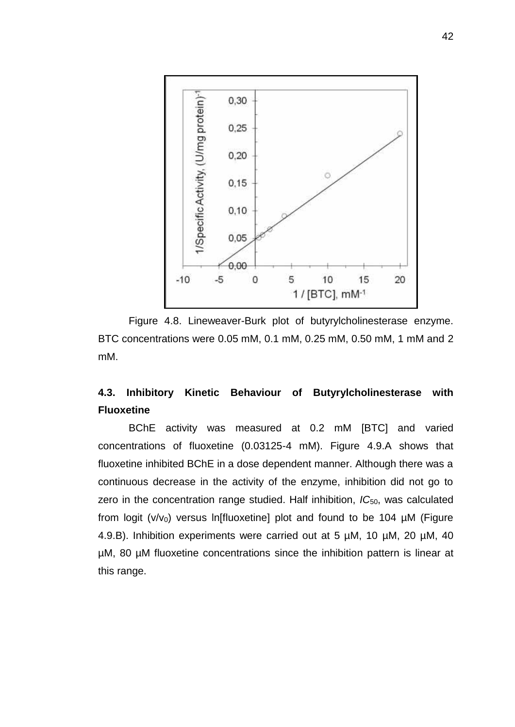

Figure 4.8. Lineweaver-Burk plot of butyrylcholinesterase enzyme. BTC concentrations were 0.05 mM, 0.1 mM, 0.25 mM, 0.50 mM, 1 mM and 2 mM.

# **4.3. Inhibitory Kinetic Behaviour of Butyrylcholinesterase with Fluoxetine**

BChE activity was measured at 0.2 mM [BTC] and varied concentrations of fluoxetine (0.03125-4 mM). Figure 4.9.A shows that fluoxetine inhibited BChE in a dose dependent manner. Although there was a continuous decrease in the activity of the enzyme, inhibition did not go to zero in the concentration range studied. Half inhibition, IC<sub>50</sub>, was calculated from logit ( $v/v_0$ ) versus ln[fluoxetine] plot and found to be 104 µM (Figure 4.9.B). Inhibition experiments were carried out at 5 µM, 10 µM, 20 µM, 40 µM, 80 µM fluoxetine concentrations since the inhibition pattern is linear at this range.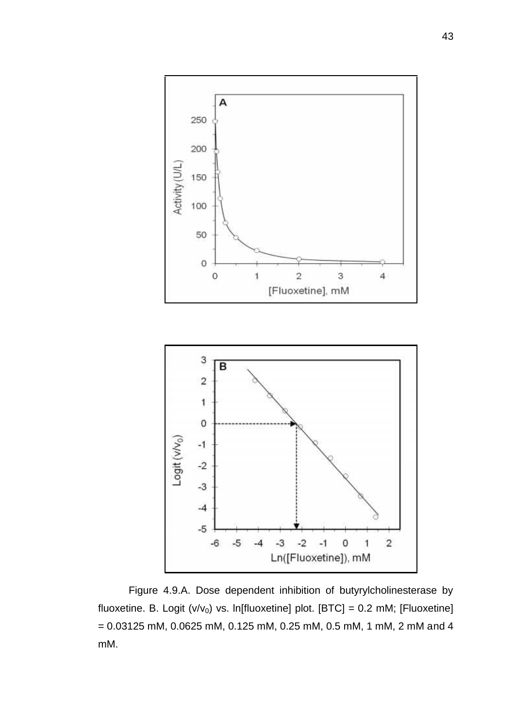

Figure 4.9.A. Dose dependent inhibition of butyrylcholinesterase by fluoxetine. B. Logit (v/v<sub>0</sub>) vs. ln[fluoxetine] plot. [BTC] = 0.2 mM; [Fluoxetine] = 0.03125 mM, 0.0625 mM, 0.125 mM, 0.25 mM, 0.5 mM, 1 mM, 2 mM and 4 mM.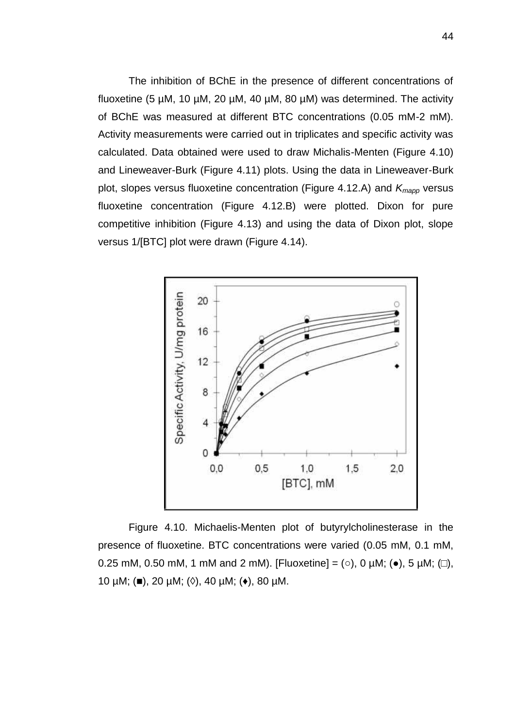The inhibition of BChE in the presence of different concentrations of fluoxetine (5  $\mu$ M, 10  $\mu$ M, 20  $\mu$ M, 40  $\mu$ M, 80  $\mu$ M) was determined. The activity of BChE was measured at different BTC concentrations (0.05 mM-2 mM). Activity measurements were carried out in triplicates and specific activity was calculated. Data obtained were used to draw Michalis-Menten (Figure 4.10) and Lineweaver-Burk (Figure 4.11) plots. Using the data in Lineweaver-Burk plot, slopes versus fluoxetine concentration (Figure 4.12.A) and *Kmapp* versus fluoxetine concentration (Figure 4.12.B) were plotted. Dixon for pure competitive inhibition (Figure 4.13) and using the data of Dixon plot, slope versus 1/[BTC] plot were drawn (Figure 4.14).



Figure 4.10. Michaelis-Menten plot of butyrylcholinesterase in the presence of fluoxetine. BTC concentrations were varied (0.05 mM, 0.1 mM, 0.25 mM, 0.50 mM, 1 mM and 2 mM). [Fluoxetine] =  $($  ), 0  $\mu$ M;  $($  ), 5  $\mu$ M;  $($  ), 10  $\mu$ M; ( ), 20  $\mu$ M; ( ), 40  $\mu$ M; ( ), 80  $\mu$ M.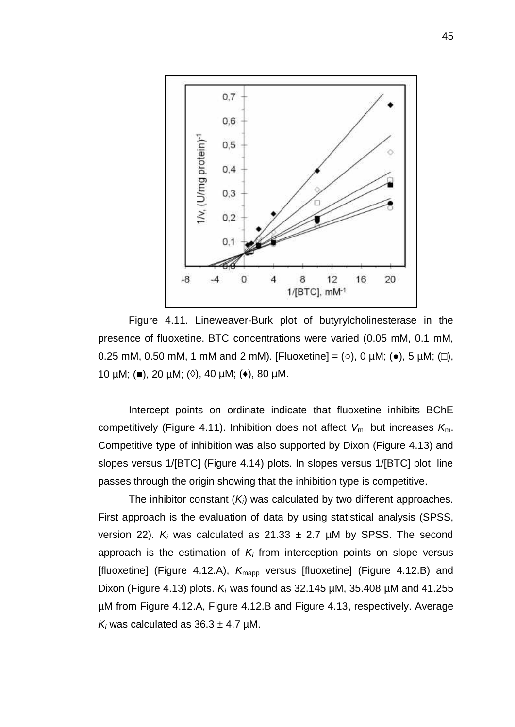

Figure 4.11. Lineweaver-Burk plot of butyrylcholinesterase in the presence of fluoxetine. BTC concentrations were varied (0.05 mM, 0.1 mM, 0.25 mM, 0.50 mM, 1 mM and 2 mM). [Fluoxetine] =  $($  ), 0  $\mu$ M;  $($  ), 5  $\mu$ M;  $($  ), 10  $\mu$ M; ( ), 20  $\mu$ M; ( ), 40  $\mu$ M; ( ), 80  $\mu$ M.

Intercept points on ordinate indicate that fluoxetine inhibits BChE competitively (Figure 4.11). Inhibition does not affect *V*m, but increases *K*m. Competitive type of inhibition was also supported by Dixon (Figure 4.13) and slopes versus 1/[BTC] (Figure 4.14) plots. In slopes versus 1/[BTC] plot, line passes through the origin showing that the inhibition type is competitive.

The inhibitor constant (*Ki*) was calculated by two different approaches. First approach is the evaluation of data by using statistical analysis (SPSS, version 22).  $K_i$  was calculated as 21.33  $\pm$  2.7  $\mu$ M by SPSS. The second approach is the estimation of *K<sup>i</sup>* from interception points on slope versus [fluoxetine] (Figure 4.12.A), K<sub>mapp</sub> versus [fluoxetine] (Figure 4.12.B) and Dixon (Figure 4.13) plots. *K<sup>i</sup>* was found as 32.145 µM, 35.408 µM and 41.255 µM from Figure 4.12.A, Figure 4.12.B and Figure 4.13, respectively. Average  $K_i$  was calculated as  $36.3 \pm 4.7$  µM.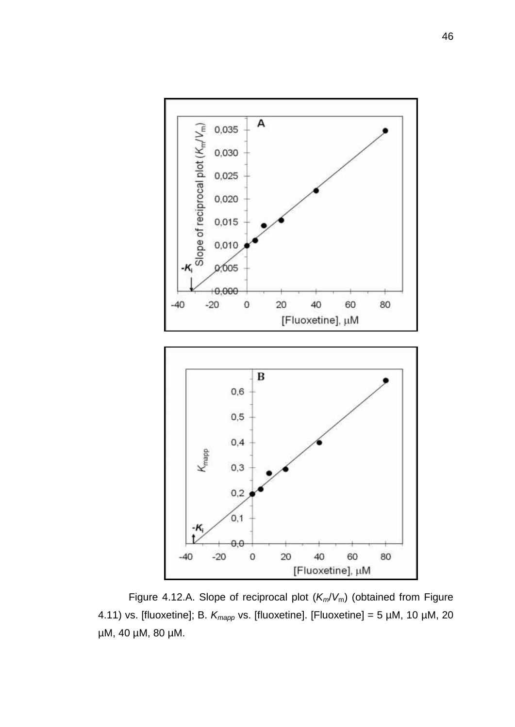

Figure 4.12.A. Slope of reciprocal plot (*Km*/*V*m) (obtained from Figure 4.11) vs. [fluoxetine]; B. *Kmapp* vs. [fluoxetine]. [Fluoxetine] = 5 µM, 10 µM, 20 µM, 40 µM, 80 µM.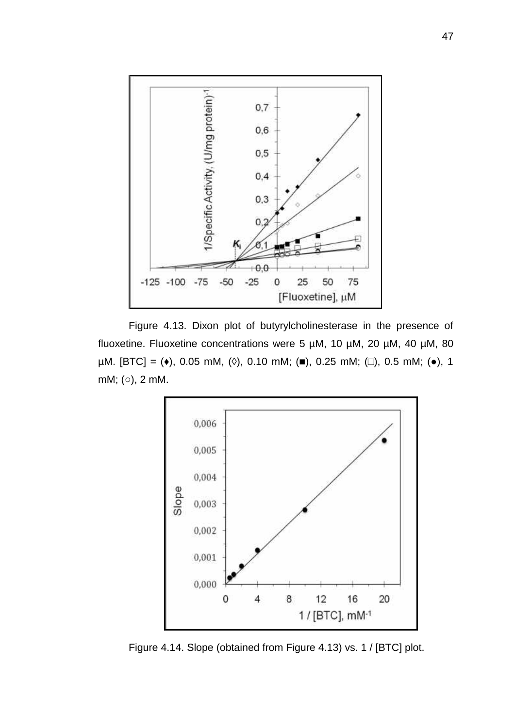

Figure 4.13. Dixon plot of butyrylcholinesterase in the presence of fluoxetine. Fluoxetine concentrations were 5 µM, 10 µM, 20 µM, 40 µM, 80  $µM.$  [BTC] = ( ), 0.05 mM, ( ), 0.10 mM; ( ), 0.25 mM; ( ), 0.5 mM; ( ), 1 mM; (○), 2 mM.



Figure 4.14. Slope (obtained from Figure 4.13) vs. 1 / [BTC] plot.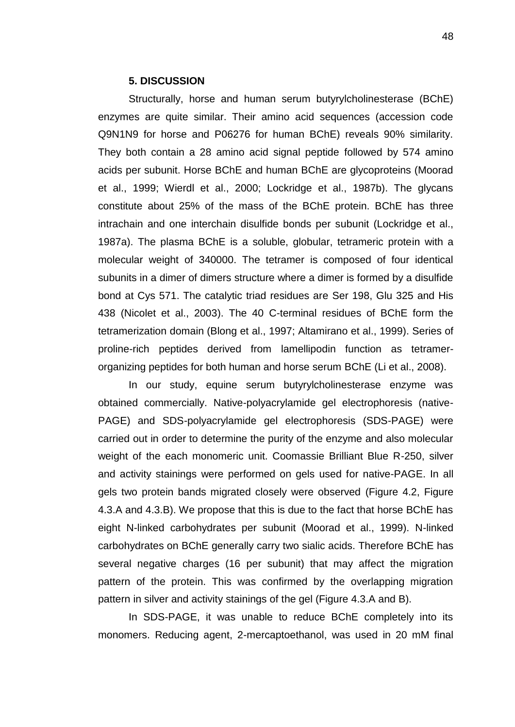### **5. DISCUSSION**

Structurally, horse and human serum butyrylcholinesterase (BChE) enzymes are quite similar. Their amino acid sequences (accession code Q9N1N9 for horse and P06276 for human BChE) reveals 90% similarity. They both contain a 28 amino acid signal peptide followed by 574 amino acids per subunit. Horse BChE and human BChE are glycoproteins (Moorad et al., 1999; Wierdl et al., 2000; Lockridge et al., 1987b). The glycans constitute about 25% of the mass of the BChE protein. BChE has three intrachain and one interchain disulfide bonds per subunit (Lockridge et al., 1987a). The plasma BChE is a soluble, globular, tetrameric protein with a molecular weight of 340000. The tetramer is composed of four identical subunits in a dimer of dimers structure where a dimer is formed by a disulfide bond at Cys 571. The catalytic triad residues are Ser 198, Glu 325 and His 438 (Nicolet et al., 2003). The 40 C-terminal residues of BChE form the tetramerization domain (Blong et al., 1997; Altamirano et al., 1999). Series of proline-rich peptides derived from lamellipodin function as tetramer organizing peptides for both human and horse serum BChE (Li et al., 2008).

In our study, equine serum butyrylcholinesterase enzyme was obtained commercially. Native-polyacrylamide gel electrophoresis (native- PAGE) and SDS-polyacrylamide gel electrophoresis (SDS-PAGE) were carried out in order to determine the purity of the enzyme and also molecular weight of the each monomeric unit. Coomassie Brilliant Blue R-250, silver and activity stainings were performed on gels used for native-PAGE. In all gels two protein bands migrated closely were observed (Figure 4.2, Figure 4.3.A and 4.3.B). We propose that this is due to the fact that horse BChE has eight N-linked carbohydrates per subunit (Moorad et al., 1999). N-linked carbohydrates on BChE generally carry two sialic acids. Therefore BChE has several negative charges (16 per subunit) that may affect the migration pattern of the protein. This was confirmed by the overlapping migration pattern in silver and activity stainings of the gel (Figure 4.3.A and B).

In SDS-PAGE, it was unable to reduce BChE completely into its monomers. Reducing agent, 2-mercaptoethanol, was used in 20 mM final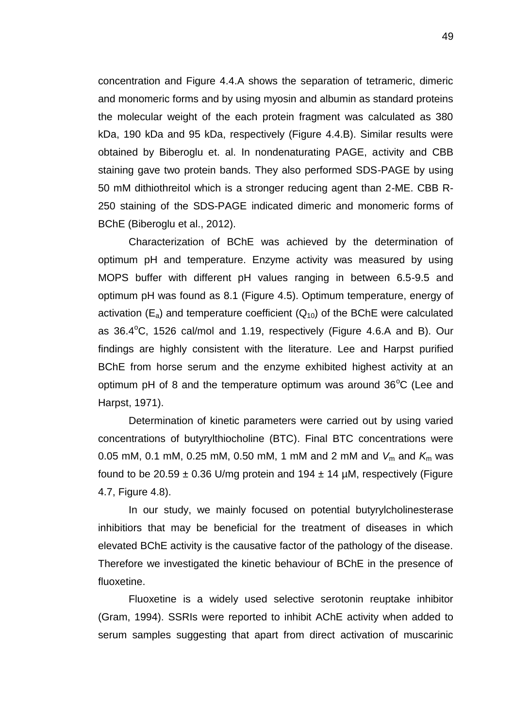concentration and Figure 4.4.A shows the separation of tetrameric, dimeric and monomeric forms and by using myosin and albumin as standard proteins the molecular weight of the each protein fragment was calculated as 380 kDa, 190 kDa and 95 kDa, respectively (Figure 4.4.B). Similar results were obtained by Biberoglu et. al. In nondenaturating PAGE, activity and CBB staining gave two protein bands. They also performed SDS-PAGE by using 50 mM dithiothreitol which is a stronger reducing agent than 2-ME. CBB R- 250 staining of the SDS-PAGE indicated dimeric and monomeric forms of BChE (Biberoglu et al., 2012).

Characterization of BChE was achieved by the determination of optimum pH and temperature. Enzyme activity was measured by using MOPS buffer with different pH values ranging in between 6.5-9.5 and optimum pH was found as 8.1 (Figure 4.5). Optimum temperature, energy of activation  $(E_a)$  and temperature coefficient  $(Q_{10})$  of the BChE were calculated as  $36.4^{\circ}$ C, 1526 cal/mol and 1.19, respectively (Figure 4.6.A and B). Our findings are highly consistent with the literature. Lee and Harpst purified BChE from horse serum and the enzyme exhibited highest activity at an optimum pH of 8 and the temperature optimum was around  $36^{\circ}$ C (Lee and Harpst, 1971).

Determination of kinetic parameters were carried out by using varied concentrations of butyrylthiocholine (BTC). Final BTC concentrations were 0.05 mM, 0.1 mM, 0.25 mM, 0.50 mM, 1 mM and 2 mM and  $V_m$  and  $K_m$  was found to be 20.59  $\pm$  0.36 U/mg protein and 194  $\pm$  14 µM, respectively (Figure 4.7, Figure 4.8).

In our study, we mainly focused on potential butyrylcholinesterase inhibitiors that may be beneficial for the treatment of diseases in which elevated BChE activity is the causative factor of the pathology of the disease. Therefore we investigated the kinetic behaviour of BChE in the presence of fluoxetine.

Fluoxetine is a widely used selective serotonin reuptake inhibitor (Gram, 1994). SSRIs were reported to inhibit AChE activity when added to serum samples suggesting that apart from direct activation of muscarinic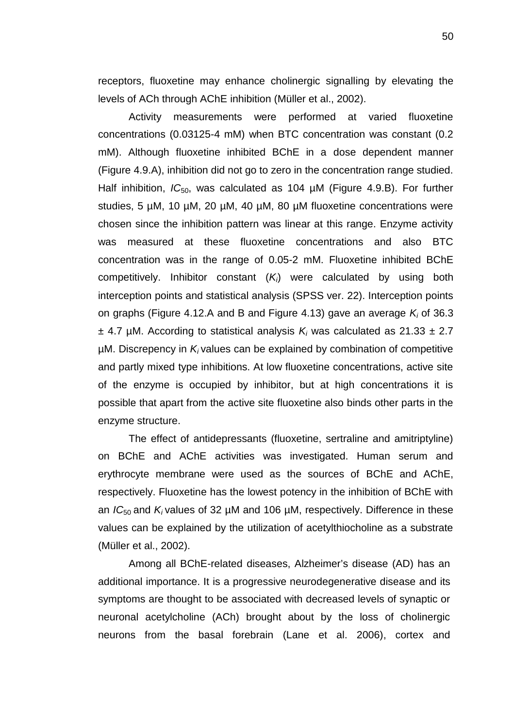receptors, fluoxetine may enhance cholinergic signalling by elevating the levels of ACh through AChE inhibition (Müller et al., 2002).

Activity measurements were performed at varied fluoxetine concentrations (0.03125-4 mM) when BTC concentration was constant (0.2 mM). Although fluoxetine inhibited BChE in a dose dependent manner (Figure 4.9.A), inhibition did not go to zero in the concentration range studied. Half inhibition, *IC*<sub>50</sub>, was calculated as 104 µM (Figure 4.9.B). For further studies, 5 µM, 10 µM, 20 µM, 40 µM, 80 µM fluoxetine concentrations were chosen since the inhibition pattern was linear at this range. Enzyme activity was measured at these fluoxetine concentrations and also BTC concentration was in the range of 0.05-2 mM. Fluoxetine inhibited BChE competitively. Inhibitor constant (*Ki*) were calculated by using both interception points and statistical analysis (SPSS ver. 22). Interception points on graphs (Figure 4.12.A and B and Figure 4.13) gave an average *K<sup>i</sup>* of 36.3  $\pm$  4.7 µM. According to statistical analysis  $K_i$  was calculated as 21.33  $\pm$  2.7 µM. Discrepency in *K<sup>i</sup>* values can be explained by combination of competitive and partly mixed type inhibitions. At low fluoxetine concentrations, active site of the enzyme is occupied by inhibitor, but at high concentrations it is possible that apart from the active site fluoxetine also binds other parts in the enzyme structure.

The effect of antidepressants (fluoxetine, sertraline and amitriptyline) on BChE and AChE activities was investigated. Human serum and erythrocyte membrane were used as the sources of BChE and AChE, respectively. Fluoxetine has the lowest potency in the inhibition of BChE with an  $IC_{50}$  and  $K_i$  values of 32  $\mu$ M and 106  $\mu$ M, respectively. Difference in these values can be explained by the utilization of acetylthiocholine as a substrate (Müller et al., 2002).

Among all BChE-related diseases, Alzheimer's disease (AD) has an additional importance. It is a progressive neurodegenerative disease and its symptoms are thought to be associated with decreased levels of synaptic or neuronal acetylcholine (ACh) brought about by the loss of cholinergic neurons from the basal forebrain (Lane et al. 2006), cortex and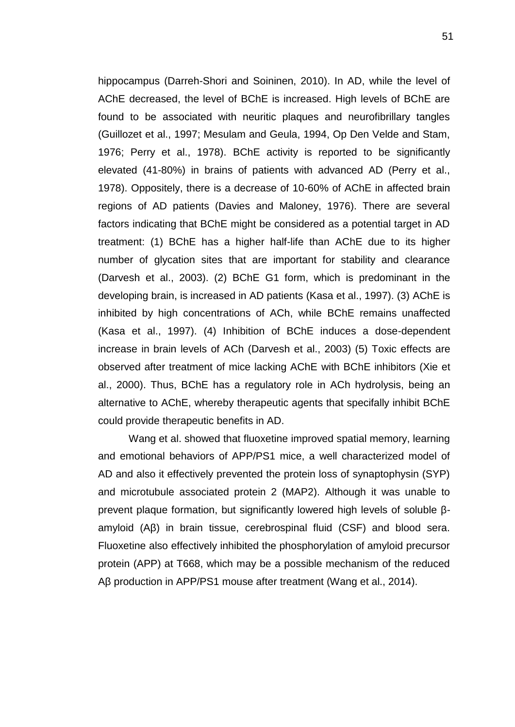hippocampus (Darreh-Shori and Soininen, 2010). In AD, while the level of AChE decreased, the level of BChE is increased. High levels of BChE are found to be associated with neuritic plaques and neurofibrillary tangles (Guillozet et al., 1997; Mesulam and Geula, 1994, Op Den Velde and Stam, 1976; Perry et al., 1978). BChE activity is reported to be significantly elevated (41-80%) in brains of patients with advanced AD (Perry et al., 1978). Oppositely, there is a decrease of 10-60% of AChE in affected brain regions of AD patients (Davies and Maloney, 1976). There are several factors indicating that BChE might be considered as a potential target in AD treatment: (1) BChE has a higher half-life than AChE due to its higher number of glycation sites that are important for stability and clearance (Darvesh et al., 2003). (2) BChE G1 form, which is predominant in the developing brain, is increased in AD patients (Kasa et al., 1997). (3) AChE is inhibited by high concentrations of ACh, while BChE remains unaffected (Kasa et al., 1997). (4) Inhibition of BChE induces a dose-dependent increase in brain levels of ACh (Darvesh et al., 2003) (5) Toxic effects are observed after treatment of mice lacking AChE with BChE inhibitors (Xie et al., 2000). Thus, BChE has a regulatory role in ACh hydrolysis, being an alternative to AChE, whereby therapeutic agents that specifally inhibit BChE could provide therapeutic benefits in AD.

Wang et al. showed that fluoxetine improved spatial memory, learning and emotional behaviors of APP/PS1 mice, a well characterized model of AD and also it effectively prevented the protein loss of synaptophysin (SYP) and microtubule associated protein 2 (MAP2). Although it was unable to prevent plaque formation, but significantly lowered high levels of soluble amyloid (A) in brain tissue, cerebrospinal fluid (CSF) and blood sera. Fluoxetine also effectively inhibited the phosphorylation of amyloid precursor protein (APP) at T668, which may be a possible mechanism of the reduced A production in APP/PS1 mouse after treatment (Wang et al., 2014).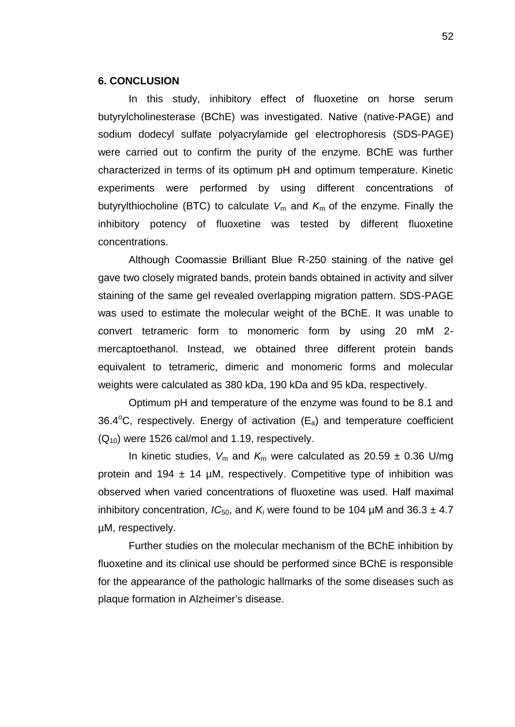### **6. CONCLUSION**

In this study, inhibitory effect of fluoxetine on horse serum butyrylcholinesterase (BChE) was investigated. Native (native-PAGE) and sodium dodecyl sulfate polyacrylamide gel electrophoresis (SDS-PAGE) were carried out to confirm the purity of the enzyme. BChE was further characterized in terms of its optimum pH and optimum temperature. Kinetic experiments were performed by using different concentrations of butyrylthiocholine (BTC) to calculate  $V_m$  and  $K_m$  of the enzyme. Finally the inhibitory potency of fluoxetine was tested by different fluoxetine concentrations.

Although Coomassie Brilliant Blue R-250 staining of the native gel gave two closely migrated bands, protein bands obtained in activity and silver staining of the same gel revealed overlapping migration pattern. SDS-PAGE was used to estimate the molecular weight of the BChE. It was unable to convert tetrameric form to monomeric form by using 20 mM 2 mercaptoethanol. Instead, we obtained three different protein bands equivalent to tetrameric, dimeric and monomeric forms and molecular weights were calculated as 380 kDa, 190 kDa and 95 kDa, respectively.

Optimum pH and temperature of the enzyme was found to be 8.1 and 36.4 $\degree$ C, respectively. Energy of activation (E<sub>a</sub>) and temperature coefficient  $(Q_{10})$  were 1526 cal/mol and 1.19, respectively.

In kinetic studies,  $V_m$  and  $K_m$  were calculated as 20.59  $\pm$  0.36 U/mg protein and 194  $\pm$  14 µM, respectively. Competitive type of inhibition was observed when varied concentrations of fluoxetine was used. Half maximal inhibitory concentration,  $IC_{50}$ , and  $K_i$  were found to be 104  $\mu$ M and 36.3  $\pm$  4.7 µM, respectively.

Further studies on the molecular mechanism of the BChE inhibition by fluoxetine and its clinical use should be performed since BChE is responsible for the appearance of the pathologic hallmarks of the some diseases such as plaque formation in Alzheimer's disease.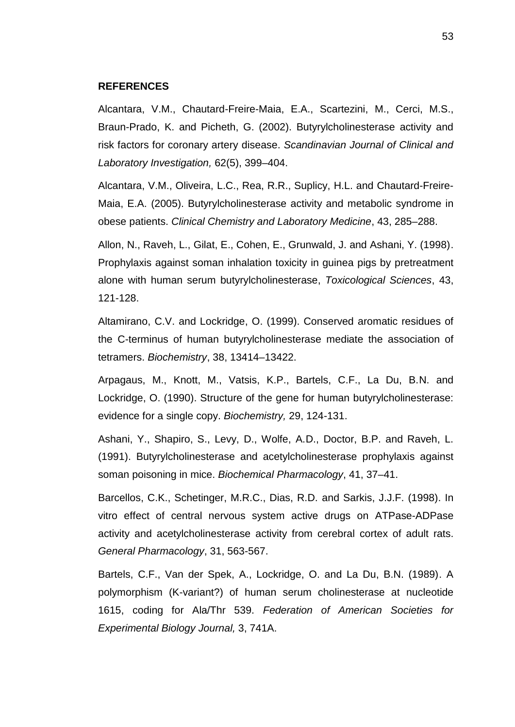#### **REFERENCES**

Alcantara, V.M., Chautard-Freire-Maia, E.A., Scartezini, M., Cerci, M.S., Braun-Prado, K. and Picheth, G. (2002). Butyrylcholinesterase activity and risk factors for coronary artery disease. *Scandinavian Journal of Clinical and Laboratory Investigation,* 62(5), 399–404.

Alcantara, V.M., Oliveira, L.C., Rea, R.R., Suplicy, H.L. and Chautard-Freire- Maia, E.A. (2005). Butyrylcholinesterase activity and metabolic syndrome in obese patients. *Clinical Chemistry and Laboratory Medicine*, 43, 285–288.

Allon, N., Raveh, L., Gilat, E., Cohen, E., Grunwald, J. and Ashani, Y. (1998). Prophylaxis against soman inhalation toxicity in guinea pigs by pretreatment alone with human serum butyrylcholinesterase, *Toxicological Sciences*, 43, 121-128.

Altamirano, C.V. and Lockridge, O. (1999). Conserved aromatic residues of the C-terminus of human butyrylcholinesterase mediate the association of tetramers. *Biochemistry*, 38, 13414–13422.

Arpagaus, M., Knott, M., Vatsis, K.P., Bartels, C.F., La Du, B.N. and Lockridge, O. (1990). Structure of the gene for human butyrylcholinesterase: evidence for a single copy. *Biochemistry,* 29, 124-131.

Ashani, Y., Shapiro, S., Levy, D., Wolfe, A.D., Doctor, B.P. and Raveh, L. (1991). Butyrylcholinesterase and acetylcholinesterase prophylaxis against soman poisoning in mice. *Biochemical Pharmacology*, 41, 37–41.

Barcellos, C.K., Schetinger, M.R.C., Dias, R.D. and Sarkis, J.J.F. (1998). In vitro effect of central nervous system active drugs on ATPase-ADPase activity and acetylcholinesterase activity from cerebral cortex of adult rats. *General Pharmacology*, 31, 563-567.

Bartels, C.F., Van der Spek, A., Lockridge, O. and La Du, B.N. (1989). A polymorphism (K-variant?) of human serum cholinesterase at nucleotide 1615, coding for Ala/Thr 539. *Federation of American Societies for Experimental Biology Journal,* 3, 741A.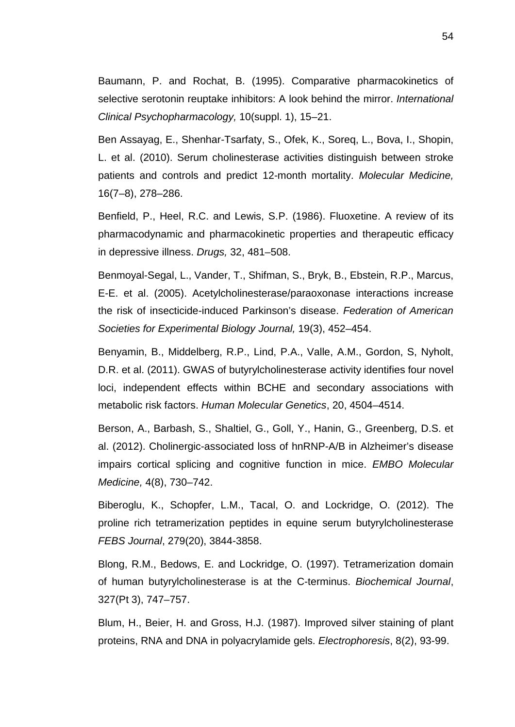Baumann, P. and Rochat, B. (1995). Comparative pharmacokinetics of selective serotonin reuptake inhibitors: A look behind the mirror. *International Clinical Psychopharmacology,* 10(suppl. 1), 15–21.

Ben Assayag, E., Shenhar-Tsarfaty, S., Ofek, K., Soreq, L., Bova, I., Shopin, L. et al. (2010). Serum cholinesterase activities distinguish between stroke patients and controls and predict 12-month mortality. *Molecular Medicine,* 16(7–8), 278–286.

Benfield, P., Heel, R.C. and Lewis, S.P. (1986). Fluoxetine. A review of its pharmacodynamic and pharmacokinetic properties and therapeutic efficacy in depressive illness. *Drugs,* 32, 481–508.

Benmoyal-Segal, L., Vander, T., Shifman, S., Bryk, B., Ebstein, R.P., Marcus, E-E. et al. (2005). Acetylcholinesterase/paraoxonase interactions increase the risk of insecticide-induced Parkinson's disease. *Federation of American Societies for Experimental Biology Journal,* 19(3), 452–454.

Benyamin, B., Middelberg, R.P., Lind, P.A., Valle, A.M., Gordon, S, Nyholt, D.R. et al. (2011). GWAS of butyrylcholinesterase activity identifies four novel loci, independent effects within BCHE and secondary associations with metabolic risk factors. *Human Molecular Genetics*, 20, 4504–4514.

Berson, A., Barbash, S., Shaltiel, G., Goll, Y., Hanin, G., Greenberg, D.S. et al. (2012). Cholinergic-associated loss of hnRNP-A/B in Alzheimer's disease impairs cortical splicing and cognitive function in mice. *EMBO Molecular Medicine,* 4(8), 730–742.

Biberoglu, K., Schopfer, L.M., Tacal, O. and Lockridge, O. (2012). The proline rich tetramerization peptides in equine serum butyrylcholinesterase *FEBS Journal*, 279(20), 3844-3858.

Blong, R.M., Bedows, E. and Lockridge, O. (1997). Tetramerization domain of human butyrylcholinesterase is at the C-terminus. *Biochemical Journal*, 327(Pt 3), 747–757.

Blum, H., Beier, H. and Gross, H.J. (1987). Improved silver staining of plant proteins, RNA and DNA in polyacrylamide gels. *Electrophoresis*, 8(2), 93-99.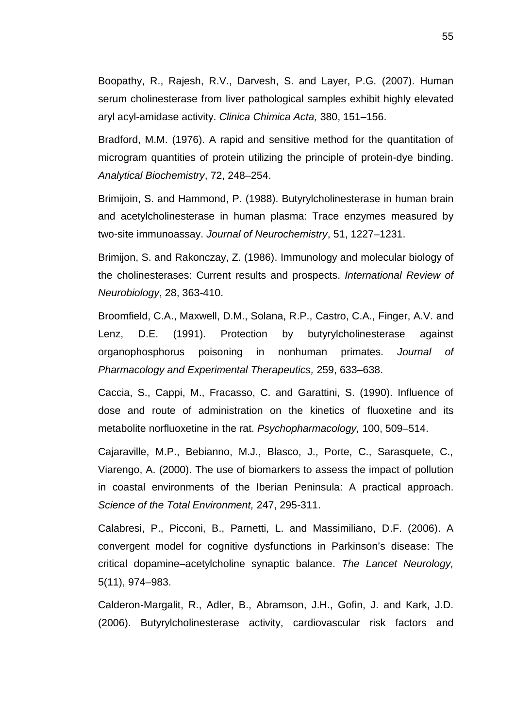Boopathy, R., Rajesh, R.V., Darvesh, S. and Layer, P.G. (2007). Human serum cholinesterase from liver pathological samples exhibit highly elevated aryl acyl-amidase activity. *Clinica Chimica Acta,* 380, 151–156.

Bradford, M.M. (1976). A rapid and sensitive method for the quantitation of microgram quantities of protein utilizing the principle of protein-dye binding. *Analytical Biochemistry*, 72, 248–254.

Brimijoin, S. and Hammond, P. (1988). Butyrylcholinesterase in human brain and acetylcholinesterase in human plasma: Trace enzymes measured by two-site immunoassay. *Journal of Neurochemistry*, 51, 1227–1231.

Brimijon, S. and Rakonczay, Z. (1986). Immunology and molecular biology of the cholinesterases: Current results and prospects. *International Review of Neurobiology*, 28, 363-410.

Broomfield, C.A., Maxwell, D.M., Solana, R.P., Castro, C.A., Finger, A.V. and Lenz, D.E. (1991). Protection by butyrylcholinesterase against organophosphorus poisoning in nonhuman primates. *Journal of Pharmacology and Experimental Therapeutics,* 259, 633–638.

Caccia, S., Cappi, M., Fracasso, C. and Garattini, S. (1990). Influence of dose and route of administration on the kinetics of fluoxetine and its metabolite norfluoxetine in the rat. *Psychopharmacology,* 100, 509–514.

Cajaraville, M.P., Bebianno, M.J., Blasco, J., Porte, C., Sarasquete, C., Viarengo, A. (2000). The use of biomarkers to assess the impact of pollution in coastal environments of the Iberian Peninsula: A practical approach. *Science of the Total Environment,* 247, 295-311.

Calabresi, P., Picconi, B., Parnetti, L. and Massimiliano, D.F. (2006). A convergent model for cognitive dysfunctions in Parkinson's disease: The critical dopamine–acetylcholine synaptic balance. *The Lancet Neurology,* 5(11), 974–983.

Calderon-Margalit, R., Adler, B., Abramson, J.H., Gofin, J. and Kark, J.D. (2006). Butyrylcholinesterase activity, cardiovascular risk factors and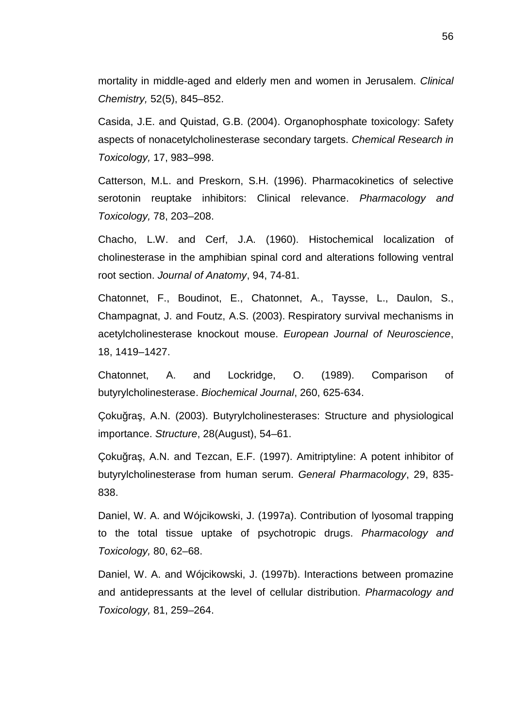mortality in middle-aged and elderly men and women in Jerusalem. *Clinical Chemistry,* 52(5), 845–852.

Casida, J.E. and Quistad, G.B. (2004). Organophosphate toxicology: Safety aspects of nonacetylcholinesterase secondary targets. *Chemical Research in Toxicology,* 17, 983–998.

Catterson, M.L. and Preskorn, S.H. (1996). Pharmacokinetics of selective serotonin reuptake inhibitors: Clinical relevance. *Pharmacology and Toxicology,* 78, 203–208.

Chacho, L.W. and Cerf, J.A. (1960). Histochemical localization of cholinesterase in the amphibian spinal cord and alterations following ventral root section. *Journal of Anatomy*, 94, 74-81.

Chatonnet, F., Boudinot, E., Chatonnet, A., Taysse, L., Daulon, S., Champagnat, J. and Foutz, A.S. (2003). Respiratory survival mechanisms in acetylcholinesterase knockout mouse. *European Journal of Neuroscience*, 18, 1419–1427.

Chatonnet, A. and Lockridge, O. (1989). Comparison of butyrylcholinesterase. *Biochemical Journal*, 260, 625-634.

Çoku raş, A.N. (2003). Butyrylcholinesterases: Structure and physiological importance. *Structure*, 28(August), 54–61.

Çoku ra, A.N. and Tezcan, E.F. (1997). Amitriptyline: A potent inhibitor of butyrylcholinesterase from human serum. *General Pharmacology*, 29, 835- 838.

Daniel, W. A. and Wójcikowski, J. (1997a). Contribution of lyosomal trapping to the total tissue uptake of psychotropic drugs. *Pharmacology and Toxicology,* 80, 62–68.

Daniel, W. A. and Wójcikowski, J. (1997b). Interactions between promazine and antidepressants at the level of cellular distribution. *Pharmacology and Toxicology,* 81, 259–264.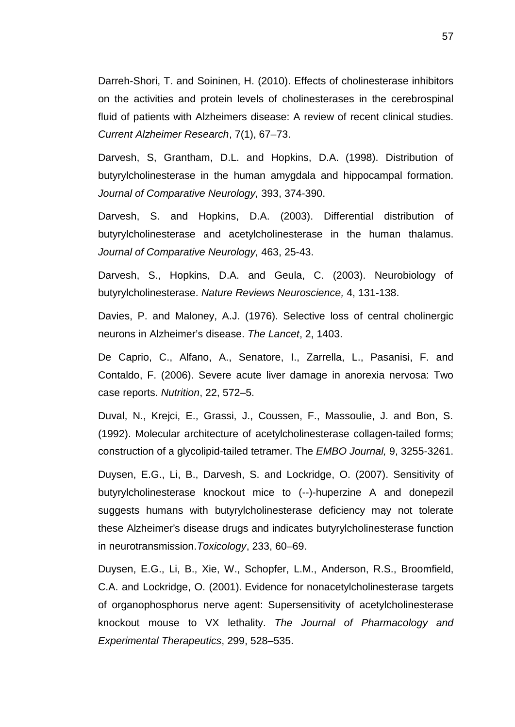Darreh-Shori, T. and Soininen, H. (2010). Effects of cholinesterase inhibitors on the activities and protein levels of cholinesterases in the cerebrospinal fluid of patients with Alzheimers disease: A review of recent clinical studies. *Current Alzheimer Research*, 7(1), 67–73.

Darvesh, S, Grantham, D.L. and Hopkins, D.A. (1998). Distribution of butyrylcholinesterase in the human amygdala and hippocampal formation. *Journal of Comparative Neurology,* 393, 374-390.

Darvesh, S. and Hopkins, D.A. (2003). Differential distribution of butyrylcholinesterase and acetylcholinesterase in the human thalamus. *Journal of Comparative Neurology,* 463, 25-43.

Darvesh, S., Hopkins, D.A. and Geula, C. (2003). Neurobiology of butyrylcholinesterase. *Nature Reviews Neuroscience,* 4, 131-138.

Davies, P. and Maloney, A.J. (1976). Selective loss of central cholinergic neurons in Alzheimer's disease. *The Lancet*, 2, 1403.

De Caprio, C., Alfano, A., Senatore, I., Zarrella, L., Pasanisi, F. and Contaldo, F. (2006). Severe acute liver damage in anorexia nervosa: Two case reports. *Nutrition*, 22, 572–5.

Duval, N., Krejci, E., Grassi, J., Coussen, F., Massoulie, J. and Bon, S. (1992). Molecular architecture of acetylcholinesterase collagen-tailed forms; construction of a glycolipid-tailed tetramer. The *EMBO Journal,* 9, 3255-3261.

Duysen, E.G., Li, B., Darvesh, S. and Lockridge, O. (2007). Sensitivity of butyrylcholinesterase knockout mice to (--)-huperzine A and donepezil suggests humans with butyrylcholinesterase deficiency may not tolerate these Alzheimer's disease drugs and indicates butyrylcholinesterase function in neurotransmission.*Toxicology*, 233, 60–69.

Duysen, E.G., Li, B., Xie, W., Schopfer, L.M., Anderson, R.S., Broomfield, C.A. and Lockridge, O. (2001). Evidence for nonacetylcholinesterase targets of organophosphorus nerve agent: Supersensitivity of acetylcholinesterase knockout mouse to VX lethality. *The Journal of Pharmacology and Experimental Therapeutics*, 299, 528–535.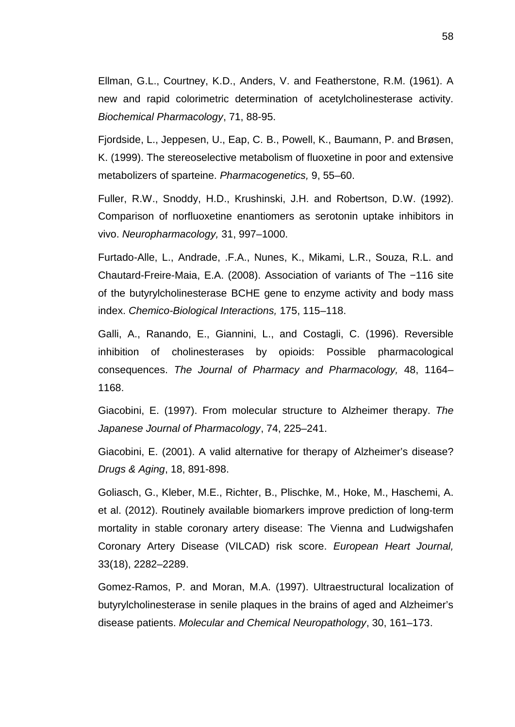Ellman, G.L., Courtney, K.D., Anders, V. and Featherstone, R.M. (1961). A new and rapid colorimetric determination of acetylcholinesterase activity. *Biochemical Pharmacology*, 71, 88-95.

Fjordside, L., Jeppesen, U., Eap, C. B., Powell, K., Baumann, P. and Brøsen, K. (1999). The stereoselective metabolism of fluoxetine in poor and extensive metabolizers of sparteine. *Pharmacogenetics,* 9, 55–60.

Fuller, R.W., Snoddy, H.D., Krushinski, J.H. and Robertson, D.W. (1992). Comparison of norfluoxetine enantiomers as serotonin uptake inhibitors in vivo. *Neuropharmacology,* 31, 997–1000.

Furtado-Alle, L., Andrade, .F.A., Nunes, K., Mikami, L.R., Souza, R.L. and Chautard-Freire-Maia, E.A. (2008). Association of variants of The −116 site of the butyrylcholinesterase BCHE gene to enzyme activity and body mass index. *Chemico-Biological Interactions,* 175, 115–118.

Galli, A., Ranando, E., Giannini, L., and Costagli, C. (1996). Reversible inhibition of cholinesterases by opioids: Possible pharmacological consequences. *The Journal of Pharmacy and Pharmacology,* 48, 1164– 1168.

Giacobini, E. (1997). From molecular structure to Alzheimer therapy. *The Japanese Journal of Pharmacology*, 74, 225–241.

Giacobini, E. (2001). A valid alternative for therapy of Alzheimer's disease? *Drugs & Aging*, 18, 891-898.

Goliasch, G., Kleber, M.E., Richter, B., Plischke, M., Hoke, M., Haschemi, A. et al. (2012). Routinely available biomarkers improve prediction of long-term mortality in stable coronary artery disease: The Vienna and Ludwigshafen Coronary Artery Disease (VILCAD) risk score. *European Heart Journal,* 33(18), 2282–2289.

Gomez-Ramos, P. and Moran, M.A. (1997). Ultraestructural localization of butyrylcholinesterase in senile plaques in the brains of aged and Alzheimer's disease patients. *Molecular and Chemical Neuropathology*, 30, 161–173.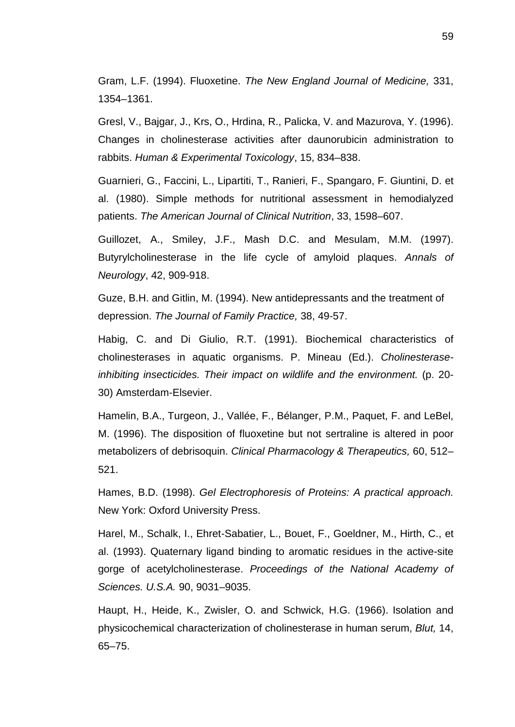Gram, L.F. (1994). Fluoxetine. *The New England Journal of Medicine,* 331, 1354–1361.

Gresl, V., Bajgar, J., Krs, O., Hrdina, R., Palicka, V. and Mazurova, Y. (1996). Changes in cholinesterase activities after daunorubicin administration to rabbits. *Human & Experimental Toxicology*, 15, 834–838.

Guarnieri, G., Faccini, L., Lipartiti, T., Ranieri, F., Spangaro, F. Giuntini, D. et al. (1980). Simple methods for nutritional assessment in hemodialyzed patients. *The American Journal of Clinical Nutrition*, 33, 1598–607.

Guillozet, A., Smiley, J.F., Mash D.C. and Mesulam, M.M. (1997). Butyrylcholinesterase in the life cycle of amyloid plaques. *Annals of Neurology*, 42, 909-918.

Guze, B.H. and Gitlin, M. (1994). New antidepressants and the treatment of depression. *The Journal of Family Practice,* 38, 49-57.

Habig, C. and Di Giulio, R.T. (1991). Biochemical characteristics of cholinesterases in aquatic organisms. P. Mineau (Ed.). *Cholinesteraseinhibiting insecticides. Their impact on wildlife and the environment.* (p. 20- 30) Amsterdam-Elsevier.

Hamelin, B.A., Turgeon, J., Vallée, F., Bélanger, P.M., Paquet, F. and LeBel, M. (1996). The disposition of fluoxetine but not sertraline is altered in poor metabolizers of debrisoquin. *Clinical Pharmacology & Therapeutics,* 60, 512– 521.

Hames, B.D. (1998). *Gel Electrophoresis of Proteins: A practical approach.* New York: Oxford University Press.

Harel, M., Schalk, I., Ehret-Sabatier, L., Bouet, F., Goeldner, M., Hirth, C., et al. (1993). Quaternary ligand binding to aromatic residues in the active-site gorge of acetylcholinesterase. *Proceedings of the National Academy of Sciences. U.S.A.* 90, 9031–9035.

Haupt, H., Heide, K., Zwisler, O. and Schwick, H.G. (1966). Isolation and physicochemical characterization of cholinesterase in human serum, *Blut,* 14, 65–75.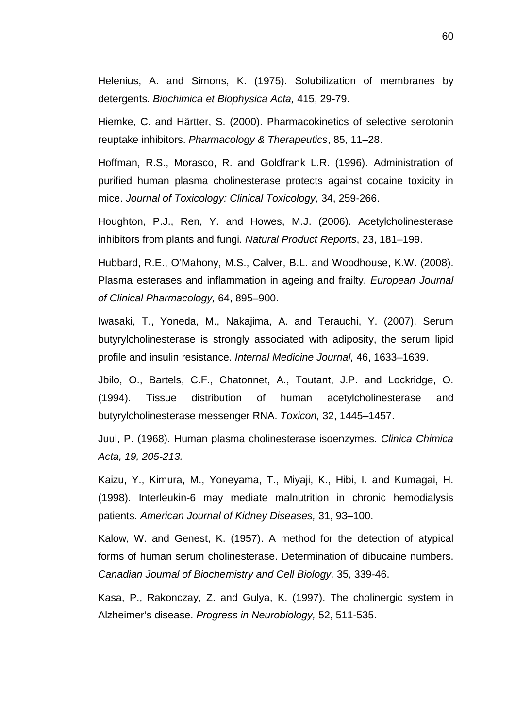Helenius, A. and Simons, K. (1975). Solubilization of membranes by detergents. *Biochimica et Biophysica Acta,* 415, 29-79.

Hiemke, C. and Härtter, S. (2000). Pharmacokinetics of selective serotonin reuptake inhibitors. *Pharmacology & Therapeutics*, 85, 11–28.

Hoffman, R.S., Morasco, R. and Goldfrank L.R. (1996). Administration of purified human plasma cholinesterase protects against cocaine toxicity in mice. *Journal of Toxicology: Clinical Toxicology*, 34, 259-266.

Houghton, P.J., Ren, Y. and Howes, M.J. (2006). Acetylcholinesterase inhibitors from plants and fungi. *Natural Product Reports*, 23, 181–199.

Hubbard, R.E., O'Mahony, M.S., Calver, B.L. and Woodhouse, K.W. (2008). Plasma esterases and inflammation in ageing and frailty. *European Journal of Clinical Pharmacology,* 64, 895–900.

Iwasaki, T., Yoneda, M., Nakajima, A. and Terauchi, Y. (2007). Serum butyrylcholinesterase is strongly associated with adiposity, the serum lipid profile and insulin resistance. *Internal Medicine Journal,* 46, 1633–1639.

Jbilo, O., Bartels, C.F., Chatonnet, A., Toutant, J.P. and Lockridge, O. (1994). Tissue distribution of human acetylcholinesterase and butyrylcholinesterase messenger RNA. *Toxicon,* 32, 1445–1457.

Juul, P. (1968). Human plasma cholinesterase isoenzymes. *Clinica Chimica Acta, 19, 205-213.*

Kaizu, Y., Kimura, M., Yoneyama, T., Miyaji, K., Hibi, I. and Kumagai, H. (1998). Interleukin-6 may mediate malnutrition in chronic hemodialysis patients*. American Journal of Kidney Diseases,* 31, 93–100.

Kalow, W. and Genest, K. (1957). A method for the detection of atypical forms of human serum cholinesterase. Determination of dibucaine numbers. *Canadian Journal of Biochemistry and Cell Biology,* 35, 339-46.

Kasa, P., Rakonczay, Z. and Gulya, K. (1997). The cholinergic system in Alzheimer's disease. *Progress in Neurobiology,* 52, 511-535.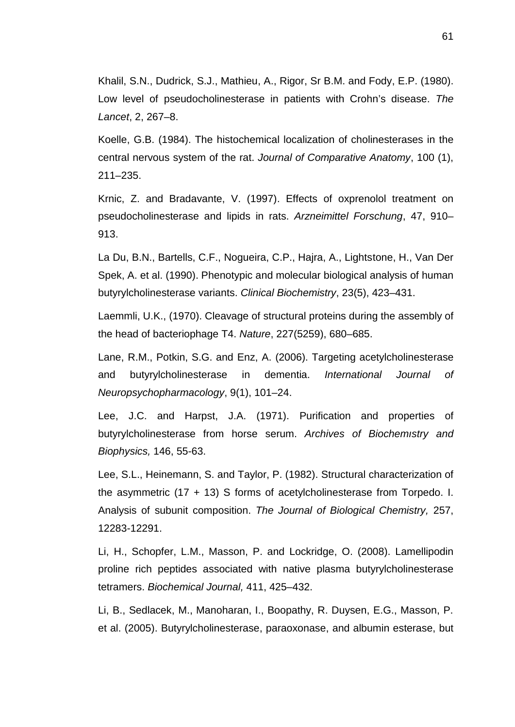Khalil, S.N., Dudrick, S.J., Mathieu, A., Rigor, Sr B.M. and Fody, E.P. (1980). Low level of pseudocholinesterase in patients with Crohn's disease. *The Lancet*, 2, 267–8.

Koelle, G.B. (1984). The histochemical localization of cholinesterases in the central nervous system of the rat. *Journal of Comparative Anatomy*, 100 (1), 211–235.

Krnic, Z. and Bradavante, V. (1997). Effects of oxprenolol treatment on pseudocholinesterase and lipids in rats. *Arzneimittel Forschung*, 47, 910– 913.

La Du, B.N., Bartells, C.F., Nogueira, C.P., Hajra, A., Lightstone, H., Van Der Spek, A. et al. (1990). Phenotypic and molecular biological analysis of human butyrylcholinesterase variants. *Clinical Biochemistry*, 23(5), 423–431.

Laemmli, U.K., (1970). Cleavage of structural proteins during the assembly of the head of bacteriophage T4. *Nature*, 227(5259), 680–685.

Lane, R.M., Potkin, S.G. and Enz, A. (2006). Targeting acetylcholinesterase and butyrylcholinesterase in dementia. *International Journal of Neuropsychopharmacology*, 9(1), 101–24.

Lee, J.C. and Harpst, J.A. (1971). Purification and properties of butyrylcholinesterase from horse serum. *Archives of Biochemıstry and Biophysics,* 146, 55-63.

Lee, S.L., Heinemann, S. and Taylor, P. (1982). Structural characterization of the asymmetric (17 + 13) S forms of acetylcholinesterase from Torpedo. I. Analysis of subunit composition. *The Journal of Biological Chemistry,* 257, 12283-12291.

Li, H., Schopfer, L.M., Masson, P. and Lockridge, O. (2008). Lamellipodin proline rich peptides associated with native plasma butyrylcholinesterase tetramers. *Biochemical Journal,* 411, 425–432.

Li, B., Sedlacek, M., Manoharan, I., Boopathy, R. Duysen, E.G., Masson, P. et al. (2005). Butyrylcholinesterase, paraoxonase, and albumin esterase, but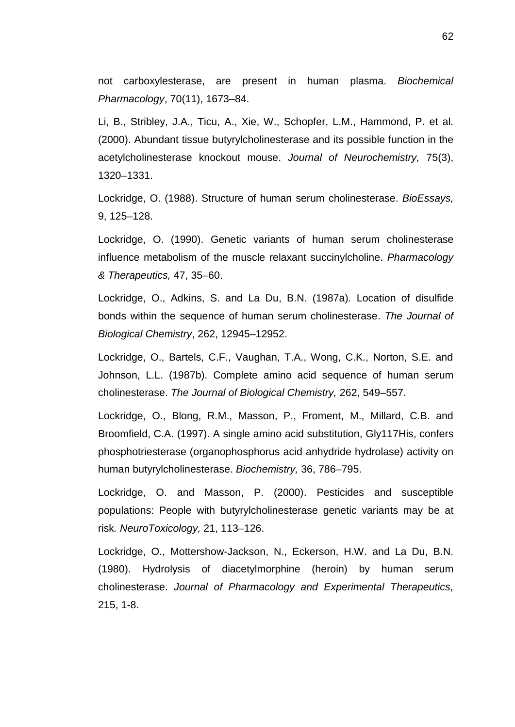not carboxylesterase, are present in human plasma. *Biochemical Pharmacology*, 70(11), 1673–84.

Li, B., Stribley, J.A., Ticu, A., Xie, W., Schopfer, L.M., Hammond, P. et al. (2000). Abundant tissue butyrylcholinesterase and its possible function in the acetylcholinesterase knockout mouse. *Journal of Neurochemistry,* 75(3), 1320–1331.

Lockridge, O. (1988). Structure of human serum cholinesterase. *BioEssays,* 9, 125–128.

Lockridge, O. (1990). Genetic variants of human serum cholinesterase influence metabolism of the muscle relaxant succinylcholine. *Pharmacology & Therapeutics,* 47, 35–60.

Lockridge, O., Adkins, S. and La Du, B.N. (1987a). Location of disulfide bonds within the sequence of human serum cholinesterase. *The Journal of Biological Chemistry*, 262, 12945–12952.

Lockridge, O., Bartels, C.F., Vaughan, T.A., Wong, C.K., Norton, S.E. and Johnson, L.L. (1987b). Complete amino acid sequence of human serum cholinesterase. *The Journal of Biological Chemistry,* 262, 549–557.

Lockridge, O., Blong, R.M., Masson, P., Froment, M., Millard, C.B. and Broomfield, C.A. (1997). A single amino acid substitution, Gly117His, confers phosphotriesterase (organophosphorus acid anhydride hydrolase) activity on human butyrylcholinesterase. *Biochemistry,* 36, 786–795.

Lockridge, O. and Masson, P. (2000). Pesticides and susceptible populations: People with butyrylcholinesterase genetic variants may be at risk*. NeuroToxicology,* 21, 113–126.

Lockridge, O., Mottershow-Jackson, N., Eckerson, H.W. and La Du, B.N. (1980). Hydrolysis of diacetylmorphine (heroin) by human serum cholinesterase. *Journal of Pharmacology and Experimental Therapeutics,* 215, 1-8.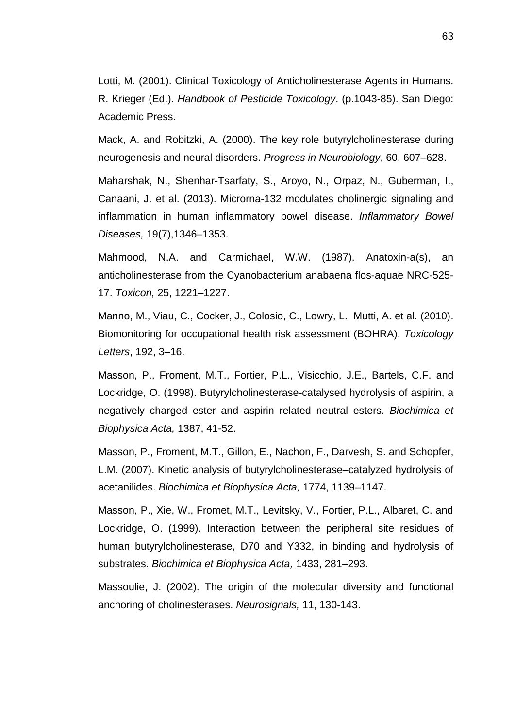Lotti, M. (2001). Clinical Toxicology of Anticholinesterase Agents in Humans. R. Krieger (Ed.). *Handbook of Pesticide Toxicology*. (p.1043-85). San Diego: Academic Press.

Mack, A. and Robitzki, A. (2000). The key role butyrylcholinesterase during neurogenesis and neural disorders. *Progress in Neurobiology*, 60, 607–628.

Maharshak, N., Shenhar-Tsarfaty, S., Aroyo, N., Orpaz, N., Guberman, I., Canaani, J. et al. (2013). Microrna-132 modulates cholinergic signaling and inflammation in human inflammatory bowel disease. *Inflammatory Bowel Diseases,* 19(7),1346–1353.

Mahmood, N.A. and Carmichael, W.W. (1987). Anatoxin-a(s), an anticholinesterase from the Cyanobacterium anabaena flos-aquae NRC-525- 17. *Toxicon,* 25, 1221–1227.

Manno, M., Viau, C., Cocker, J., Colosio, C., Lowry, L., Mutti, A. et al. (2010). Biomonitoring for occupational health risk assessment (BOHRA). *Toxicology Letters*, 192, 3–16.

Masson, P., Froment, M.T., Fortier, P.L., Visicchio, J.E., Bartels, C.F. and Lockridge, O. (1998). Butyrylcholinesterase-catalysed hydrolysis of aspirin, a negatively charged ester and aspirin related neutral esters. *Biochimica et Biophysica Acta,* 1387, 41-52.

Masson, P., Froment, M.T., Gillon, E., Nachon, F., Darvesh, S. and Schopfer, L.M. (2007). Kinetic analysis of butyrylcholinesterase–catalyzed hydrolysis of acetanilides. *Biochimica et Biophysica Acta,* 1774, 1139–1147.

Masson, P., Xie, W., Fromet, M.T., Levitsky, V., Fortier, P.L., Albaret, C. and Lockridge, O. (1999). Interaction between the peripheral site residues of human butyrylcholinesterase, D70 and Y332, in binding and hydrolysis of substrates. *Biochimica et Biophysica Acta,* 1433, 281–293.

Massoulie, J. (2002). The origin of the molecular diversity and functional anchoring of cholinesterases. *Neurosignals,* 11, 130-143.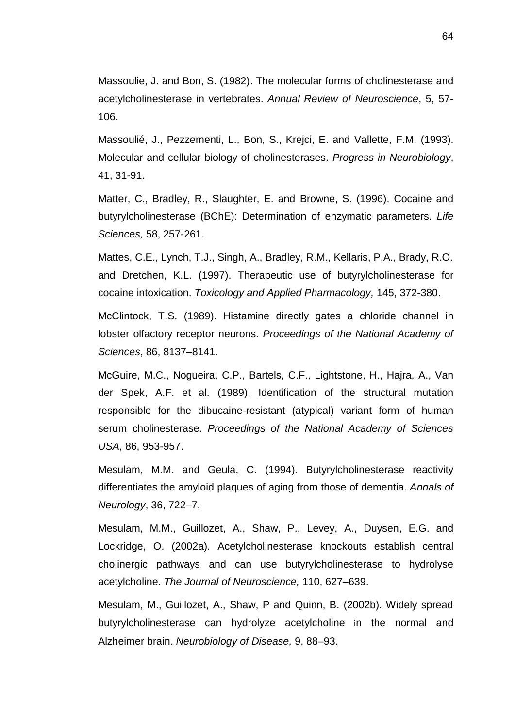Massoulie, J. and Bon, S. (1982). The molecular forms of cholinesterase and acetylcholinesterase in vertebrates. *Annual Review of Neuroscience*, 5, 57- 106.

Massoulié, J., Pezzementi, L., Bon, S., Krejci, E. and Vallette, F.M. (1993). Molecular and cellular biology of cholinesterases. *Progress in Neurobiology*, 41, 31-91.

Matter, C., Bradley, R., Slaughter, E. and Browne, S. (1996). Cocaine and butyrylcholinesterase (BChE): Determination of enzymatic parameters. *Life Sciences,* 58, 257-261.

Mattes, C.E., Lynch, T.J., Singh, A., Bradley, R.M., Kellaris, P.A., Brady, R.O. and Dretchen, K.L. (1997). Therapeutic use of butyrylcholinesterase for cocaine intoxication. *Toxicology and Applied Pharmacology,* 145, 372-380.

McClintock, T.S. (1989). Histamine directly gates a chloride channel in lobster olfactory receptor neurons. *Proceedings of the National Academy of Sciences*, 86, 8137–8141.

McGuire, M.C., Nogueira, C.P., Bartels, C.F., Lightstone, H., Hajra, A., Van der Spek, A.F. et al. (1989). Identification of the structural mutation responsible for the dibucaine-resistant (atypical) variant form of human serum cholinesterase. *Proceedings of the National Academy of Sciences USA*, 86, 953-957.

Mesulam, M.M. and Geula, C. (1994). Butyrylcholinesterase reactivity differentiates the amyloid plaques of aging from those of dementia. *Annals of Neurology*, 36, 722–7.

Mesulam, M.M., Guillozet, A., Shaw, P., Levey, A., Duysen, E.G. and Lockridge, O. (2002a). Acetylcholinesterase knockouts establish central cholinergic pathways and can use butyrylcholinesterase to hydrolyse acetylcholine. *The Journal of Neuroscience,* 110, 627–639.

Mesulam, M., Guillozet, A., Shaw, P and Quinn, B. (2002b). Widely spread butyrylcholinesterase can hydrolyze acetylcholine in the normal and Alzheimer brain. *Neurobiology of Disease,* 9, 88–93.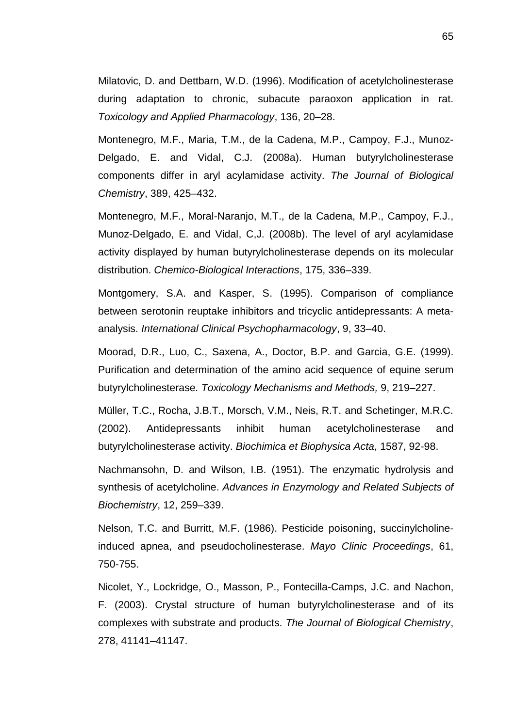Milatovic, D. and Dettbarn, W.D. (1996). Modification of acetylcholinesterase during adaptation to chronic, subacute paraoxon application in rat. *Toxicology and Applied Pharmacology*, 136, 20–28.

Montenegro, M.F., Maria, T.M., de la Cadena, M.P., Campoy, F.J., Munoz- Delgado, E. and Vidal, C.J. (2008a). Human butyrylcholinesterase components differ in aryl acylamidase activity. *The Journal of Biological Chemistry*, 389, 425–432.

Montenegro, M.F., Moral-Naranjo, M.T., de la Cadena, M.P., Campoy, F.J., Munoz-Delgado, E. and Vidal, C,J. (2008b). The level of aryl acylamidase activity displayed by human butyrylcholinesterase depends on its molecular distribution. *Chemico-Biological Interactions*, 175, 336–339.

Montgomery, S.A. and Kasper, S. (1995). Comparison of compliance between serotonin reuptake inhibitors and tricyclic antidepressants: A meta analysis. *International Clinical Psychopharmacology*, 9, 33–40.

Moorad, D.R., Luo, C., Saxena, A., Doctor, B.P. and Garcia, G.E. (1999). Purification and determination of the amino acid sequence of equine serum butyrylcholinesterase*. Toxicology Mechanisms and Methods,* 9, 219–227.

Müller, T.C., Rocha, J.B.T., Morsch, V.M., Neis, R.T. and Schetinger, M.R.C. (2002). Antidepressants inhibit human acetylcholinesterase and butyrylcholinesterase activity. *Biochimica et Biophysica Acta,* 1587, 92-98.

Nachmansohn, D. and Wilson, I.B. (1951). The enzymatic hydrolysis and synthesis of acetylcholine. *Advances in Enzymology and Related Subjects of Biochemistry*, 12, 259–339.

Nelson, T.C. and Burritt, M.F. (1986). Pesticide poisoning, succinylcholineinduced apnea, and pseudocholinesterase. *Mayo Clinic Proceedings*, 61, 750-755.

Nicolet, Y., Lockridge, O., Masson, P., Fontecilla-Camps, J.C. and Nachon, F. (2003). Crystal structure of human butyrylcholinesterase and of its complexes with substrate and products. *The Journal of Biological Chemistry*, 278, 41141–41147.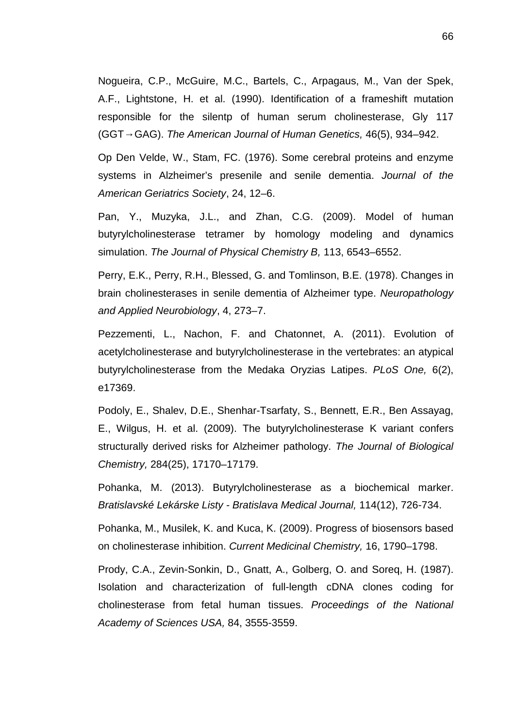Nogueira, C.P., McGuire, M.C., Bartels, C., Arpagaus, M., Van der Spek, A.F., Lightstone, H. et al. (1990). Identification of a frameshift mutation responsible for the silentp of human serum cholinesterase, Gly 117 (GGT GAG). *The American Journal of Human Genetics,* 46(5), 934–942.

Op Den Velde, W., Stam, FC. (1976). Some cerebral proteins and enzyme systems in Alzheimer's presenile and senile dementia. *Journal of the American Geriatrics Society*, 24, 12–6.

Pan, Y., Muzyka, J.L., and Zhan, C.G. (2009). Model of human butyrylcholinesterase tetramer by homology modeling and dynamics simulation. *The Journal of Physical Chemistry B,* 113, 6543–6552.

Perry, E.K., Perry, R.H., Blessed, G. and Tomlinson, B.E. (1978). Changes in brain cholinesterases in senile dementia of Alzheimer type. *Neuropathology and Applied Neurobiology*, 4, 273–7.

Pezzementi, L., Nachon, F. and Chatonnet, A. (2011). Evolution of acetylcholinesterase and butyrylcholinesterase in the vertebrates: an atypical butyrylcholinesterase from the Medaka Oryzias Latipes. *PLoS One,* 6(2), e17369.

Podoly, E., Shalev, D.E., Shenhar-Tsarfaty, S., Bennett, E.R., Ben Assayag, E., Wilgus, H. et al. (2009). The butyrylcholinesterase K variant confers structurally derived risks for Alzheimer pathology. *The Journal of Biological Chemistry,* 284(25), 17170–17179.

Pohanka, M. (2013). Butyrylcholinesterase as a biochemical marker. *Bratislavské Lekárske Listy - Bratislava Medical Journal,* 114(12), 726-734.

Pohanka, M., Musilek, K. and Kuca, K. (2009). Progress of biosensors based on cholinesterase inhibition. *Current Medicinal Chemistry,* 16, 1790–1798.

Prody, C.A., Zevin-Sonkin, D., Gnatt, A., Golberg, O. and Soreq, H. (1987). Isolation and characterization of full-length cDNA clones coding for cholinesterase from fetal human tissues. *Proceedings of the National Academy of Sciences USA,* 84, 3555-3559.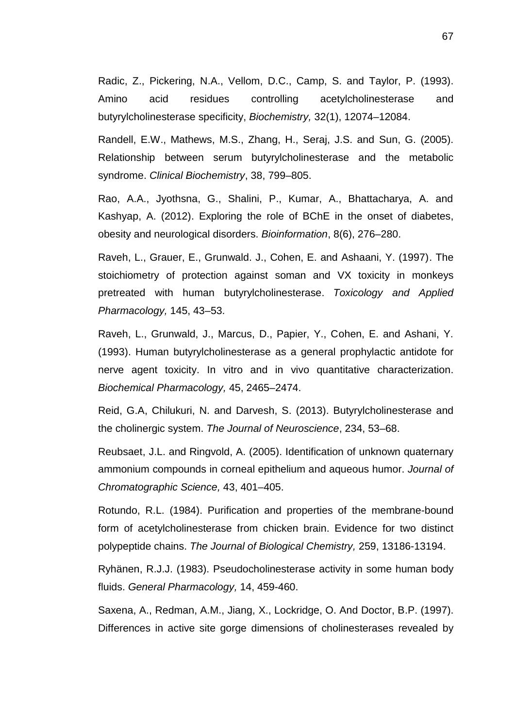Radic, Z., Pickering, N.A., Vellom, D.C., Camp, S. and Taylor, P. (1993). Amino acid residues controlling acetylcholinesterase and butyrylcholinesterase specificity, *Biochemistry,* 32(1), 12074–12084.

Randell, E.W., Mathews, M.S., Zhang, H., Seraj, J.S. and Sun, G. (2005). Relationship between serum butyrylcholinesterase and the metabolic syndrome. *Clinical Biochemistry*, 38, 799–805.

Rao, A.A., Jyothsna, G., Shalini, P., Kumar, A., Bhattacharya, A. and Kashyap, A. (2012). Exploring the role of BChE in the onset of diabetes, obesity and neurological disorders. *Bioinformation*, 8(6), 276–280.

Raveh, L., Grauer, E., Grunwald. J., Cohen, E. and Ashaani, Y. (1997). The stoichiometry of protection against soman and VX toxicity in monkeys pretreated with human butyrylcholinesterase. *Toxicology and Applied Pharmacology,* 145, 43–53.

Raveh, L., Grunwald, J., Marcus, D., Papier, Y., Cohen, E. and Ashani, Y. (1993). Human butyrylcholinesterase as a general prophylactic antidote for nerve agent toxicity. In vitro and in vivo quantitative characterization. *Biochemical Pharmacology,* 45, 2465–2474.

Reid, G.A, Chilukuri, N. and Darvesh, S. (2013). Butyrylcholinesterase and the cholinergic system. *The Journal of Neuroscience*, 234, 53–68.

Reubsaet, J.L. and Ringvold, A. (2005). Identification of unknown quaternary ammonium compounds in corneal epithelium and aqueous humor. *Journal of Chromatographic Science,* 43, 401–405.

Rotundo, R.L. (1984). Purification and properties of the membrane-bound form of acetylcholinesterase from chicken brain. Evidence for two distinct polypeptide chains. *The Journal of Biological Chemistry,* 259, 13186-13194.

Ryhänen, R.J.J. (1983). Pseudocholinesterase activity in some human body fluids. *General Pharmacology,* 14, 459-460.

Saxena, A., Redman, A.M., Jiang, X., Lockridge, O. And Doctor, B.P. (1997). Differences in active site gorge dimensions of cholinesterases revealed by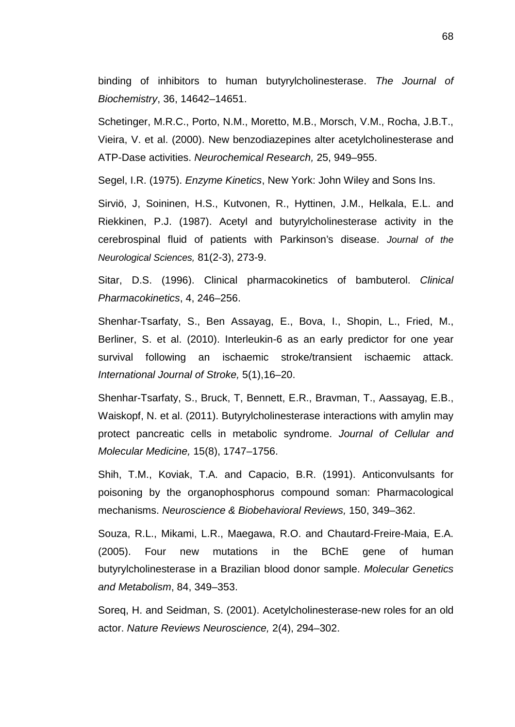binding of inhibitors to human butyrylcholinesterase. *The Journal of Biochemistry*, 36, 14642–14651.

Schetinger, M.R.C., Porto, N.M., Moretto, M.B., Morsch, V.M., Rocha, J.B.T., Vieira, V. et al. (2000). New benzodiazepines alter acetylcholinesterase and ATP-Dase activities. *Neurochemical Research,* 25, 949–955.

Segel, I.R. (1975). *Enzyme Kinetics*, New York: John Wiley and Sons Ins.

Sirviö, J, Soininen, H.S., Kutvonen, R., Hyttinen, J.M., Helkala, E.L. and Riekkinen, P.J. (1987). Acetyl and butyrylcholinesterase activity in the cerebrospinal fluid of patients with Parkinson's disease. *Journal of the Neurological Sciences,* 81(2-3), 273-9.

Sitar, D.S. (1996). Clinical pharmacokinetics of bambuterol. *Clinical Pharmacokinetics*, 4, 246–256.

Shenhar-Tsarfaty, S., Ben Assayag, E., Bova, I., Shopin, L., Fried, M., Berliner, S. et al. (2010). Interleukin-6 as an early predictor for one year survival following an ischaemic stroke/transient ischaemic attack. *International Journal of Stroke,* 5(1),16–20.

Shenhar-Tsarfaty, S., Bruck, T, Bennett, E.R., Bravman, T., Aassayag, E.B., Waiskopf, N. et al. (2011). Butyrylcholinesterase interactions with amylin may protect pancreatic cells in metabolic syndrome. *Journal of Cellular and Molecular Medicine,* 15(8), 1747–1756.

Shih, T.M., Koviak, T.A. and Capacio, B.R. (1991). Anticonvulsants for poisoning by the organophosphorus compound soman: Pharmacological mechanisms. *Neuroscience & Biobehavioral Reviews,* 150, 349–362.

Souza, R.L., Mikami, L.R., Maegawa, R.O. and Chautard-Freire-Maia, E.A. (2005). Four new mutations in the BChE gene of human butyrylcholinesterase in a Brazilian blood donor sample. *Molecular Genetics and Metabolism*, 84, 349–353.

Soreq, H. and Seidman, S. (2001). Acetylcholinesterase-new roles for an old actor. *Nature Reviews Neuroscience,* 2(4), 294–302.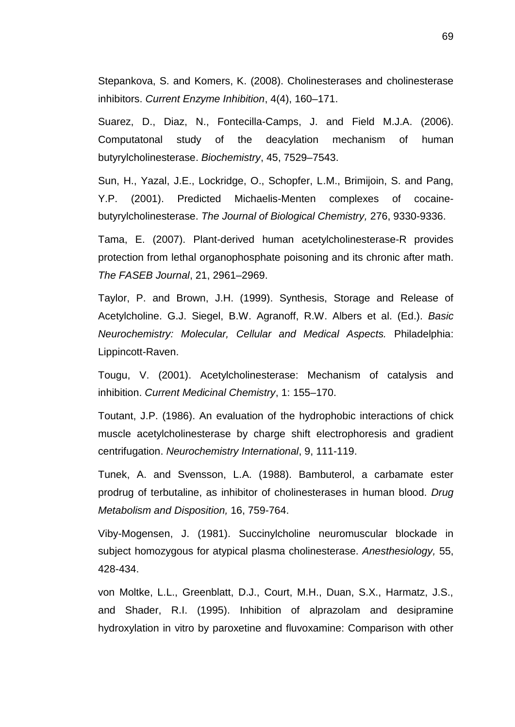Stepankova, S. and Komers, K. (2008). Cholinesterases and cholinesterase inhibitors. *Current Enzyme Inhibition*, 4(4), 160–171.

Suarez, D., Diaz, N., Fontecilla-Camps, J. and Field M.J.A. (2006). Computatonal study of the deacylation mechanism of human butyrylcholinesterase. *Biochemistry*, 45, 7529–7543.

Sun, H., Yazal, J.E., Lockridge, O., Schopfer, L.M., Brimijoin, S. and Pang, Y.P. (2001). Predicted Michaelis-Menten complexes of cocaine butyrylcholinesterase. *The Journal of Biological Chemistry,* 276, 9330-9336.

Tama, E. (2007). Plant-derived human acetylcholinesterase-R provides protection from lethal organophosphate poisoning and its chronic after math. *The FASEB Journal*, 21, 2961–2969.

Taylor, P. and Brown, J.H. (1999). Synthesis, Storage and Release of Acetylcholine. G.J. Siegel, B.W. Agranoff, R.W. Albers et al. (Ed.). *Basic Neurochemistry: Molecular, Cellular and Medical Aspects.* Philadelphia: Lippincott-Raven.

Tougu, V. (2001). Acetylcholinesterase: Mechanism of catalysis and inhibition. *Current Medicinal Chemistry*, 1: 155–170.

Toutant, J.P. (1986). An evaluation of the hydrophobic interactions of chick muscle acetylcholinesterase by charge shift electrophoresis and gradient centrifugation. *Neurochemistry International*, 9, 111-119.

Tunek, A. and Svensson, L.A. (1988). Bambuterol, a carbamate ester prodrug of terbutaline, as inhibitor of cholinesterases in human blood. *Drug Metabolism and Disposition,* 16, 759-764.

Viby-Mogensen, J. (1981). Succinylcholine neuromuscular blockade in subject homozygous for atypical plasma cholinesterase. *Anesthesiology,* 55, 428-434.

von Moltke, L.L., Greenblatt, D.J., Court, M.H., Duan, S.X., Harmatz, J.S., and Shader, R.I. (1995). Inhibition of alprazolam and desipramine hydroxylation in vitro by paroxetine and fluvoxamine: Comparison with other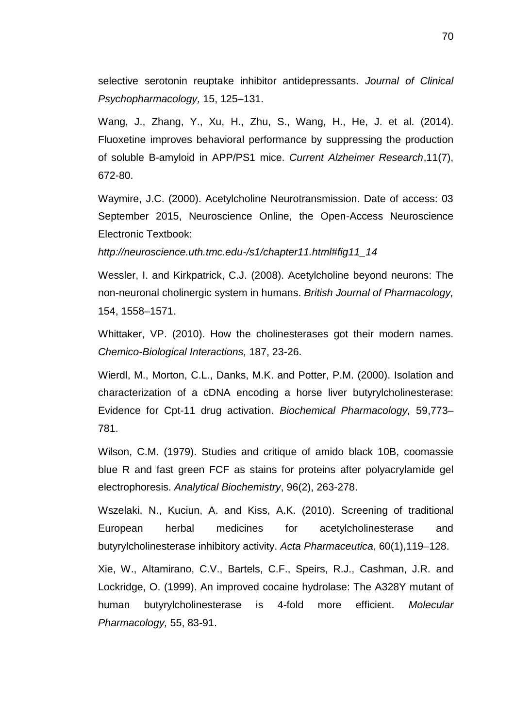selective serotonin reuptake inhibitor antidepressants. *Journal of Clinical Psychopharmacology,* 15, 125–131.

Wang, J., Zhang, Y., Xu, H., Zhu, S., Wang, H., He, J. et al. (2014). Fluoxetine improves behavioral performance by suppressing the production of soluble Β-amyloid in APP/PS1 mice. *Current Alzheimer Research*,11(7), 672-80.

Waymire, J.C. (2000). Acetylcholine Neurotransmission. Date of access: 03 September 2015, Neuroscience Online, the Open-Access Neuroscience Electronic Textbook:

*http://neuroscience.uth.tmc.edu-/s1/chapter11.html#fig11\_14*

Wessler, I. and Kirkpatrick, C.J. (2008). Acetylcholine beyond neurons: The non-neuronal cholinergic system in humans. *British Journal of Pharmacology,* 154, 1558–1571.

Whittaker, VP. (2010). How the cholinesterases got their modern names. *Chemico-Biological Interactions,* 187, 23-26.

Wierdl, M., Morton, C.L., Danks, M.K. and Potter, P.M. (2000). Isolation and characterization of a cDNA encoding a horse liver butyrylcholinesterase: Evidence for Cpt-11 drug activation. *Biochemical Pharmacology,* 59,773– 781.

Wilson, C.M. (1979). Studies and critique of amido black 10B, coomassie blue R and fast green FCF as stains for proteins after polyacrylamide gel electrophoresis. *Analytical Biochemistry*, 96(2), 263-278.

Wszelaki, N., Kuciun, A. and Kiss, A.K. (2010). Screening of traditional European herbal medicines for acetylcholinesterase and butyrylcholinesterase inhibitory activity. *Acta Pharmaceutica*, 60(1),119–128.

Xie, W., Altamirano, C.V., Bartels, C.F., Speirs, R.J., Cashman, J.R. and Lockridge, O. (1999). An improved cocaine hydrolase: The A328Y mutant of human butyrylcholinesterase is 4-fold more efficient. *Molecular Pharmacology,* 55, 83-91.